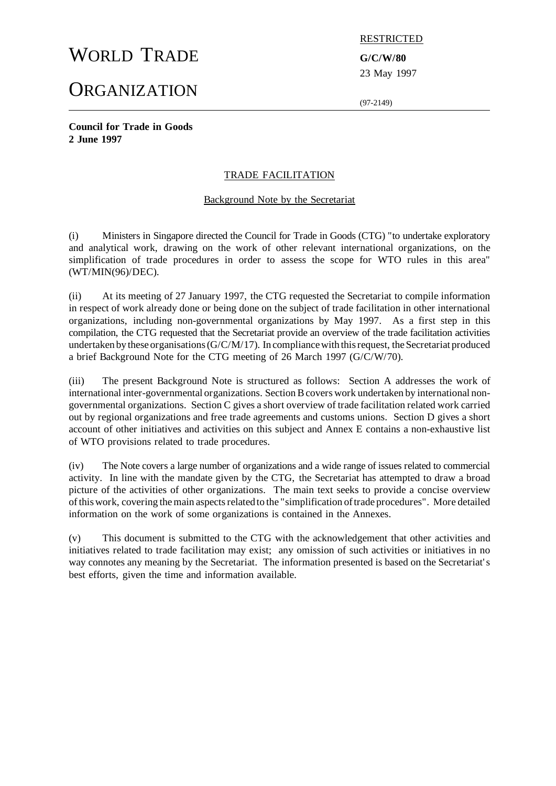# WORLD TRADE **G/C/W/80**

# **ORGANIZATION**

RESTRICTED

23 May 1997

(97-2149)

**Council for Trade in Goods 2 June 1997**

# TRADE FACILITATION

## Background Note by the Secretariat

(i) Ministers in Singapore directed the Council for Trade in Goods (CTG) "to undertake exploratory and analytical work, drawing on the work of other relevant international organizations, on the simplification of trade procedures in order to assess the scope for WTO rules in this area" (WT/MIN(96)/DEC).

(ii) At its meeting of 27 January 1997, the CTG requested the Secretariat to compile information in respect of work already done or being done on the subject of trade facilitation in other international organizations, including non-governmental organizations by May 1997. As a first step in this compilation, the CTG requested that the Secretariat provide an overview of the trade facilitation activities undertaken by these organisations  $(G/C/M/17)$ . In compliance with this request, the Secretariat produced a brief Background Note for the CTG meeting of 26 March 1997 (G/C/W/70).

(iii) The present Background Note is structured as follows: Section A addresses the work of international inter-governmental organizations. Section B covers work undertaken by international nongovernmental organizations. Section C gives a short overview of trade facilitation related work carried out by regional organizations and free trade agreements and customs unions. Section D gives a short account of other initiatives and activities on this subject and Annex E contains a non-exhaustive list of WTO provisions related to trade procedures.

(iv) The Note covers a large number of organizations and a wide range of issues related to commercial activity. In line with the mandate given by the CTG, the Secretariat has attempted to draw a broad picture of the activities of other organizations. The main text seeks to provide a concise overview ofthiswork, covering themain aspectsrelated to the "simplification oftrade procedures". More detailed information on the work of some organizations is contained in the Annexes.

(v) This document is submitted to the CTG with the acknowledgement that other activities and initiatives related to trade facilitation may exist; any omission of such activities or initiatives in no way connotes any meaning by the Secretariat. The information presented is based on the Secretariat's best efforts, given the time and information available.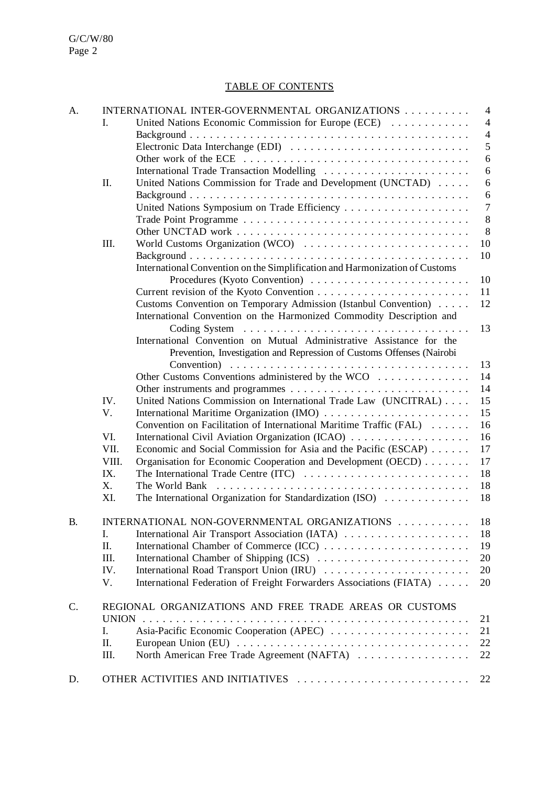# TABLE OF CONTENTS

| A.        | INTERNATIONAL INTER-GOVERNMENTAL ORGANIZATIONS |                                                                                                     | $\overline{4}$ |  |
|-----------|------------------------------------------------|-----------------------------------------------------------------------------------------------------|----------------|--|
|           | I.                                             | United Nations Economic Commission for Europe (ECE)                                                 | $\overline{4}$ |  |
|           |                                                |                                                                                                     | $\overline{4}$ |  |
|           |                                                | Electronic Data Interchange (EDI)                                                                   | 5              |  |
|           |                                                |                                                                                                     | 6              |  |
|           |                                                | International Trade Transaction Modelling                                                           | 6              |  |
|           | Π.                                             | United Nations Commission for Trade and Development (UNCTAD)                                        | 6              |  |
|           |                                                |                                                                                                     | $\sqrt{6}$     |  |
|           |                                                |                                                                                                     | $\overline{7}$ |  |
|           |                                                |                                                                                                     | $8\,$          |  |
|           |                                                |                                                                                                     | 8              |  |
|           | Ш.                                             |                                                                                                     | 10             |  |
|           |                                                |                                                                                                     | 10             |  |
|           |                                                | International Convention on the Simplification and Harmonization of Customs                         |                |  |
|           |                                                |                                                                                                     | 10             |  |
|           |                                                |                                                                                                     | 11             |  |
|           |                                                | Customs Convention on Temporary Admission (Istanbul Convention)                                     | 12             |  |
|           |                                                |                                                                                                     |                |  |
|           |                                                | International Convention on the Harmonized Commodity Description and                                | 13             |  |
|           |                                                | International Convention on Mutual Administrative Assistance for the                                |                |  |
|           |                                                |                                                                                                     |                |  |
|           |                                                | Prevention, Investigation and Repression of Customs Offenses (Nairobi                               | 13             |  |
|           |                                                |                                                                                                     |                |  |
|           |                                                | Other Customs Conventions administered by the WCO                                                   | 14<br>14       |  |
|           |                                                |                                                                                                     | 15             |  |
|           | IV.                                            | United Nations Commission on International Trade Law (UNCITRAL)                                     | 15             |  |
|           | V.                                             |                                                                                                     |                |  |
|           |                                                | Convention on Facilitation of International Maritime Traffic (FAL)                                  | 16             |  |
|           | VI.                                            | International Civil Aviation Organization (ICAO)                                                    | 16             |  |
|           | VII.                                           | Economic and Social Commission for Asia and the Pacific (ESCAP)                                     | 17             |  |
|           | VIII.                                          | Organisation for Economic Cooperation and Development (OECD)                                        | 17             |  |
|           | IX.                                            | The International Trade Centre (ITC)                                                                | 18             |  |
|           | X.                                             | The World Bank                                                                                      | 18             |  |
|           | XI.                                            | The International Organization for Standardization (ISO)                                            | 18             |  |
| <b>B.</b> |                                                | INTERNATIONAL NON-GOVERNMENTAL ORGANIZATIONS<br>18                                                  |                |  |
|           | I.                                             |                                                                                                     | 18             |  |
|           | Π.                                             |                                                                                                     | 19             |  |
|           | Ш.                                             |                                                                                                     | 20             |  |
|           | IV.                                            |                                                                                                     | 20             |  |
|           | V.                                             | International Federation of Freight Forwarders Associations (FIATA)                                 | 20             |  |
| C.        |                                                | REGIONAL ORGANIZATIONS AND FREE TRADE AREAS OR CUSTOMS                                              |                |  |
|           | <b>UNION</b>                                   |                                                                                                     | 21             |  |
|           | Ι.                                             | Asia-Pacific Economic Cooperation (APEC)                                                            | 21             |  |
|           | Π.                                             | European Union (EU) $\dots \dots \dots \dots \dots \dots \dots \dots \dots \dots \dots \dots \dots$ | 22             |  |
|           | III.                                           | North American Free Trade Agreement (NAFTA)                                                         | 22             |  |
| D.        |                                                | OTHER ACTIVITIES AND INITIATIVES                                                                    | 22             |  |
|           |                                                |                                                                                                     |                |  |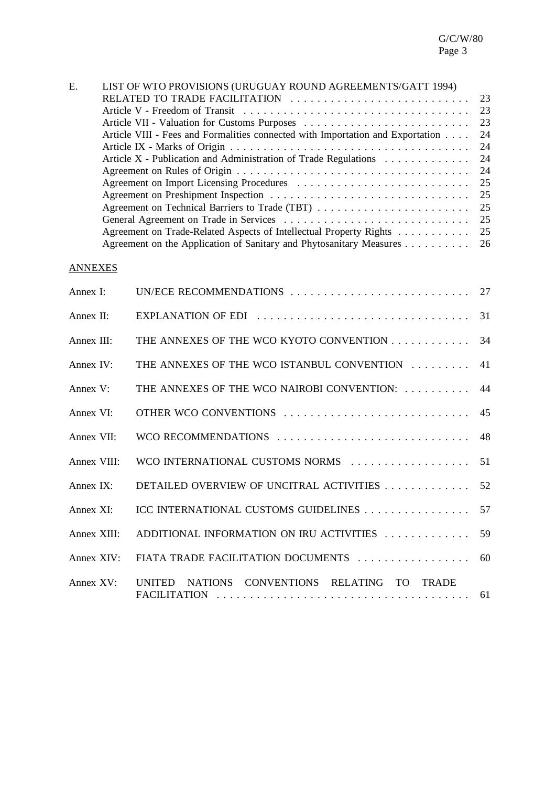| E. | LIST OF WTO PROVISIONS (URUGUAY ROUND AGREEMENTS/GATT 1994)                    |     |  |
|----|--------------------------------------------------------------------------------|-----|--|
|    |                                                                                |     |  |
|    |                                                                                |     |  |
|    |                                                                                |     |  |
|    | Article VIII - Fees and Formalities connected with Importation and Exportation | -24 |  |
|    |                                                                                | -24 |  |
|    | Article X - Publication and Administration of Trade Regulations                | -24 |  |
|    |                                                                                |     |  |
|    |                                                                                |     |  |
|    |                                                                                |     |  |
|    |                                                                                |     |  |
|    |                                                                                |     |  |
|    | Agreement on Trade-Related Aspects of Intellectual Property Rights 25          |     |  |
|    | Agreement on the Application of Sanitary and Phytosanitary Measures 26         |     |  |

# **ANNEXES**

| Annex I:     |                                                        |    |
|--------------|--------------------------------------------------------|----|
| Annex II:    |                                                        |    |
| Annex III:   | THE ANNEXES OF THE WCO KYOTO CONVENTION 34             |    |
| Annex IV:    | THE ANNEXES OF THE WCO ISTANBUL CONVENTION             | 41 |
| Annex V:     | THE ANNEXES OF THE WCO NAIROBI CONVENTION:             | 44 |
| Annex VI:    | OTHER WCO CONVENTIONS                                  | 45 |
| Annex VII:   |                                                        |    |
| Annex VIII:  | WCO INTERNATIONAL CUSTOMS NORMS                        | 51 |
| Annex $IX:$  | DETAILED OVERVIEW OF UNCITRAL ACTIVITIES  52           |    |
| Annex XI:    | ICC INTERNATIONAL CUSTOMS GUIDELINES 57                |    |
| Annex XIII:  | ADDITIONAL INFORMATION ON IRU ACTIVITIES  59           |    |
| Annex XIV:   |                                                        |    |
| Annex $XV$ : | NATIONS CONVENTIONS RELATING TO TRADE<br><b>UNITED</b> |    |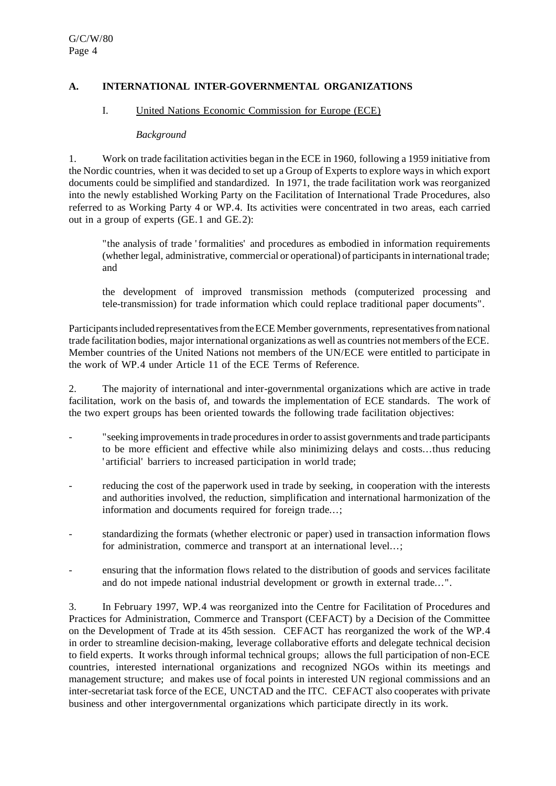## **A. INTERNATIONAL INTER-GOVERNMENTAL ORGANIZATIONS**

#### I. United Nations Economic Commission for Europe (ECE)

#### *Background*

1. Work on trade facilitation activities began in the ECE in 1960, following a 1959 initiative from the Nordic countries, when it was decided to set up a Group of Experts to explore waysin which export documents could be simplified and standardized. In 1971, the trade facilitation work was reorganized into the newly established Working Party on the Facilitation of International Trade Procedures, also referred to as Working Party 4 or WP.4. Its activities were concentrated in two areas, each carried out in a group of experts (GE.1 and GE.2):

"the analysis of trade 'formalities' and procedures as embodied in information requirements (whether legal, administrative, commercial or operational) of participants in international trade; and

the development of improved transmission methods (computerized processing and tele-transmission) for trade information which could replace traditional paper documents".

Participants included representatives from the ECE Member governments, representatives from national trade facilitation bodies, major international organizations as well as countries not members of the ECE. Member countries of the United Nations not members of the UN/ECE were entitled to participate in the work of WP.4 under Article 11 of the ECE Terms of Reference.

2. The majority of international and inter-governmental organizations which are active in trade facilitation, work on the basis of, and towards the implementation of ECE standards. The work of the two expert groups has been oriented towards the following trade facilitation objectives:

- " seeking improvements in trade procedures in order to assist governments and trade participants to be more efficient and effective while also minimizing delays and costs...thus reducing 'artificial' barriers to increased participation in world trade;
- reducing the cost of the paperwork used in trade by seeking, in cooperation with the interests and authorities involved, the reduction, simplification and international harmonization of the information and documents required for foreign trade...;
- standardizing the formats (whether electronic or paper) used in transaction information flows for administration, commerce and transport at an international level...;
- ensuring that the information flows related to the distribution of goods and services facilitate and do not impede national industrial development or growth in external trade...".

3. In February 1997, WP.4 was reorganized into the Centre for Facilitation of Procedures and Practices for Administration, Commerce and Transport (CEFACT) by a Decision of the Committee on the Development of Trade at its 45th session. CEFACT has reorganized the work of the WP.4 in order to streamline decision-making, leverage collaborative efforts and delegate technical decision to field experts. It works through informal technical groups; allows the full participation of non-ECE countries, interested international organizations and recognized NGOs within its meetings and management structure; and makes use of focal points in interested UN regional commissions and an inter-secretariat task force of the ECE, UNCTAD and the ITC. CEFACT also cooperates with private business and other intergovernmental organizations which participate directly in its work.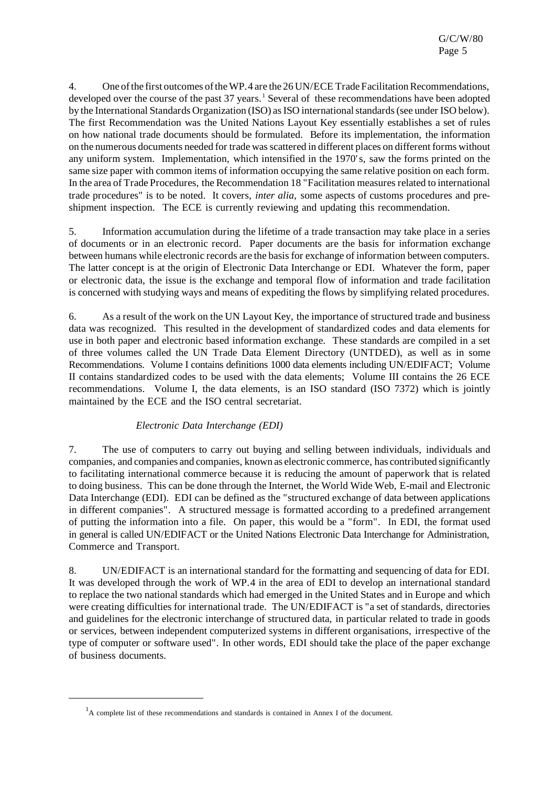4. One of the first outcomes of the WP.4 are the 26 UN/ECE Trade Facilitation Recommendations, developed over the course of the past  $37$  years.<sup>1</sup> Several of these recommendations have been adopted by the International Standards Organization (ISO) as ISO international standards (see under ISO below). The first Recommendation was the United Nations Layout Key essentially establishes a set of rules on how national trade documents should be formulated. Before its implementation, the information on the numerous documents needed fortrade wasscattered in different places on different forms without any uniform system. Implementation, which intensified in the 1970's, saw the forms printed on the same size paper with common items of information occupying the same relative position on each form. In the area of Trade Procedures, the Recommendation 18 "Facilitation measures related to international trade procedures" is to be noted. It covers, *inter alia*, some aspects of customs procedures and preshipment inspection. The ECE is currently reviewing and updating this recommendation.

5. Information accumulation during the lifetime of a trade transaction may take place in a series of documents or in an electronic record. Paper documents are the basis for information exchange between humans while electronic records are the basisfor exchange of information between computers. The latter concept is at the origin of Electronic Data Interchange or EDI. Whatever the form, paper or electronic data, the issue is the exchange and temporal flow of information and trade facilitation is concerned with studying ways and means of expediting the flows by simplifying related procedures.

6. As a result of the work on the UN Layout Key, the importance of structured trade and business data was recognized. This resulted in the development of standardized codes and data elements for use in both paper and electronic based information exchange. These standards are compiled in a set of three volumes called the UN Trade Data Element Directory (UNTDED), as well as in some Recommendations. Volume I contains definitions 1000 data elements including UN/EDIFACT; Volume II contains standardized codes to be used with the data elements; Volume III contains the 26 ECE recommendations. Volume I, the data elements, is an ISO standard (ISO 7372) which is jointly maintained by the ECE and the ISO central secretariat.

# *Electronic Data Interchange (EDI)*

7. The use of computers to carry out buying and selling between individuals, individuals and companies, and companies and companies, known as electronic commerce, has contributed significantly to facilitating international commerce because it is reducing the amount of paperwork that is related to doing business. This can be done through the Internet, the World Wide Web, E-mail and Electronic Data Interchange (EDI). EDI can be defined as the "structured exchange of data between applications in different companies". A structured message is formatted according to a predefined arrangement of putting the information into a file. On paper, this would be a "form". In EDI, the format used in general is called UN/EDIFACT or the United Nations Electronic Data Interchange for Administration, Commerce and Transport.

8. UN/EDIFACT is an international standard for the formatting and sequencing of data for EDI. It was developed through the work of WP.4 in the area of EDI to develop an international standard to replace the two national standards which had emerged in the United States and in Europe and which were creating difficulties for international trade. The UN/EDIFACT is "a set of standards, directories and guidelines for the electronic interchange of structured data, in particular related to trade in goods or services, between independent computerized systems in different organisations, irrespective of the type of computer or software used". In other words, EDI should take the place of the paper exchange of business documents.

 $<sup>1</sup>A$  complete list of these recommendations and standards is contained in Annex I of the document.</sup>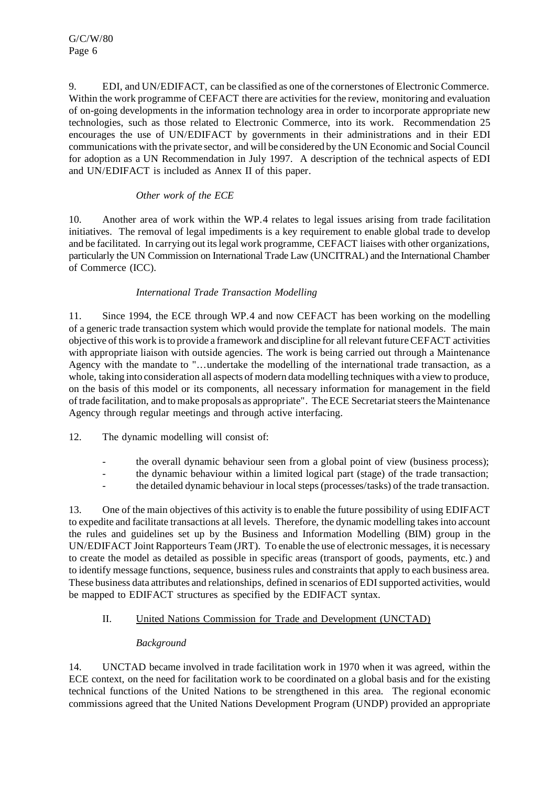9. EDI, and UN/EDIFACT, can be classified as one of the cornerstones of Electronic Commerce. Within the work programme of CEFACT there are activities for the review, monitoring and evaluation of on-going developments in the information technology area in order to incorporate appropriate new technologies, such as those related to Electronic Commerce, into its work. Recommendation 25 encourages the use of UN/EDIFACT by governments in their administrations and in their EDI communications with the private sector, and will be considered by the UN Economic and Social Council for adoption as a UN Recommendation in July 1997. A description of the technical aspects of EDI and UN/EDIFACT is included as Annex II of this paper.

# *Other work of the ECE*

10. Another area of work within the WP.4 relates to legal issues arising from trade facilitation initiatives. The removal of legal impediments is a key requirement to enable global trade to develop and be facilitated. In carrying out itslegal work programme, CEFACT liaises with other organizations, particularly the UN Commission on International Trade Law (UNCITRAL) and the International Chamber of Commerce (ICC).

# *International Trade Transaction Modelling*

11. Since 1994, the ECE through WP.4 and now CEFACT has been working on the modelling of a generic trade transaction system which would provide the template for national models. The main objective of this work isto provide a framework and discipline for allrelevant futureCEFACT activities with appropriate liaison with outside agencies. The work is being carried out through a Maintenance Agency with the mandate to "...undertake the modelling of the international trade transaction, as a whole, taking into consideration all aspects of modern data modelling techniques with a view to produce, on the basis of this model or its components, all necessary information for management in the field of trade facilitation, and tomake proposals as appropriate". TheECE Secretariatsteersthe Maintenance Agency through regular meetings and through active interfacing.

12. The dynamic modelling will consist of:

- the overall dynamic behaviour seen from a global point of view (business process);
- the dynamic behaviour within a limited logical part (stage) of the trade transaction;
- the detailed dynamic behaviour in localsteps(processes/tasks) of the trade transaction.

13. One of the main objectives of this activity is to enable the future possibility of using EDIFACT to expedite and facilitate transactions at all levels. Therefore, the dynamic modelling takesinto account the rules and guidelines set up by the Business and Information Modelling (BIM) group in the UN/EDIFACT Joint Rapporteurs Team (JRT). To enable the use of electronic messages, it is necessary to create the model as detailed as possible in specific areas (transport of goods, payments, etc.) and to identify message functions, sequence, business rules and constraints that apply to each business area. These business data attributes and relationships, defined in scenarios of EDI supported activities, would be mapped to EDIFACT structures as specified by the EDIFACT syntax.

# II. United Nations Commission for Trade and Development (UNCTAD)

# *Background*

14. UNCTAD became involved in trade facilitation work in 1970 when it was agreed, within the ECE context, on the need for facilitation work to be coordinated on a global basis and for the existing technical functions of the United Nations to be strengthened in this area. The regional economic commissions agreed that the United Nations Development Program (UNDP) provided an appropriate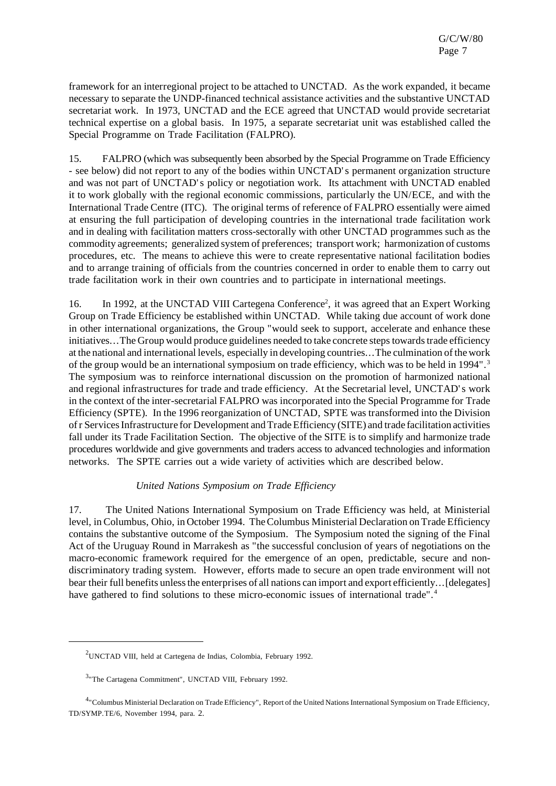framework for an interregional project to be attached to UNCTAD. As the work expanded, it became necessary to separate the UNDP-financed technical assistance activities and the substantive UNCTAD secretariat work. In 1973, UNCTAD and the ECE agreed that UNCTAD would provide secretariat technical expertise on a global basis. In 1975, a separate secretariat unit was established called the Special Programme on Trade Facilitation (FALPRO).

15. FALPRO (which was subsequently been absorbed by the Special Programme on Trade Efficiency - see below) did not report to any of the bodies within UNCTAD's permanent organization structure and was not part of UNCTAD's policy or negotiation work. Its attachment with UNCTAD enabled it to work globally with the regional economic commissions, particularly the UN/ECE, and with the International Trade Centre (ITC). The original terms of reference of FALPRO essentially were aimed at ensuring the full participation of developing countries in the international trade facilitation work and in dealing with facilitation matters cross-sectorally with other UNCTAD programmes such as the commodity agreements; generalized system of preferences; transport work; harmonization of customs procedures, etc. The means to achieve this were to create representative national facilitation bodies and to arrange training of officials from the countries concerned in order to enable them to carry out trade facilitation work in their own countries and to participate in international meetings.

16. In 1992, at the UNCTAD VIII Cartegena Conference<sup>2</sup>, it was agreed that an Expert Working Group on Trade Efficiency be established within UNCTAD. While taking due account of work done in other international organizations, the Group "would seek to support, accelerate and enhance these initiatives...The Group would produce guidelines needed to take concrete steps towards trade efficiency at the national and international levels, especially in developing countries...The culmination of the work of the group would be an international symposium on trade efficiency, which was to be held in 1994".<sup>3</sup> The symposium was to reinforce international discussion on the promotion of harmonized national and regional infrastructures for trade and trade efficiency. At the Secretarial level, UNCTAD's work in the context of the inter-secretarial FALPRO was incorporated into the Special Programme for Trade Efficiency (SPTE). In the 1996 reorganization of UNCTAD, SPTE was transformed into the Division of r Services Infrastructure for Development and Trade Efficiency (SITE) and trade facilitation activities fall under its Trade Facilitation Section. The objective of the SITE is to simplify and harmonize trade procedures worldwide and give governments and traders access to advanced technologies and information networks. The SPTE carries out a wide variety of activities which are described below.

#### *United Nations Symposium on Trade Efficiency*

17. The United Nations International Symposium on Trade Efficiency was held, at Ministerial level, in Columbus, Ohio, in October 1994. The Columbus Ministerial Declaration on Trade Efficiency contains the substantive outcome of the Symposium. The Symposium noted the signing of the Final Act of the Uruguay Round in Marrakesh as "the successful conclusion of years of negotiations on the macro-economic framework required for the emergence of an open, predictable, secure and nondiscriminatory trading system. However, efforts made to secure an open trade environment will not bear their full benefits unless the enterprises of all nations can import and export efficiently...[delegates] have gathered to find solutions to these micro-economic issues of international trade".<sup>4</sup>

<sup>2</sup>UNCTAD VIII, held at Cartegena de Indias, Colombia, February 1992.

<sup>&</sup>lt;sup>3</sup> The Cartagena Commitment", UNCTAD VIII, February 1992.

<sup>&</sup>lt;sup>4</sup>"Columbus Ministerial Declaration on Trade Efficiency", Report of the United Nations International Symposium on Trade Efficiency, TD/SYMP.TE/6, November 1994, para. 2.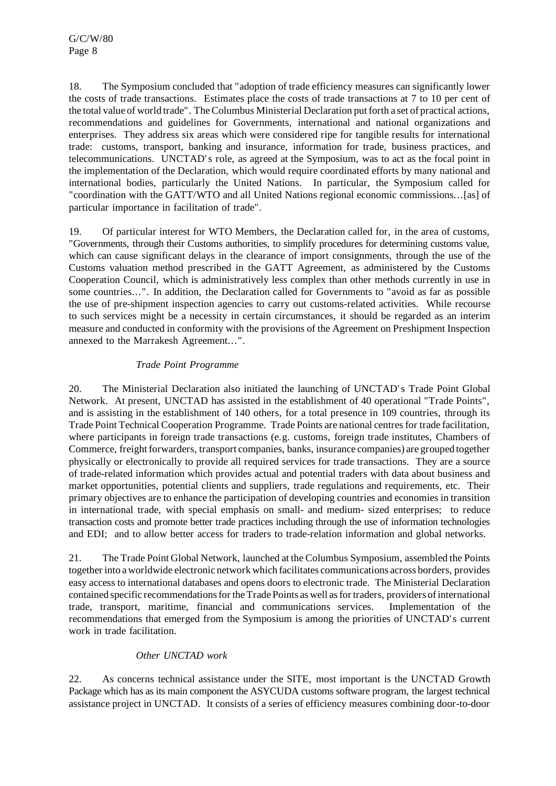18. The Symposium concluded that "adoption of trade efficiency measures can significantly lower the costs of trade transactions. Estimates place the costs of trade transactions at 7 to 10 per cent of the total value of world trade". TheColumbus Ministerial Declaration putforth a set of practical actions, recommendations and guidelines for Governments, international and national organizations and enterprises. They address six areas which were considered ripe for tangible results for international trade: customs, transport, banking and insurance, information for trade, business practices, and telecommunications. UNCTAD's role, as agreed at the Symposium, was to act as the focal point in the implementation of the Declaration, which would require coordinated efforts by many national and international bodies, particularly the United Nations. In particular, the Symposium called for "coordination with the GATT/WTO and all United Nations regional economic commissions...[as] of particular importance in facilitation of trade".

19. Of particular interest for WTO Members, the Declaration called for, in the area of customs, "Governments, through their Customs authorities, to simplify procedures for determining customs value, which can cause significant delays in the clearance of import consignments, through the use of the Customs valuation method prescribed in the GATT Agreement, as administered by the Customs Cooperation Council, which is administratively less complex than other methods currently in use in some countries...". In addition, the Declaration called for Governments to "avoid as far as possible the use of pre-shipment inspection agencies to carry out customs-related activities. While recourse to such services might be a necessity in certain circumstances, it should be regarded as an interim measure and conducted in conformity with the provisions of the Agreement on Preshipment Inspection annexed to the Marrakesh Agreement...".

# *Trade Point Programme*

20. The Ministerial Declaration also initiated the launching of UNCTAD's Trade Point Global Network. At present, UNCTAD has assisted in the establishment of 40 operational "Trade Points", and is assisting in the establishment of 140 others, for a total presence in 109 countries, through its Trade Point Technical Cooperation Programme. Trade Points are national centresfor trade facilitation, where participants in foreign trade transactions (e.g. customs, foreign trade institutes, Chambers of Commerce, freight forwarders, transport companies, banks, insurance companies) are grouped together physically or electronically to provide all required services for trade transactions. They are a source of trade-related information which provides actual and potential traders with data about business and market opportunities, potential clients and suppliers, trade regulations and requirements, etc. Their primary objectives are to enhance the participation of developing countries and economies in transition in international trade, with special emphasis on small- and medium- sized enterprises; to reduce transaction costs and promote better trade practices including through the use of information technologies and EDI; and to allow better access for traders to trade-relation information and global networks.

21. The Trade Point Global Network, launched at the Columbus Symposium, assembled the Points together into a worldwide electronic network which facilitates communications across borders, provides easy access to international databases and opens doors to electronic trade. The Ministerial Declaration contained specific recommendationsfortheTrade Points as well asfortraders, providers ofinternational trade, transport, maritime, financial and communications services. Implementation of the recommendations that emerged from the Symposium is among the priorities of UNCTAD's current work in trade facilitation.

# *Other UNCTAD work*

22. As concerns technical assistance under the SITE, most important is the UNCTAD Growth Package which has as its main component the ASYCUDA customs software program, the largest technical assistance project in UNCTAD. It consists of a series of efficiency measures combining door-to-door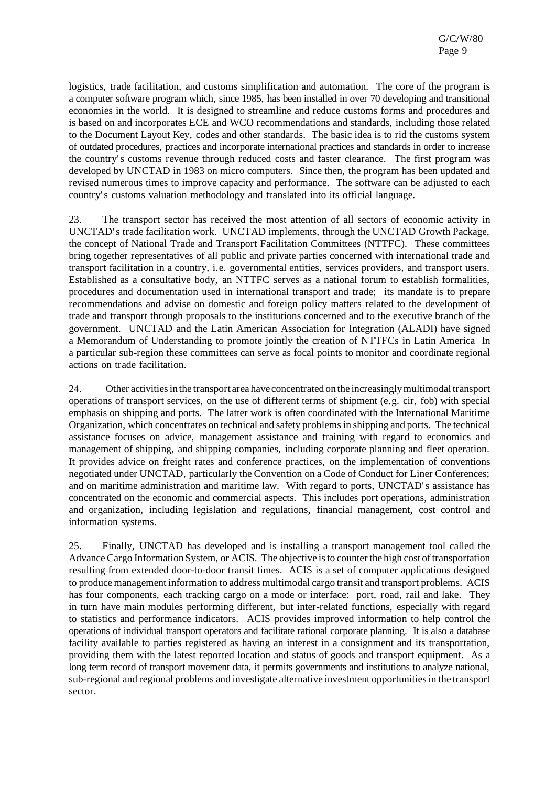logistics, trade facilitation, and customs simplification and automation. The core of the program is a computer software program which, since 1985, has been installed in over 70 developing and transitional economies in the world. It is designed to streamline and reduce customs forms and procedures and is based on and incorporates ECE and WCO recommendations and standards, including those related to the Document Layout Key, codes and other standards. The basic idea is to rid the customs system of outdated procedures, practices and incorporate international practices and standards in order to increase the country's customs revenue through reduced costs and faster clearance. The first program was developed by UNCTAD in 1983 on micro computers. Since then, the program has been updated and revised numerous times to improve capacity and performance. The software can be adjusted to each country's customs valuation methodology and translated into its official language.

23. The transport sector has received the most attention of all sectors of economic activity in UNCTAD's trade facilitation work. UNCTAD implements, through the UNCTAD Growth Package, the concept of National Trade and Transport Facilitation Committees (NTTFC). These committees bring together representatives of all public and private parties concerned with international trade and transport facilitation in a country, i.e. governmental entities, services providers, and transport users. Established as a consultative body, an NTTFC serves as a national forum to establish formalities, procedures and documentation used in international transport and trade; its mandate is to prepare recommendations and advise on domestic and foreign policy matters related to the development of trade and transport through proposals to the institutions concerned and to the executive branch of the government. UNCTAD and the Latin American Association for Integration (ALADI) have signed a Memorandum of Understanding to promote jointly the creation of NTTFCs in Latin America In a particular sub-region these committees can serve as focal points to monitor and coordinate regional actions on trade facilitation.

24. Other activitiesin the transport area have concentrated on the increasinglymultimodal transport operations of transport services, on the use of different terms of shipment (e.g. cir, fob) with special emphasis on shipping and ports. The latter work is often coordinated with the International Maritime Organization, which concentrates on technical and safety problemsin shipping and ports. The technical assistance focuses on advice, management assistance and training with regard to economics and management of shipping, and shipping companies, including corporate planning and fleet operation. It provides advice on freight rates and conference practices, on the implementation of conventions negotiated under UNCTAD, particularly the Convention on a Code of Conduct for Liner Conferences; and on maritime administration and maritime law. With regard to ports, UNCTAD's assistance has concentrated on the economic and commercial aspects. This includes port operations, administration and organization, including legislation and regulations, financial management, cost control and information systems.

25. Finally, UNCTAD has developed and is installing a transport management tool called the Advance Cargo Information System, or ACIS. The objective is to counter the high cost of transportation resulting from extended door-to-door transit times. ACIS is a set of computer applications designed to produce management information to address multimodal cargo transit and transport problems. ACIS has four components, each tracking cargo on a mode or interface: port, road, rail and lake. They in turn have main modules performing different, but inter-related functions, especially with regard to statistics and performance indicators. ACIS provides improved information to help control the operations of individual transport operators and facilitate rational corporate planning. It is also a database facility available to parties registered as having an interest in a consignment and its transportation, providing them with the latest reported location and status of goods and transport equipment. As a long term record of transport movement data, it permits governments and institutions to analyze national, sub-regional and regional problems and investigate alternative investment opportunities in the transport sector.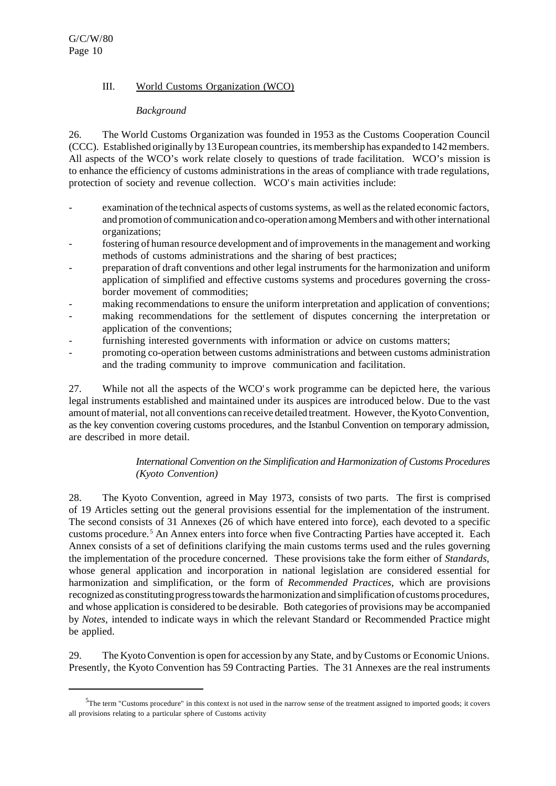# III. World Customs Organization (WCO)

## *Background*

26. The World Customs Organization was founded in 1953 as the Customs Cooperation Council (CCC). Established originally by 13European countries,itsmembership has expanded to 142members. All aspects of the WCO's work relate closely to questions of trade facilitation. WCO's mission is to enhance the efficiency of customs administrations in the areas of compliance with trade regulations, protection of society and revenue collection. WCO's main activities include:

- examination of the technical aspects of customs systems, as well as the related economic factors, and promotion of communication and co-operation among Members and with other international organizations;
- fostering of human resource development and of improvements in the management and working methods of customs administrations and the sharing of best practices;
- preparation of draft conventions and other legal instrumentsfor the harmonization and uniform application of simplified and effective customs systems and procedures governing the crossborder movement of commodities;
- making recommendations to ensure the uniform interpretation and application of conventions;
- making recommendations for the settlement of disputes concerning the interpretation or application of the conventions;
- furnishing interested governments with information or advice on customs matters;
- promoting co-operation between customs administrations and between customs administration and the trading community to improve communication and facilitation.

27. While not all the aspects of the WCO's work programme can be depicted here, the various legal instruments established and maintained under its auspices are introduced below. Due to the vast amount of material, not all conventions can receive detailed treatment. However, the Kyoto Convention, as the key convention covering customs procedures, and the Istanbul Convention on temporary admission, are described in more detail.

# *International Convention on the Simplification and Harmonization of Customs Procedures (Kyoto Convention)*

28. The Kyoto Convention, agreed in May 1973, consists of two parts. The first is comprised of 19 Articles setting out the general provisions essential for the implementation of the instrument. The second consists of 31 Annexes (26 of which have entered into force), each devoted to a specific customs procedure.<sup>5</sup> An Annex enters into force when five Contracting Parties have accepted it. Each Annex consists of a set of definitions clarifying the main customs terms used and the rules governing the implementation of the procedure concerned. These provisions take the form either of *Standards*, whose general application and incorporation in national legislation are considered essential for harmonization and simplification, or the form of *Recommended Practices*, which are provisions recognized as constituting progress towards the harmonization and simplification of customs procedures, and whose application is considered to be desirable. Both categories of provisions may be accompanied by *Notes*, intended to indicate ways in which the relevant Standard or Recommended Practice might be applied.

29. TheKyotoConvention is open for accession by any State, and byCustoms orEconomic Unions. Presently, the Kyoto Convention has 59 Contracting Parties. The 31 Annexes are the real instruments

<sup>&</sup>lt;sup>5</sup>The term "Customs procedure" in this context is not used in the narrow sense of the treatment assigned to imported goods; it covers all provisions relating to a particular sphere of Customs activity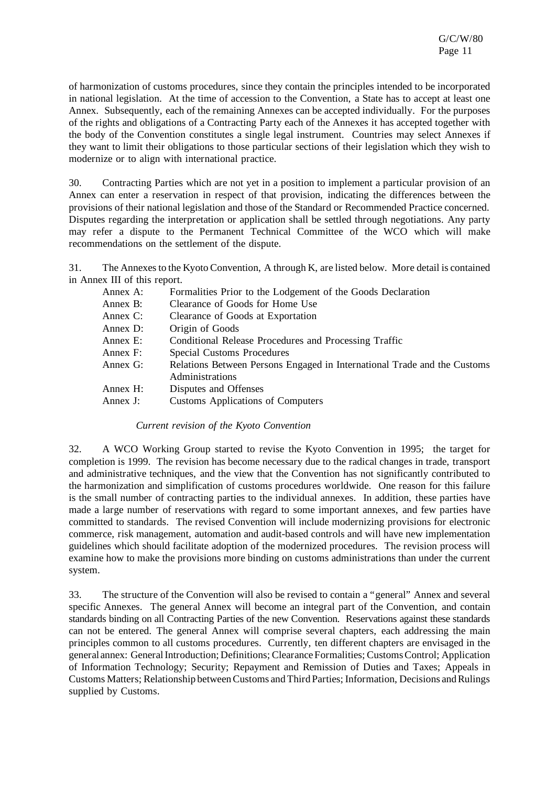of harmonization of customs procedures, since they contain the principles intended to be incorporated in national legislation. At the time of accession to the Convention, a State has to accept at least one Annex. Subsequently, each of the remaining Annexes can be accepted individually. For the purposes of the rights and obligations of a Contracting Party each of the Annexes it has accepted together with the body of the Convention constitutes a single legal instrument. Countries may select Annexes if they want to limit their obligations to those particular sections of their legislation which they wish to modernize or to align with international practice.

30. Contracting Parties which are not yet in a position to implement a particular provision of an Annex can enter a reservation in respect of that provision, indicating the differences between the provisions of their national legislation and those of the Standard or Recommended Practice concerned. Disputes regarding the interpretation or application shall be settled through negotiations. Any party may refer a dispute to the Permanent Technical Committee of the WCO which will make recommendations on the settlement of the dispute.

31. The Annexesto the Kyoto Convention, A through K, are listed below. More detail is contained in Annex III of this report.

| Annex A: | Formalities Prior to the Lodgement of the Goods Declaration                                 |
|----------|---------------------------------------------------------------------------------------------|
| Annex B: | Clearance of Goods for Home Use                                                             |
| Annex C: | Clearance of Goods at Exportation                                                           |
| Annex D: | Origin of Goods                                                                             |
| Annex E: | Conditional Release Procedures and Processing Traffic                                       |
| Annex F: | Special Customs Procedures                                                                  |
| Annex G: | Relations Between Persons Engaged in International Trade and the Customs<br>Administrations |
| Annex H: | Disputes and Offenses                                                                       |
| Annex J: | <b>Customs Applications of Computers</b>                                                    |
|          |                                                                                             |

*Current revision of the Kyoto Convention*

32. A WCO Working Group started to revise the Kyoto Convention in 1995; the target for completion is 1999. The revision has become necessary due to the radical changes in trade, transport and administrative techniques, and the view that the Convention has not significantly contributed to the harmonization and simplification of customs procedures worldwide. One reason for this failure is the small number of contracting parties to the individual annexes. In addition, these parties have made a large number of reservations with regard to some important annexes, and few parties have committed to standards. The revised Convention will include modernizing provisions for electronic commerce, risk management, automation and audit-based controls and will have new implementation guidelines which should facilitate adoption of the modernized procedures. The revision process will examine how to make the provisions more binding on customs administrations than under the current system.

33. The structure of the Convention will also be revised to contain a "general" Annex and several specific Annexes. The general Annex will become an integral part of the Convention, and contain standards binding on all Contracting Parties of the new Convention. Reservations against these standards can not be entered. The general Annex will comprise several chapters, each addressing the main principles common to all customs procedures. Currently, ten different chapters are envisaged in the general annex: General Introduction; Definitions; Clearance Formalities; Customs Control; Application of Information Technology; Security; Repayment and Remission of Duties and Taxes; Appeals in Customs Matters; Relationship between Customs and Third Parties; Information, Decisions and Rulings supplied by Customs.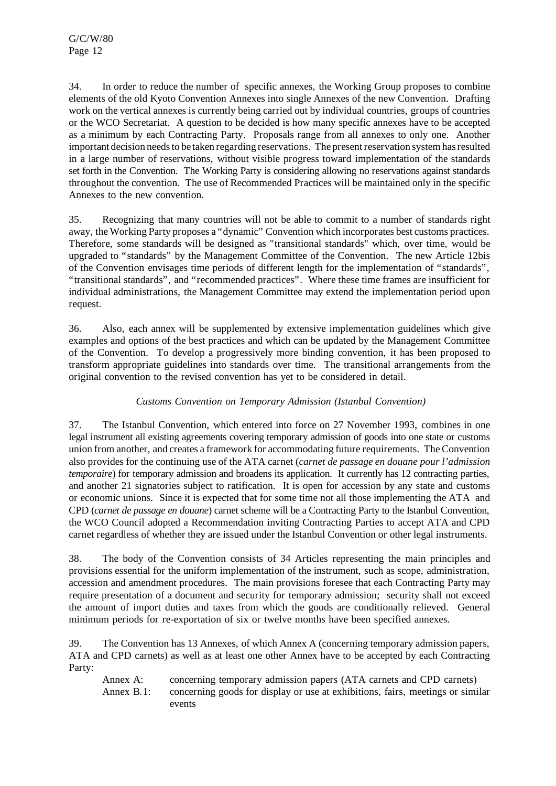34. In order to reduce the number of specific annexes, the Working Group proposes to combine elements of the old Kyoto Convention Annexes into single Annexes of the new Convention. Drafting work on the vertical annexes is currently being carried out by individual countries, groups of countries or the WCO Secretariat. A question to be decided is how many specific annexes have to be accepted as a minimum by each Contracting Party. Proposals range from all annexes to only one. Another important decision needs to be taken regarding reservations. The present reservation system has resulted in a large number of reservations, without visible progress toward implementation of the standards set forth in the Convention. The Working Party is considering allowing no reservations against standards throughout the convention. The use of Recommended Practices will be maintained only in the specific Annexes to the new convention.

35. Recognizing that many countries will not be able to commit to a number of standards right away, the Working Party proposes a "dynamic" Convention which incorporates best customs practices. Therefore, some standards will be designed as "transitional standards" which, over time, would be upgraded to "standards" by the Management Committee of the Convention. The new Article 12bis of the Convention envisages time periods of different length for the implementation of "standards", "transitional standards", and "recommended practices". Where these time frames are insufficient for individual administrations, the Management Committee may extend the implementation period upon request.

36. Also, each annex will be supplemented by extensive implementation guidelines which give examples and options of the best practices and which can be updated by the Management Committee of the Convention. To develop a progressively more binding convention, it has been proposed to transform appropriate guidelines into standards over time. The transitional arrangements from the original convention to the revised convention has yet to be considered in detail.

# *Customs Convention on Temporary Admission (Istanbul Convention)*

37. The Istanbul Convention, which entered into force on 27 November 1993, combines in one legal instrument all existing agreements covering temporary admission of goods into one state or customs union from another, and creates a framework for accommodating future requirements. The Convention also provides for the continuing use of the ATA carnet (*carnet de passage en douane pour l'admission temporaire*) for temporary admission and broadens its application. It currently has 12 contracting parties, and another 21 signatories subject to ratification. It is open for accession by any state and customs or economic unions. Since it is expected that for some time not all those implementing the ATA and CPD (*carnet de passage en douane*) carnet scheme will be a Contracting Party to the Istanbul Convention, the WCO Council adopted a Recommendation inviting Contracting Parties to accept ATA and CPD carnet regardless of whether they are issued under the Istanbul Convention or other legal instruments.

38. The body of the Convention consists of 34 Articles representing the main principles and provisions essential for the uniform implementation of the instrument, such as scope, administration, accession and amendment procedures. The main provisions foresee that each Contracting Party may require presentation of a document and security for temporary admission; security shall not exceed the amount of import duties and taxes from which the goods are conditionally relieved. General minimum periods for re-exportation of six or twelve months have been specified annexes.

39. The Convention has 13 Annexes, of which Annex A (concerning temporary admission papers, ATA and CPD carnets) as well as at least one other Annex have to be accepted by each Contracting Party:

Annex A: concerning temporary admission papers (ATA carnets and CPD carnets) Annex B.1: concerning goods for display or use at exhibitions, fairs, meetings or similar events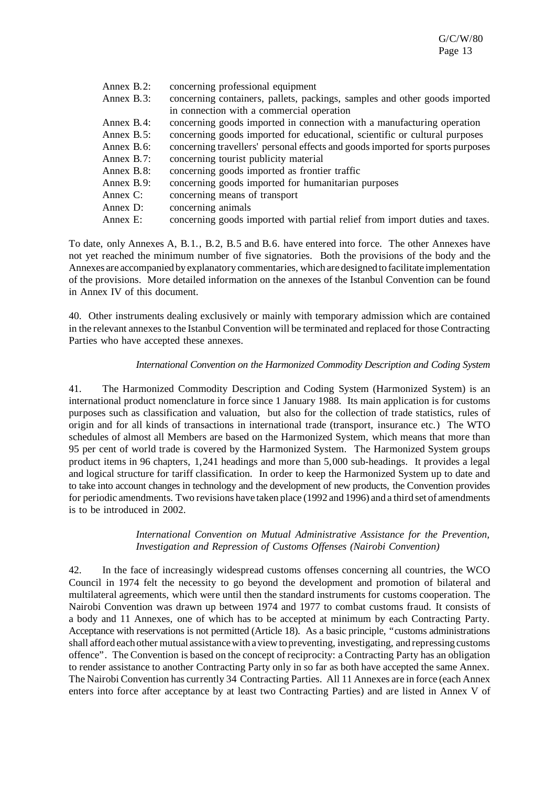| Annex B.2:    | concerning professional equipment                                              |
|---------------|--------------------------------------------------------------------------------|
| Annex B.3:    | concerning containers, pallets, packings, samples and other goods imported     |
|               | in connection with a commercial operation                                      |
| Annex $B.4$ : | concerning goods imported in connection with a manufacturing operation         |
| Annex $B.5$ : | concerning goods imported for educational, scientific or cultural purposes     |
| Annex $B.6$ : | concerning travellers' personal effects and goods imported for sports purposes |
| Annex $B.7$ : | concerning tourist publicity material                                          |
| Annex B.8:    | concerning goods imported as frontier traffic                                  |
| Annex B.9:    | concerning goods imported for humanitarian purposes                            |
| Annex $C$ :   | concerning means of transport                                                  |
| Annex D:      | concerning animals                                                             |
| Annex E:      | concerning goods imported with partial relief from import duties and taxes.    |

To date, only Annexes A, B.1., B.2, B.5 and B.6. have entered into force. The other Annexes have not yet reached the minimum number of five signatories. Both the provisions of the body and the Annexes are accompanied by explanatory commentaries, which are designed to facilitate implementation of the provisions. More detailed information on the annexes of the Istanbul Convention can be found in Annex IV of this document.

40. Other instruments dealing exclusively or mainly with temporary admission which are contained in the relevant annexes to the Istanbul Convention will be terminated and replaced for those Contracting Parties who have accepted these annexes.

#### *International Convention on the Harmonized Commodity Description and Coding System*

41. The Harmonized Commodity Description and Coding System (Harmonized System) is an international product nomenclature in force since 1 January 1988. Its main application is for customs purposes such as classification and valuation, but also for the collection of trade statistics, rules of origin and for all kinds of transactions in international trade (transport, insurance etc.) The WTO schedules of almost all Members are based on the Harmonized System, which means that more than 95 per cent of world trade is covered by the Harmonized System. The Harmonized System groups product items in 96 chapters, 1,241 headings and more than 5,000 sub-headings. It provides a legal and logical structure for tariff classification. In order to keep the Harmonized System up to date and to take into account changes in technology and the development of new products, the Convention provides for periodic amendments. Two revisions have taken place (1992 and 1996) and a third set of amendments is to be introduced in 2002.

#### *International Convention on Mutual Administrative Assistance for the Prevention, Investigation and Repression of Customs Offenses (Nairobi Convention)*

42. In the face of increasingly widespread customs offenses concerning all countries, the WCO Council in 1974 felt the necessity to go beyond the development and promotion of bilateral and multilateral agreements, which were until then the standard instruments for customs cooperation. The Nairobi Convention was drawn up between 1974 and 1977 to combat customs fraud. It consists of a body and 11 Annexes, one of which has to be accepted at minimum by each Contracting Party. Acceptance with reservations is not permitted (Article 18). As a basic principle, "customs administrations shall afford each other mutual assistance with a view to preventing, investigating, and repressing customs offence". The Convention is based on the concept of reciprocity: a Contracting Party has an obligation to render assistance to another Contracting Party only in so far as both have accepted the same Annex. The Nairobi Convention has currently 34 Contracting Parties. All 11 Annexes are in force (each Annex enters into force after acceptance by at least two Contracting Parties) and are listed in Annex V of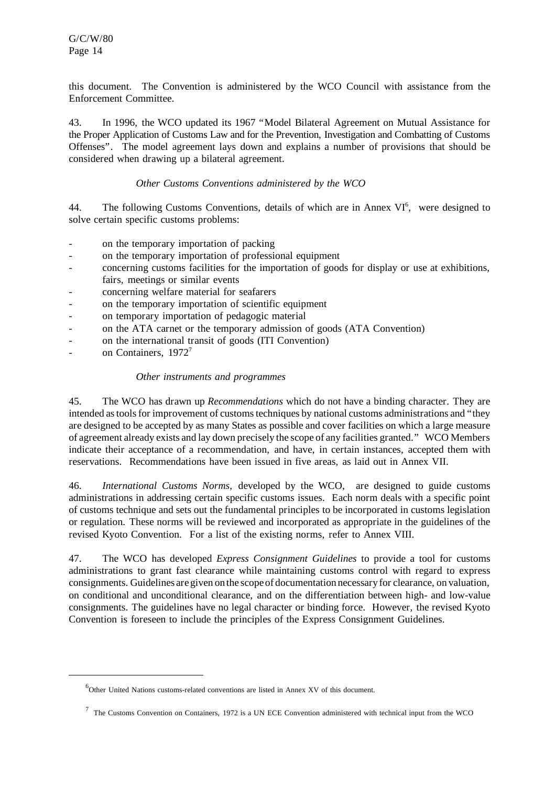this document. The Convention is administered by the WCO Council with assistance from the Enforcement Committee.

43. In 1996, the WCO updated its 1967 "Model Bilateral Agreement on Mutual Assistance for the Proper Application of Customs Law and for the Prevention, Investigation and Combatting of Customs Offenses". The model agreement lays down and explains a number of provisions that should be considered when drawing up a bilateral agreement.

## *Other Customs Conventions administered by the WCO*

44. The following Customs Conventions, details of which are in Annex VI<sup>6</sup>, were designed to solve certain specific customs problems:

- on the temporary importation of packing
- on the temporary importation of professional equipment
- concerning customs facilities for the importation of goods for display or use at exhibitions, fairs, meetings or similar events
- concerning welfare material for seafarers
- on the temporary importation of scientific equipment
- on temporary importation of pedagogic material
- on the ATA carnet or the temporary admission of goods (ATA Convention)
- on the international transit of goods (ITI Convention)
- on Containers, 1972<sup>7</sup>

#### *Other instruments and programmes*

45. The WCO has drawn up *Recommendations* which do not have a binding character. They are intended as tools for improvement of customs techniques by national customs administrations and "they are designed to be accepted by as many States as possible and cover facilities on which a large measure of agreement already exists and lay down precisely the scope of any facilities granted." WCO Members indicate their acceptance of a recommendation, and have, in certain instances, accepted them with reservations. Recommendations have been issued in five areas, as laid out in Annex VII.

46. *International Customs Norms*, developed by the WCO, are designed to guide customs administrations in addressing certain specific customs issues. Each norm deals with a specific point of customs technique and sets out the fundamental principles to be incorporated in customs legislation or regulation. These norms will be reviewed and incorporated as appropriate in the guidelines of the revised Kyoto Convention. For a list of the existing norms, refer to Annex VIII.

47. The WCO has developed *Express Consignment Guidelines* to provide a tool for customs administrations to grant fast clearance while maintaining customs control with regard to express consignments.Guidelines are given on the scope of documentation necessary for clearance, on valuation, on conditional and unconditional clearance, and on the differentiation between high- and low-value consignments. The guidelines have no legal character or binding force. However, the revised Kyoto Convention is foreseen to include the principles of the Express Consignment Guidelines.

 $6$ Other United Nations customs-related conventions are listed in Annex XV of this document.

 $<sup>7</sup>$  The Customs Convention on Containers, 1972 is a UN ECE Convention administered with technical input from the WCO</sup>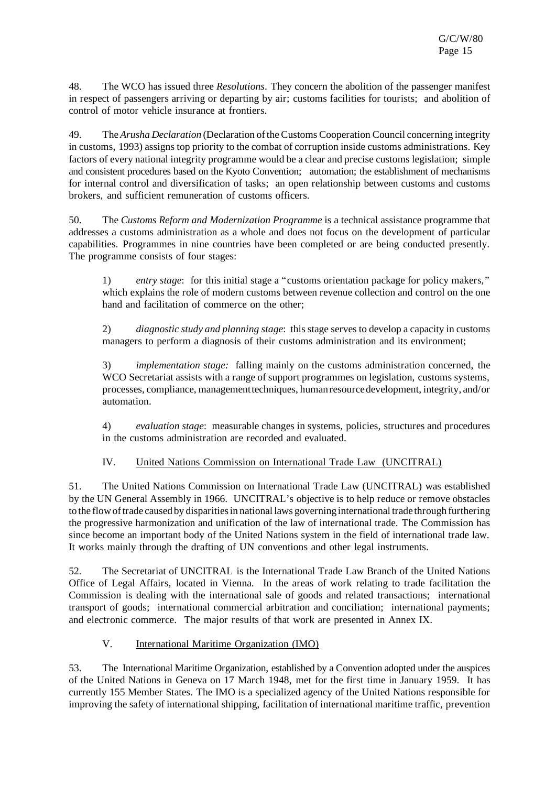48. The WCO has issued three *Resolutions*. They concern the abolition of the passenger manifest in respect of passengers arriving or departing by air; customs facilities for tourists; and abolition of control of motor vehicle insurance at frontiers.

49. The*Arusha Declaration* (Declaration ofthe Customs Cooperation Council concerning integrity in customs, 1993) assigns top priority to the combat of corruption inside customs administrations. Key factors of every national integrity programme would be a clear and precise customs legislation; simple and consistent procedures based on the Kyoto Convention; automation; the establishment of mechanisms for internal control and diversification of tasks; an open relationship between customs and customs brokers, and sufficient remuneration of customs officers.

50. The *Customs Reform and Modernization Programme* is a technical assistance programme that addresses a customs administration as a whole and does not focus on the development of particular capabilities. Programmes in nine countries have been completed or are being conducted presently. The programme consists of four stages:

1) *entry stage*: for this initial stage a "customs orientation package for policy makers," which explains the role of modern customs between revenue collection and control on the one hand and facilitation of commerce on the other;

2) *diagnostic study and planning stage*: thisstage servesto develop a capacity in customs managers to perform a diagnosis of their customs administration and its environment;

3) *implementation stage:* falling mainly on the customs administration concerned, the WCO Secretariat assists with a range of support programmes on legislation, customs systems, processes, compliance, management techniques, human resource development, integrity, and/or automation.

4) *evaluation stage*: measurable changes in systems, policies, structures and procedures in the customs administration are recorded and evaluated.

# IV. United Nations Commission on International Trade Law (UNCITRAL)

51. The United Nations Commission on International Trade Law (UNCITRAL) was established by the UN General Assembly in 1966. UNCITRAL's objective is to help reduce or remove obstacles to the flowoftrade caused by disparitiesin nationallaws governing international trade through furthering the progressive harmonization and unification of the law of international trade. The Commission has since become an important body of the United Nations system in the field of international trade law. It works mainly through the drafting of UN conventions and other legal instruments.

52. The Secretariat of UNCITRAL is the International Trade Law Branch of the United Nations Office of Legal Affairs, located in Vienna. In the areas of work relating to trade facilitation the Commission is dealing with the international sale of goods and related transactions; international transport of goods; international commercial arbitration and conciliation; international payments; and electronic commerce. The major results of that work are presented in Annex IX.

# V. International Maritime Organization (IMO)

53. The International Maritime Organization, established by a Convention adopted under the auspices of the United Nations in Geneva on 17 March 1948, met for the first time in January 1959. It has currently 155 Member States. The IMO is a specialized agency of the United Nations responsible for improving the safety of international shipping, facilitation of international maritime traffic, prevention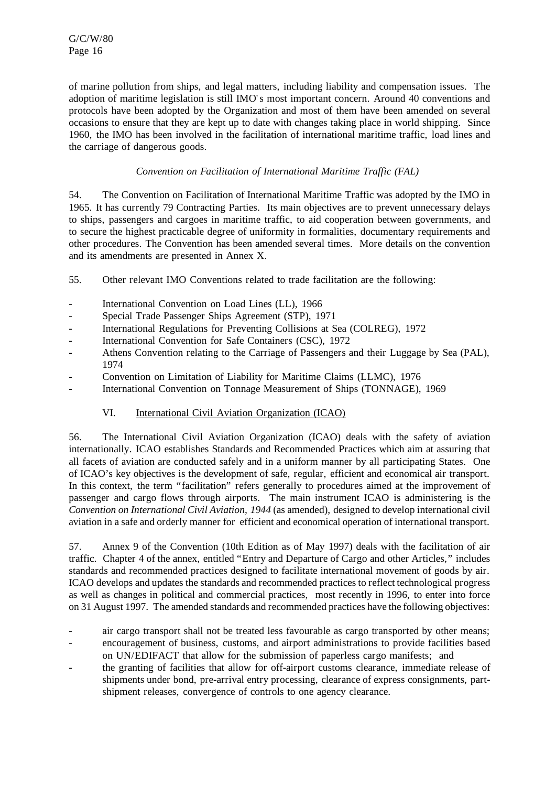of marine pollution from ships, and legal matters, including liability and compensation issues. The adoption of maritime legislation is still IMO's most important concern. Around 40 conventions and protocols have been adopted by the Organization and most of them have been amended on several occasions to ensure that they are kept up to date with changes taking place in world shipping. Since 1960, the IMO has been involved in the facilitation of international maritime traffic, load lines and the carriage of dangerous goods.

# *Convention on Facilitation of International Maritime Traffic (FAL)*

54. The Convention on Facilitation of International Maritime Traffic was adopted by the IMO in 1965. It has currently 79 Contracting Parties. Its main objectives are to prevent unnecessary delays to ships, passengers and cargoes in maritime traffic, to aid cooperation between governments, and to secure the highest practicable degree of uniformity in formalities, documentary requirements and other procedures. The Convention has been amended several times. More details on the convention and its amendments are presented in Annex X.

- 55. Other relevant IMO Conventions related to trade facilitation are the following:
- International Convention on Load Lines (LL), 1966
- Special Trade Passenger Ships Agreement (STP), 1971
- International Regulations for Preventing Collisions at Sea (COLREG), 1972
- International Convention for Safe Containers (CSC), 1972
- Athens Convention relating to the Carriage of Passengers and their Luggage by Sea (PAL), 1974
- Convention on Limitation of Liability for Maritime Claims (LLMC), 1976
- International Convention on Tonnage Measurement of Ships (TONNAGE), 1969

# VI. International Civil Aviation Organization (ICAO)

56. The International Civil Aviation Organization (ICAO) deals with the safety of aviation internationally. ICAO establishes Standards and Recommended Practices which aim at assuring that all facets of aviation are conducted safely and in a uniform manner by all participating States. One of ICAO's key objectives is the development of safe, regular, efficient and economical air transport. In this context, the term "facilitation" refers generally to procedures aimed at the improvement of passenger and cargo flows through airports. The main instrument ICAO is administering is the *Convention on International Civil Aviation, 1944* (as amended), designed to develop international civil aviation in a safe and orderly manner for efficient and economical operation of international transport.

57. Annex 9 of the Convention (10th Edition as of May 1997) deals with the facilitation of air traffic. Chapter 4 of the annex, entitled "Entry and Departure of Cargo and other Articles," includes standards and recommended practices designed to facilitate international movement of goods by air. ICAO develops and updates the standards and recommended practices to reflect technological progress as well as changes in political and commercial practices, most recently in 1996, to enter into force on 31 August 1997. The amended standards and recommended practices have the following objectives:

- air cargo transport shall not be treated less favourable as cargo transported by other means;
- encouragement of business, customs, and airport administrations to provide facilities based on UN/EDIFACT that allow for the submission of paperless cargo manifests; and
- the granting of facilities that allow for off-airport customs clearance, immediate release of shipments under bond, pre-arrival entry processing, clearance of express consignments, partshipment releases, convergence of controls to one agency clearance.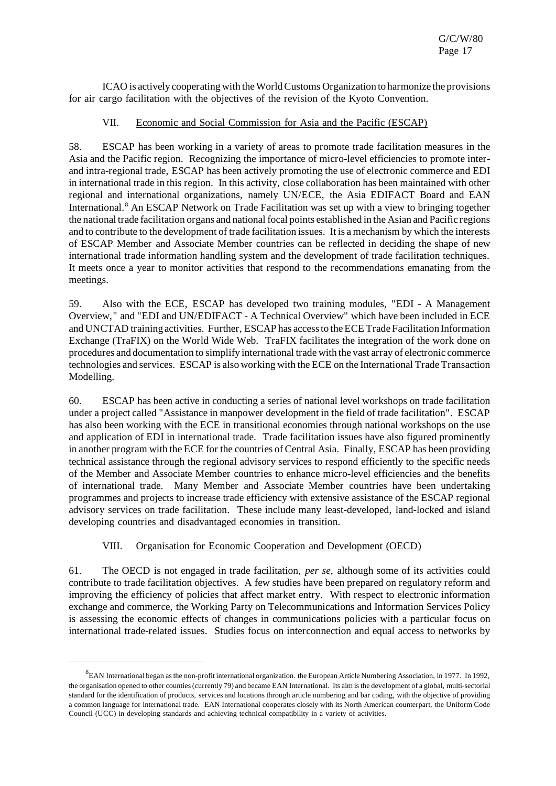ICAO is actively cooperating with theWorldCustoms Organization to harmonize the provisions for air cargo facilitation with the objectives of the revision of the Kyoto Convention.

## VII. Economic and Social Commission for Asia and the Pacific (ESCAP)

58. ESCAP has been working in a variety of areas to promote trade facilitation measures in the Asia and the Pacific region. Recognizing the importance of micro-level efficiencies to promote interand intra-regional trade, ESCAP has been actively promoting the use of electronic commerce and EDI in international trade in this region. In this activity, close collaboration has been maintained with other regional and international organizations, namely UN/ECE, the Asia EDIFACT Board and EAN International.<sup>8</sup> An ESCAP Network on Trade Facilitation was set up with a view to bringing together the national trade facilitation organs and national focal points established in the Asian and Pacific regions and to contribute to the development of trade facilitation issues. It is a mechanism by which the interests of ESCAP Member and Associate Member countries can be reflected in deciding the shape of new international trade information handling system and the development of trade facilitation techniques. It meets once a year to monitor activities that respond to the recommendations emanating from the meetings.

59. Also with the ECE, ESCAP has developed two training modules, "EDI - A Management Overview," and "EDI and UN/EDIFACT - A Technical Overview" which have been included in ECE and UNCTAD training activities. Further, ESCAP has access to the ECE Trade Facilitation Information Exchange (TraFIX) on the World Wide Web. TraFIX facilitates the integration of the work done on procedures and documentation to simplify international trade with the vast array of electronic commerce technologies and services. ESCAP is also working with the ECE on the International Trade Transaction Modelling.

60. ESCAP has been active in conducting a series of national level workshops on trade facilitation under a project called "Assistance in manpower development in the field of trade facilitation". ESCAP has also been working with the ECE in transitional economies through national workshops on the use and application of EDI in international trade. Trade facilitation issues have also figured prominently in another program with the ECE for the countries of Central Asia. Finally, ESCAP has been providing technical assistance through the regional advisory services to respond efficiently to the specific needs of the Member and Associate Member countries to enhance micro-level efficiencies and the benefits of international trade. Many Member and Associate Member countries have been undertaking programmes and projects to increase trade efficiency with extensive assistance of the ESCAP regional advisory services on trade facilitation. These include many least-developed, land-locked and island developing countries and disadvantaged economies in transition.

# VIII. Organisation for Economic Cooperation and Development (OECD)

61. The OECD is not engaged in trade facilitation, *per se*, although some of its activities could contribute to trade facilitation objectives. A few studies have been prepared on regulatory reform and improving the efficiency of policies that affect market entry. With respect to electronic information exchange and commerce, the Working Party on Telecommunications and Information Services Policy is assessing the economic effects of changes in communications policies with a particular focus on international trade-related issues. Studies focus on interconnection and equal access to networks by

 ${}^{8}$ EAN International began as the non-profit international organization. the European Article Numbering Association, in 1977. In 1992, the organisation opened to other counties(currently 79) and became EAN International. Its aim is the development of a global, multi-sectorial standard for the identification of products, services and locations through article numbering and bar coding, with the objective of providing a common language for international trade. EAN International cooperates closely with its North American counterpart, the Uniform Code Council (UCC) in developing standards and achieving technical compatibility in a variety of activities.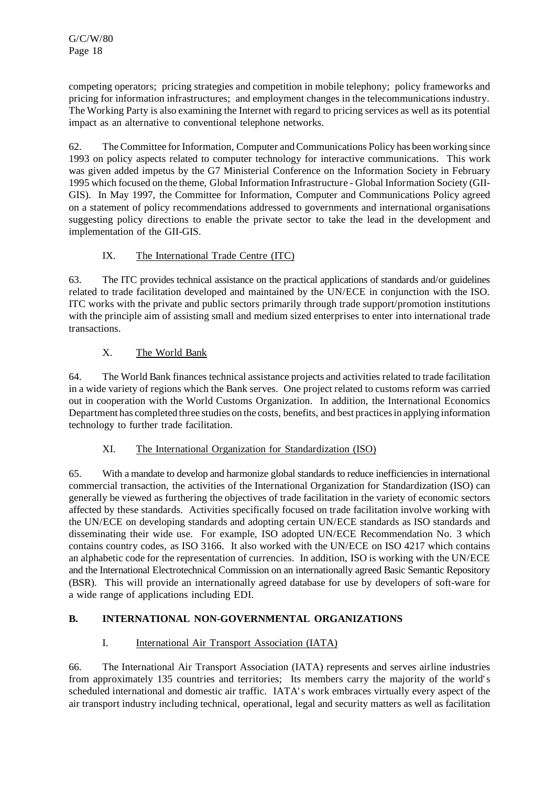competing operators; pricing strategies and competition in mobile telephony; policy frameworks and pricing for information infrastructures; and employment changes in the telecommunications industry. The Working Party is also examining the Internet with regard to pricing services as well as its potential impact as an alternative to conventional telephone networks.

62. The Committee forInformation,Computer andCommunications Policy has been working since 1993 on policy aspects related to computer technology for interactive communications. This work was given added impetus by the G7 Ministerial Conference on the Information Society in February 1995 which focused on the theme, Global Information Infrastructure - Global Information Society (GII-GIS). In May 1997, the Committee for Information, Computer and Communications Policy agreed on a statement of policy recommendations addressed to governments and international organisations suggesting policy directions to enable the private sector to take the lead in the development and implementation of the GII-GIS.

# IX. The International Trade Centre (ITC)

63. The ITC provides technical assistance on the practical applications of standards and/or guidelines related to trade facilitation developed and maintained by the UN/ECE in conjunction with the ISO. ITC works with the private and public sectors primarily through trade support/promotion institutions with the principle aim of assisting small and medium sized enterprises to enter into international trade transactions.

# X. The World Bank

64. The World Bank finances technical assistance projects and activities related to trade facilitation in a wide variety of regions which the Bank serves. One project related to customs reform was carried out in cooperation with the World Customs Organization. In addition, the International Economics Department has completed three studies on the costs, benefits, and best practices in applying information technology to further trade facilitation.

# XI. The International Organization for Standardization (ISO)

65. With a mandate to develop and harmonize global standards to reduce inefficiencies in international commercial transaction, the activities of the International Organization for Standardization (ISO) can generally be viewed as furthering the objectives of trade facilitation in the variety of economic sectors affected by these standards. Activities specifically focused on trade facilitation involve working with the UN/ECE on developing standards and adopting certain UN/ECE standards as ISO standards and disseminating their wide use. For example, ISO adopted UN/ECE Recommendation No. 3 which contains country codes, as ISO 3166. It also worked with the UN/ECE on ISO 4217 which contains an alphabetic code for the representation of currencies. In addition, ISO is working with the UN/ECE and the International Electrotechnical Commission on an internationally agreed Basic Semantic Repository (BSR). This will provide an internationally agreed database for use by developers of soft-ware for a wide range of applications including EDI.

# **B. INTERNATIONAL NON-GOVERNMENTAL ORGANIZATIONS**

# I. International Air Transport Association (IATA)

66. The International Air Transport Association (IATA) represents and serves airline industries from approximately 135 countries and territories; Its members carry the majority of the world's scheduled international and domestic air traffic. IATA's work embraces virtually every aspect of the air transport industry including technical, operational, legal and security matters as well as facilitation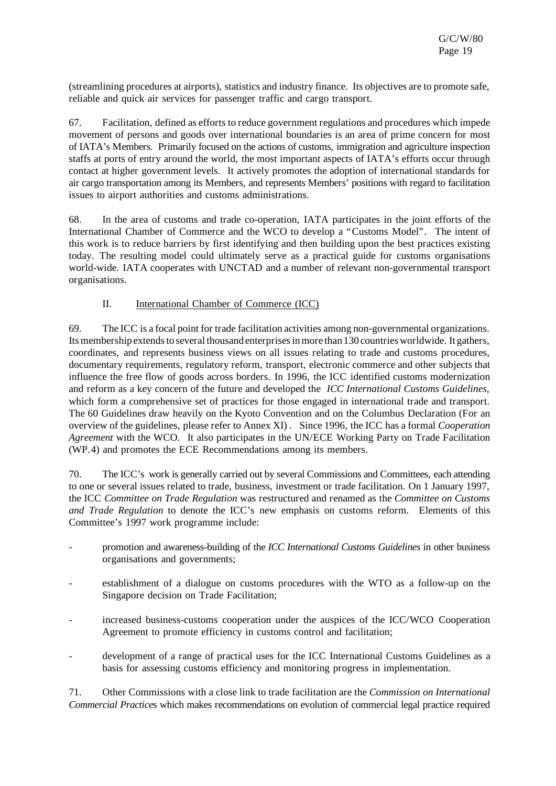(streamlining procedures at airports), statistics and industry finance. Its objectives are to promote safe, reliable and quick air services for passenger traffic and cargo transport.

67. Facilitation, defined as efforts to reduce government regulations and procedures which impede movement of persons and goods over international boundaries is an area of prime concern for most of IATA's Members. Primarily focused on the actions of customs, immigration and agriculture inspection staffs at ports of entry around the world, the most important aspects of IATA's efforts occur through contact at higher government levels. It actively promotes the adoption of international standards for air cargo transportation among its Members, and represents Members' positions with regard to facilitation issues to airport authorities and customs administrations.

68. In the area of customs and trade co-operation, IATA participates in the joint efforts of the International Chamber of Commerce and the WCO to develop a "Customs Model". The intent of this work is to reduce barriers by first identifying and then building upon the best practices existing today. The resulting model could ultimately serve as a practical guide for customs organisations world-wide. IATA cooperates with UNCTAD and a number of relevant non-governmental transport organisations.

# II. International Chamber of Commerce (ICC)

69. The ICC is a focal point fortrade facilitation activities among non-governmental organizations. Its membership extends to several thousand enterprises in more than 130 countries worldwide. It gathers, coordinates, and represents business views on all issues relating to trade and customs procedures, documentary requirements, regulatory reform, transport, electronic commerce and other subjects that influence the free flow of goods across borders. In 1996, the ICC identified customs modernization and reform as a key concern of the future and developed the *ICC International Customs Guidelines*, which form a comprehensive set of practices for those engaged in international trade and transport. The 60 Guidelines draw heavily on the Kyoto Convention and on the Columbus Declaration (For an overview of the guidelines, please refer to Annex XI) . Since 1996, the ICC has a formal *Cooperation Agreement* with the WCO. It also participates in the UN/ECE Working Party on Trade Facilitation (WP.4) and promotes the ECE Recommendations among its members.

70. The ICC's work is generally carried out by several Commissions and Committees, each attending to one or several issues related to trade, business, investment or trade facilitation. On 1 January 1997, the ICC *Committee on Trade Regulation* was restructured and renamed as the *Committee on Customs and Trade Regulation* to denote the ICC's new emphasis on customs reform. Elements of this Committee's 1997 work programme include:

- promotion and awareness-building of the *ICC International Customs Guidelines* in other business organisations and governments;
- establishment of a dialogue on customs procedures with the WTO as a follow-up on the Singapore decision on Trade Facilitation;
- increased business-customs cooperation under the auspices of the ICC/WCO Cooperation Agreement to promote efficiency in customs control and facilitation;
- development of a range of practical uses for the ICC International Customs Guidelines as a basis for assessing customs efficiency and monitoring progress in implementation.

71. Other Commissions with a close link to trade facilitation are the *Commission on International Commercial Practice*s which makes recommendations on evolution of commercial legal practice required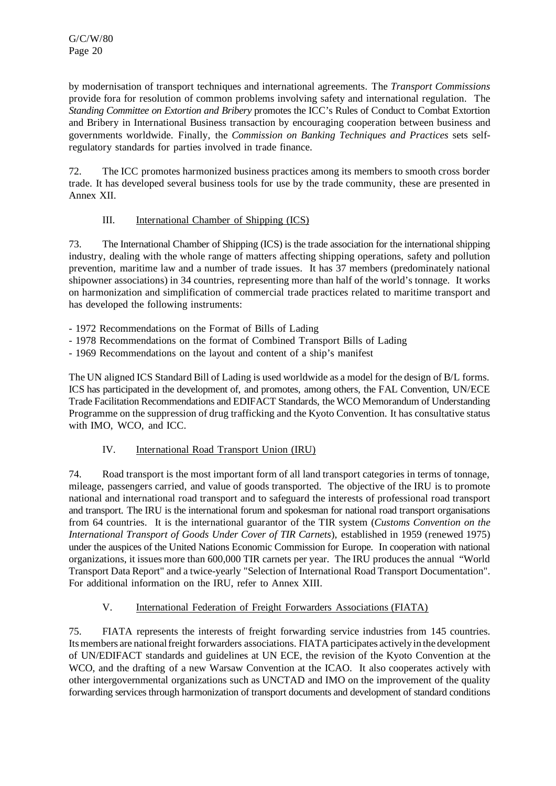by modernisation of transport techniques and international agreements. The *Transport Commissions* provide fora for resolution of common problems involving safety and international regulation. The *Standing Committee on Extortion and Bribery* promotes the ICC's Rules of Conduct to Combat Extortion and Bribery in International Business transaction by encouraging cooperation between business and governments worldwide. Finally, the *Commission on Banking Techniques and Practices* sets selfregulatory standards for parties involved in trade finance.

72. The ICC promotes harmonized business practices among its members to smooth cross border trade. It has developed several business tools for use by the trade community, these are presented in Annex XII.

# III. International Chamber of Shipping (ICS)

73. The International Chamber of Shipping (ICS) is the trade association for the internationalshipping industry, dealing with the whole range of matters affecting shipping operations, safety and pollution prevention, maritime law and a number of trade issues. It has 37 members (predominately national shipowner associations) in 34 countries, representing more than half of the world's tonnage. It works on harmonization and simplification of commercial trade practices related to maritime transport and has developed the following instruments:

- 1972 Recommendations on the Format of Bills of Lading

- 1978 Recommendations on the format of Combined Transport Bills of Lading
- 1969 Recommendations on the layout and content of a ship's manifest

The UN aligned ICS Standard Bill of Lading is used worldwide as a model for the design of B/L forms. ICS has participated in the development of, and promotes, among others, the FAL Convention, UN/ECE Trade Facilitation Recommendations and EDIFACT Standards, the WCO Memorandum of Understanding Programme on the suppression of drug trafficking and the Kyoto Convention. It has consultative status with IMO, WCO, and ICC.

# IV. International Road Transport Union (IRU)

74. Road transport is the most important form of all land transport categories in terms of tonnage, mileage, passengers carried, and value of goods transported. The objective of the IRU is to promote national and international road transport and to safeguard the interests of professional road transport and transport. The IRU is the international forum and spokesman for national road transport organisations from 64 countries. It is the international guarantor of the TIR system (*Customs Convention on the International Transport of Goods Under Cover of TIR Carnets*), established in 1959 (renewed 1975) under the auspices of the United Nations Economic Commission for Europe. In cooperation with national organizations, it issues more than 600,000 TIR carnets per year. The IRU produces the annual "World Transport Data Report" and a twice-yearly "Selection of International Road Transport Documentation". For additional information on the IRU, refer to Annex XIII.

# V. International Federation of Freight Forwarders Associations (FIATA)

75. FIATA represents the interests of freight forwarding service industries from 145 countries. Itsmembers are nationalfreight forwarders associations. FIATA participates actively in the development of UN/EDIFACT standards and guidelines at UN ECE, the revision of the Kyoto Convention at the WCO, and the drafting of a new Warsaw Convention at the ICAO. It also cooperates actively with other intergovernmental organizations such as UNCTAD and IMO on the improvement of the quality forwarding services through harmonization of transport documents and development of standard conditions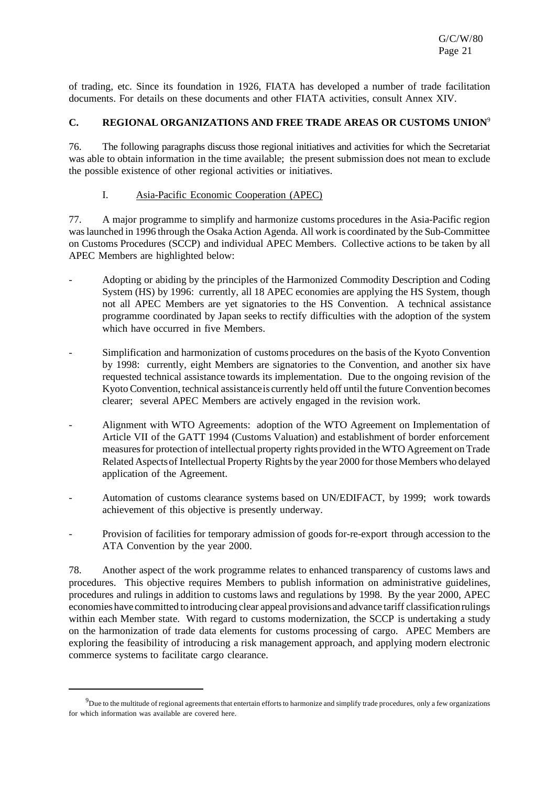of trading, etc. Since its foundation in 1926, FIATA has developed a number of trade facilitation documents. For details on these documents and other FIATA activities, consult Annex XIV.

## **C. REGIONAL ORGANIZATIONS AND FREE TRADE AREAS OR CUSTOMS UNION**<sup>9</sup>

76. The following paragraphs discuss those regional initiatives and activities for which the Secretariat was able to obtain information in the time available; the present submission does not mean to exclude the possible existence of other regional activities or initiatives.

### I. Asia-Pacific Economic Cooperation (APEC)

77. A major programme to simplify and harmonize customs procedures in the Asia-Pacific region waslaunched in 1996 through the Osaka Action Agenda. All work is coordinated by the Sub-Committee on Customs Procedures (SCCP) and individual APEC Members. Collective actions to be taken by all APEC Members are highlighted below:

- Adopting or abiding by the principles of the Harmonized Commodity Description and Coding System (HS) by 1996: currently, all 18 APEC economies are applying the HS System, though not all APEC Members are yet signatories to the HS Convention. A technical assistance programme coordinated by Japan seeks to rectify difficulties with the adoption of the system which have occurred in five Members.
- Simplification and harmonization of customs procedures on the basis of the Kyoto Convention by 1998: currently, eight Members are signatories to the Convention, and another six have requested technical assistance towards its implementation. Due to the ongoing revision of the Kyoto Convention, technical assistanceis currently held off until the future Convention becomes clearer; several APEC Members are actively engaged in the revision work.
- Alignment with WTO Agreements: adoption of the WTO Agreement on Implementation of Article VII of the GATT 1994 (Customs Valuation) and establishment of border enforcement measuresfor protection of intellectual property rights provided in the WTO Agreement onTrade Related Aspectsof Intellectual Property Rights by the year 2000 for those Members who delayed application of the Agreement.
- Automation of customs clearance systems based on UN/EDIFACT, by 1999; work towards achievement of this objective is presently underway.
- Provision of facilities for temporary admission of goods for-re-export through accession to the ATA Convention by the year 2000.

78. Another aspect of the work programme relates to enhanced transparency of customs laws and procedures. This objective requires Members to publish information on administrative guidelines, procedures and rulings in addition to customs laws and regulations by 1998. By the year 2000, APEC economies have committed to introducing clear appeal provisionsand advance tariff classificationrulings within each Member state. With regard to customs modernization, the SCCP is undertaking a study on the harmonization of trade data elements for customs processing of cargo. APEC Members are exploring the feasibility of introducing a risk management approach, and applying modern electronic commerce systems to facilitate cargo clearance.

 $9$ Due to the multitude of regional agreements that entertain efforts to harmonize and simplify trade procedures, only a few organizations for which information was available are covered here.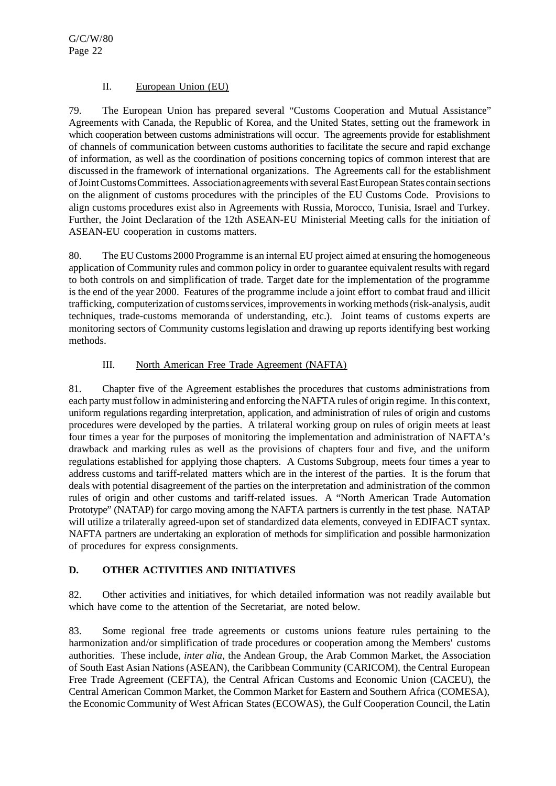# II. European Union (EU)

79. The European Union has prepared several "Customs Cooperation and Mutual Assistance" Agreements with Canada, the Republic of Korea, and the United States, setting out the framework in which cooperation between customs administrations will occur. The agreements provide for establishment of channels of communication between customs authorities to facilitate the secure and rapid exchange of information, as well as the coordination of positions concerning topics of common interest that are discussed in the framework of international organizations. The Agreements call for the establishment ofJointCustomsCommittees. Associationagreementswith severalEastEuropean States contain sections on the alignment of customs procedures with the principles of the EU Customs Code. Provisions to align customs procedures exist also in Agreements with Russia, Morocco, Tunisia, Israel and Turkey. Further, the Joint Declaration of the 12th ASEAN-EU Ministerial Meeting calls for the initiation of ASEAN-EU cooperation in customs matters.

80. The EU Customs 2000 Programme is an internal EU project aimed at ensuring the homogeneous application of Community rules and common policy in order to guarantee equivalent results with regard to both controls on and simplification of trade. Target date for the implementation of the programme is the end of the year 2000. Features of the programme include a joint effort to combat fraud and illicit trafficking, computerization of customsservices, improvementsin workingmethods(risk-analysis, audit techniques, trade-customs memoranda of understanding, etc.). Joint teams of customs experts are monitoring sectors of Community customslegislation and drawing up reports identifying best working methods.

# III. North American Free Trade Agreement (NAFTA)

81. Chapter five of the Agreement establishes the procedures that customs administrations from each party mustfollow in administering and enforcing the NAFTA rules of origin regime. In this context, uniform regulations regarding interpretation, application, and administration of rules of origin and customs procedures were developed by the parties. A trilateral working group on rules of origin meets at least four times a year for the purposes of monitoring the implementation and administration of NAFTA's drawback and marking rules as well as the provisions of chapters four and five, and the uniform regulations established for applying those chapters. A Customs Subgroup, meets four times a year to address customs and tariff-related matters which are in the interest of the parties. It is the forum that deals with potential disagreement of the parties on the interpretation and administration of the common rules of origin and other customs and tariff-related issues. A "North American Trade Automation Prototype" (NATAP) for cargo moving among the NAFTA partners is currently in the test phase. NATAP will utilize a trilaterally agreed-upon set of standardized data elements, conveyed in EDIFACT syntax. NAFTA partners are undertaking an exploration of methods for simplification and possible harmonization of procedures for express consignments.

# **D. OTHER ACTIVITIES AND INITIATIVES**

82. Other activities and initiatives, for which detailed information was not readily available but which have come to the attention of the Secretariat, are noted below.

83. Some regional free trade agreements or customs unions feature rules pertaining to the harmonization and/or simplification of trade procedures or cooperation among the Members' customs authorities. These include, *inter alia*, the Andean Group, the Arab Common Market, the Association of South East Asian Nations(ASEAN), the Caribbean Community (CARICOM), the Central European Free Trade Agreement (CEFTA), the Central African Customs and Economic Union (CACEU), the Central American Common Market, the Common Market for Eastern and Southern Africa (COMESA), the Economic Community of West African States (ECOWAS), the Gulf Cooperation Council, the Latin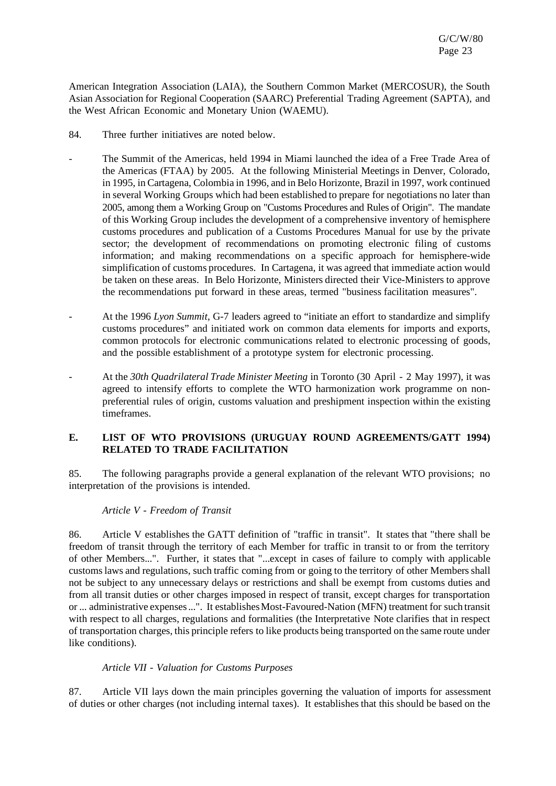American Integration Association (LAIA), the Southern Common Market (MERCOSUR), the South Asian Association for Regional Cooperation (SAARC) Preferential Trading Agreement (SAPTA), and the West African Economic and Monetary Union (WAEMU).

- 84. Three further initiatives are noted below.
- The Summit of the Americas, held 1994 in Miami launched the idea of a Free Trade Area of the Americas (FTAA) by 2005. At the following Ministerial Meetings in Denver, Colorado, in 1995, in Cartagena, Colombia in 1996, and in Belo Horizonte, Brazil in 1997, work continued in several Working Groups which had been established to prepare for negotiations no later than 2005, among them a Working Group on "Customs Procedures and Rules of Origin". The mandate of this Working Group includes the development of a comprehensive inventory of hemisphere customs procedures and publication of a Customs Procedures Manual for use by the private sector; the development of recommendations on promoting electronic filing of customs information; and making recommendations on a specific approach for hemisphere-wide simplification of customs procedures. In Cartagena, it was agreed that immediate action would be taken on these areas. In Belo Horizonte, Ministers directed their Vice-Ministers to approve the recommendations put forward in these areas, termed "business facilitation measures".
- At the 1996 *Lyon Summit*, G-7 leaders agreed to "initiate an effort to standardize and simplify customs procedures" and initiated work on common data elements for imports and exports, common protocols for electronic communications related to electronic processing of goods, and the possible establishment of a prototype system for electronic processing.
- At the *30th Quadrilateral Trade Minister Meeting* in Toronto (30 April 2 May 1997), it was agreed to intensify efforts to complete the WTO harmonization work programme on nonpreferential rules of origin, customs valuation and preshipment inspection within the existing timeframes.

## **E. LIST OF WTO PROVISIONS (URUGUAY ROUND AGREEMENTS/GATT 1994) RELATED TO TRADE FACILITATION**

85. The following paragraphs provide a general explanation of the relevant WTO provisions; no interpretation of the provisions is intended.

#### *Article V - Freedom of Transit*

86. Article V establishes the GATT definition of "traffic in transit". It states that "there shall be freedom of transit through the territory of each Member for traffic in transit to or from the territory of other Members...". Further, it states that "...except in cases of failure to comply with applicable customslaws and regulations, such traffic coming from or going to the territory of other Membersshall not be subject to any unnecessary delays or restrictions and shall be exempt from customs duties and from all transit duties or other charges imposed in respect of transit, except charges for transportation or ... administrative expenses ...". It establishes Most-Favoured-Nation (MFN) treatment for such transit with respect to all charges, regulations and formalities (the Interpretative Note clarifies that in respect of transportation charges, this principle refers to like products being transported on the same route under like conditions).

#### *Article VII - Valuation for Customs Purposes*

87. Article VII lays down the main principles governing the valuation of imports for assessment of duties or other charges (not including internal taxes). It establishes that this should be based on the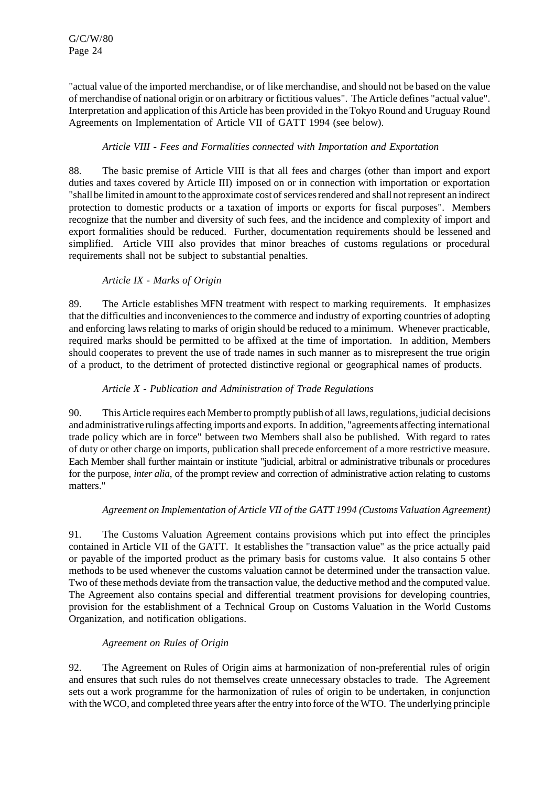"actual value of the imported merchandise, or of like merchandise, and should not be based on the value of merchandise of national origin or on arbitrary or fictitious values". The Article defines "actual value". Interpretation and application of this Article has been provided in the Tokyo Round and Uruguay Round Agreements on Implementation of Article VII of GATT 1994 (see below).

# *Article VIII - Fees and Formalities connected with Importation and Exportation*

88. The basic premise of Article VIII is that all fees and charges (other than import and export duties and taxes covered by Article III) imposed on or in connection with importation or exportation "shall be limited in amount to the approximate cost of services rendered and shall not represent an indirect protection to domestic products or a taxation of imports or exports for fiscal purposes". Members recognize that the number and diversity of such fees, and the incidence and complexity of import and export formalities should be reduced. Further, documentation requirements should be lessened and simplified. Article VIII also provides that minor breaches of customs regulations or procedural requirements shall not be subject to substantial penalties.

# *Article IX - Marks of Origin*

89. The Article establishes MFN treatment with respect to marking requirements. It emphasizes that the difficulties and inconveniencesto the commerce and industry of exporting countries of adopting and enforcing laws relating to marks of origin should be reduced to a minimum. Whenever practicable, required marks should be permitted to be affixed at the time of importation. In addition, Members should cooperates to prevent the use of trade names in such manner as to misrepresent the true origin of a product, to the detriment of protected distinctive regional or geographical names of products.

# *Article X - Publication and Administration of Trade Regulations*

90. This Article requires each Member to promptly publish of all laws, regulations, judicial decisions and administrative rulings affecting imports and exports. In addition, "agreements affecting international trade policy which are in force" between two Members shall also be published. With regard to rates of duty or other charge on imports, publication shall precede enforcement of a more restrictive measure. Each Member shall further maintain or institute "judicial, arbitral or administrative tribunals or procedures for the purpose, *inter alia*, of the prompt review and correction of administrative action relating to customs matters."

# *Agreement on Implementation of Article VII of the GATT 1994 (Customs Valuation Agreement)*

91. The Customs Valuation Agreement contains provisions which put into effect the principles contained in Article VII of the GATT. It establishes the "transaction value" as the price actually paid or payable of the imported product as the primary basis for customs value. It also contains 5 other methods to be used whenever the customs valuation cannot be determined under the transaction value. Two of these methods deviate from the transaction value, the deductive method and the computed value. The Agreement also contains special and differential treatment provisions for developing countries, provision for the establishment of a Technical Group on Customs Valuation in the World Customs Organization, and notification obligations.

# *Agreement on Rules of Origin*

92. The Agreement on Rules of Origin aims at harmonization of non-preferential rules of origin and ensures that such rules do not themselves create unnecessary obstacles to trade. The Agreement sets out a work programme for the harmonization of rules of origin to be undertaken, in conjunction with the WCO, and completed three years after the entry into force of the WTO. The underlying principle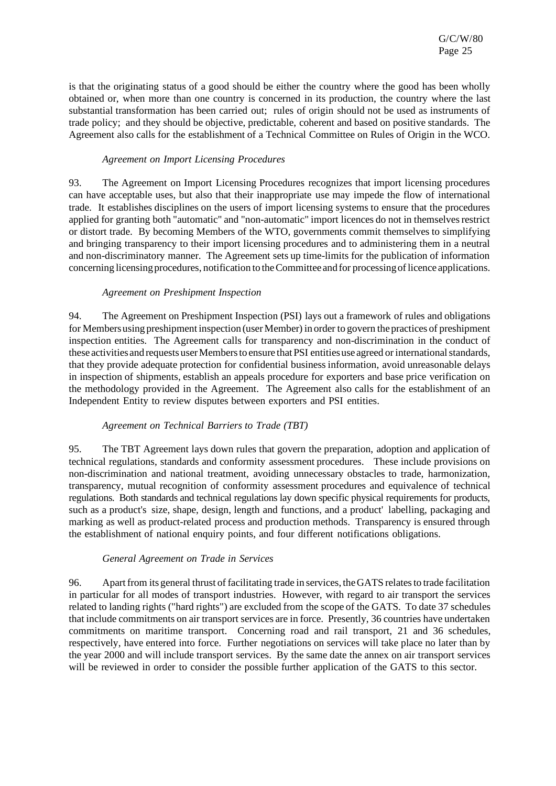is that the originating status of a good should be either the country where the good has been wholly obtained or, when more than one country is concerned in its production, the country where the last substantial transformation has been carried out; rules of origin should not be used as instruments of trade policy; and they should be objective, predictable, coherent and based on positive standards. The Agreement also calls for the establishment of a Technical Committee on Rules of Origin in the WCO.

## *Agreement on Import Licensing Procedures*

93. The Agreement on Import Licensing Procedures recognizes that import licensing procedures can have acceptable uses, but also that their inappropriate use may impede the flow of international trade. It establishes disciplines on the users of import licensing systems to ensure that the procedures applied for granting both "automatic" and "non-automatic" import licences do not in themselves restrict or distort trade. By becoming Members of the WTO, governments commit themselves to simplifying and bringing transparency to their import licensing procedures and to administering them in a neutral and non-discriminatory manner. The Agreement sets up time-limits for the publication of information concerning licensing procedures, notification to the Committee and for processing of licence applications.

## *Agreement on Preshipment Inspection*

94. The Agreement on Preshipment Inspection (PSI) lays out a framework of rules and obligations for Membersusing preshipment inspection (user Member) in order to govern the practices of preshipment inspection entities. The Agreement calls for transparency and non-discrimination in the conduct of these activities and requests user Members to ensure that PSI entities use agreed or international standards, that they provide adequate protection for confidential businessinformation, avoid unreasonable delays in inspection of shipments, establish an appeals procedure for exporters and base price verification on the methodology provided in the Agreement. The Agreement also calls for the establishment of an Independent Entity to review disputes between exporters and PSI entities.

#### *Agreement on Technical Barriers to Trade (TBT)*

95. The TBT Agreement lays down rules that govern the preparation, adoption and application of technical regulations, standards and conformity assessment procedures. These include provisions on non-discrimination and national treatment, avoiding unnecessary obstacles to trade, harmonization, transparency, mutual recognition of conformity assessment procedures and equivalence of technical regulations. Both standards and technical regulationslay down specific physical requirements for products, such as a product's size, shape, design, length and functions, and a product' labelling, packaging and marking as well as product-related process and production methods. Transparency is ensured through the establishment of national enquiry points, and four different notifications obligations.

#### *General Agreement on Trade in Services*

96. Apartfrom its general thrust of facilitating trade in services, theGATS relatesto trade facilitation in particular for all modes of transport industries. However, with regard to air transport the services related to landing rights ("hard rights") are excluded from the scope of the GATS. To date 37 schedules that include commitments on air transport services are in force. Presently, 36 countries have undertaken commitments on maritime transport. Concerning road and rail transport, 21 and 36 schedules, respectively, have entered into force. Further negotiations on services will take place no later than by the year 2000 and will include transport services. By the same date the annex on air transport services will be reviewed in order to consider the possible further application of the GATS to this sector.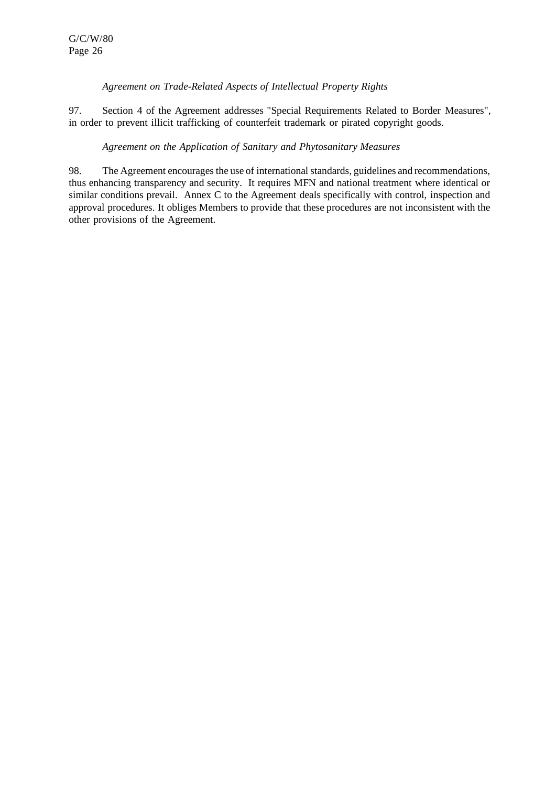## *Agreement on Trade-Related Aspects of Intellectual Property Rights*

97. Section 4 of the Agreement addresses "Special Requirements Related to Border Measures", in order to prevent illicit trafficking of counterfeit trademark or pirated copyright goods.

## *Agreement on the Application of Sanitary and Phytosanitary Measures*

98. The Agreement encourages the use of international standards, guidelines and recommendations, thus enhancing transparency and security. It requires MFN and national treatment where identical or similar conditions prevail. Annex C to the Agreement deals specifically with control, inspection and approval procedures. It obliges Members to provide that these procedures are not inconsistent with the other provisions of the Agreement.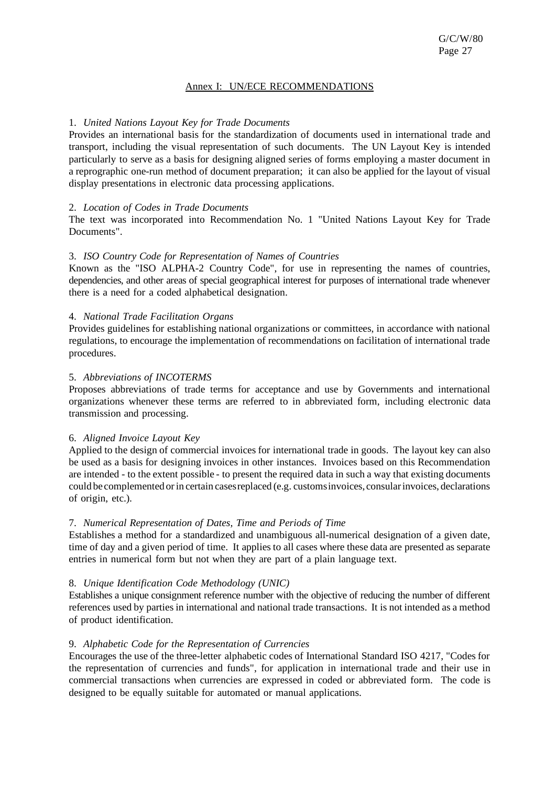### Annex I: UN/ECE RECOMMENDATIONS

## 1. *United Nations Layout Key for Trade Documents*

Provides an international basis for the standardization of documents used in international trade and transport, including the visual representation of such documents. The UN Layout Key is intended particularly to serve as a basis for designing aligned series of forms employing a master document in a reprographic one-run method of document preparation; it can also be applied for the layout of visual display presentations in electronic data processing applications.

## 2. *Location of Codes in Trade Documents*

The text was incorporated into Recommendation No. 1 "United Nations Layout Key for Trade Documents".

## 3. *ISO Country Code for Representation of Names of Countries*

Known as the "ISO ALPHA-2 Country Code", for use in representing the names of countries, dependencies, and other areas of special geographical interest for purposes of international trade whenever there is a need for a coded alphabetical designation.

## 4. *National Trade Facilitation Organs*

Provides guidelines for establishing national organizations or committees, in accordance with national regulations, to encourage the implementation of recommendations on facilitation of international trade procedures.

#### 5. *Abbreviations of INCOTERMS*

Proposes abbreviations of trade terms for acceptance and use by Governments and international organizations whenever these terms are referred to in abbreviated form, including electronic data transmission and processing.

#### 6. *Aligned Invoice Layout Key*

Applied to the design of commercial invoices for international trade in goods. The layout key can also be used as a basis for designing invoices in other instances. Invoices based on this Recommendation are intended - to the extent possible - to present the required data in such a way that existing documents could be complemented orin certain casesreplaced (e.g. customsinvoices, consularinvoices, declarations of origin, etc.).

#### 7. *Numerical Representation of Dates, Time and Periods of Time*

Establishes a method for a standardized and unambiguous all-numerical designation of a given date, time of day and a given period of time. It appliesto all cases where these data are presented as separate entries in numerical form but not when they are part of a plain language text.

#### 8. *Unique Identification Code Methodology (UNIC)*

Establishes a unique consignment reference number with the objective of reducing the number of different references used by parties in international and national trade transactions. It is not intended as a method of product identification.

#### 9. *Alphabetic Code for the Representation of Currencies*

Encourages the use of the three-letter alphabetic codes of International Standard ISO 4217, "Codesfor the representation of currencies and funds", for application in international trade and their use in commercial transactions when currencies are expressed in coded or abbreviated form. The code is designed to be equally suitable for automated or manual applications.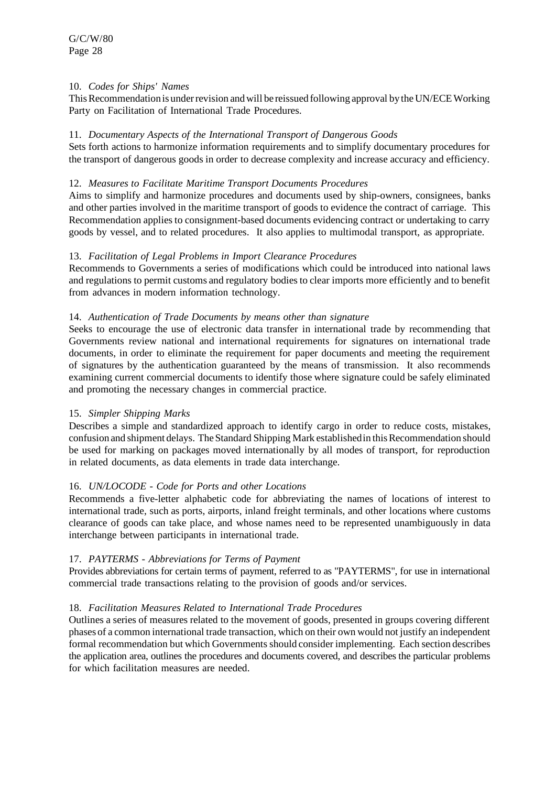## 10. *Codes for Ships' Names*

This Recommendation is under revision and will be reissued following approval by the UN/ECE Working Party on Facilitation of International Trade Procedures.

## 11. *Documentary Aspects of the International Transport of Dangerous Goods*

Sets forth actions to harmonize information requirements and to simplify documentary procedures for the transport of dangerous goods in order to decrease complexity and increase accuracy and efficiency.

## 12. *Measures to Facilitate Maritime Transport Documents Procedures*

Aims to simplify and harmonize procedures and documents used by ship-owners, consignees, banks and other parties involved in the maritime transport of goods to evidence the contract of carriage. This Recommendation applies to consignment-based documents evidencing contract or undertaking to carry goods by vessel, and to related procedures. It also applies to multimodal transport, as appropriate.

## 13. *Facilitation of Legal Problems in Import Clearance Procedures*

Recommends to Governments a series of modifications which could be introduced into national laws and regulations to permit customs and regulatory bodies to clear imports more efficiently and to benefit from advances in modern information technology.

## 14. *Authentication of Trade Documents by means other than signature*

Seeks to encourage the use of electronic data transfer in international trade by recommending that Governments review national and international requirements for signatures on international trade documents, in order to eliminate the requirement for paper documents and meeting the requirement of signatures by the authentication guaranteed by the means of transmission. It also recommends examining current commercial documents to identify those where signature could be safely eliminated and promoting the necessary changes in commercial practice.

# 15. *Simpler Shipping Marks*

Describes a simple and standardized approach to identify cargo in order to reduce costs, mistakes, confusion and shipment delays. The Standard Shipping Mark established in this Recommendation should be used for marking on packages moved internationally by all modes of transport, for reproduction in related documents, as data elements in trade data interchange.

#### 16. *UN/LOCODE - Code for Ports and other Locations*

Recommends a five-letter alphabetic code for abbreviating the names of locations of interest to international trade, such as ports, airports, inland freight terminals, and other locations where customs clearance of goods can take place, and whose names need to be represented unambiguously in data interchange between participants in international trade.

# 17. *PAYTERMS - Abbreviations for Terms of Payment*

Provides abbreviations for certain terms of payment, referred to as "PAYTERMS", for use in international commercial trade transactions relating to the provision of goods and/or services.

# 18. *Facilitation Measures Related to International Trade Procedures*

Outlines a series of measures related to the movement of goods, presented in groups covering different phases of a common international trade transaction, which on their own would not justify an independent formal recommendation but which Governments should consider implementing. Each section describes the application area, outlines the procedures and documents covered, and describes the particular problems for which facilitation measures are needed.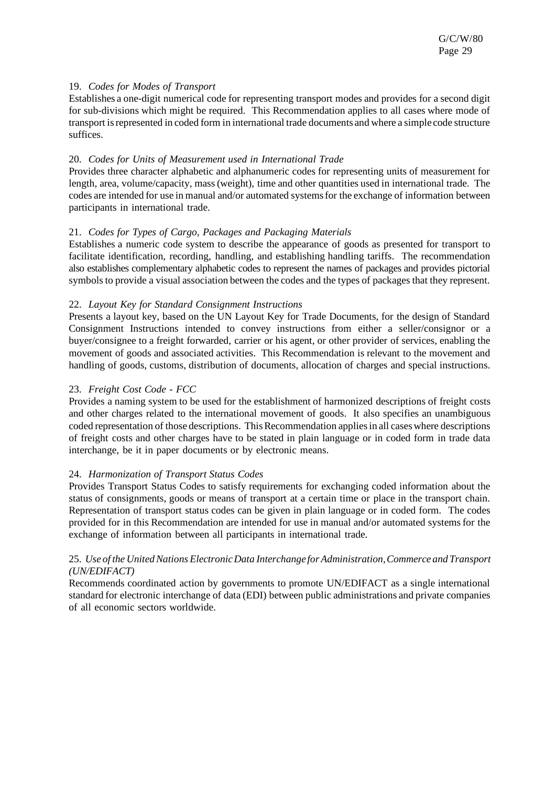## 19. *Codes for Modes of Transport*

Establishes a one-digit numerical code for representing transport modes and provides for a second digit for sub-divisions which might be required. This Recommendation applies to all cases where mode of transport is represented in coded form in international trade documents and where a simple code structure suffices.

## 20. *Codes for Units of Measurement used in International Trade*

Provides three character alphabetic and alphanumeric codes for representing units of measurement for length, area, volume/capacity, mass(weight), time and other quantities used in international trade. The codes are intended for use in manual and/or automated systems for the exchange of information between participants in international trade.

## 21. *Codes for Types of Cargo, Packages and Packaging Materials*

Establishes a numeric code system to describe the appearance of goods as presented for transport to facilitate identification, recording, handling, and establishing handling tariffs. The recommendation also establishes complementary alphabetic codes to represent the names of packages and provides pictorial symbols to provide a visual association between the codes and the types of packages that they represent.

## 22. *Layout Key for Standard Consignment Instructions*

Presents a layout key, based on the UN Layout Key for Trade Documents, for the design of Standard Consignment Instructions intended to convey instructions from either a seller/consignor or a buyer/consignee to a freight forwarded, carrier or his agent, or other provider of services, enabling the movement of goods and associated activities. This Recommendation is relevant to the movement and handling of goods, customs, distribution of documents, allocation of charges and special instructions.

## 23. *Freight Cost Code - FCC*

Provides a naming system to be used for the establishment of harmonized descriptions of freight costs and other charges related to the international movement of goods. It also specifies an unambiguous coded representation of those descriptions. This Recommendation applies in all cases where descriptions of freight costs and other charges have to be stated in plain language or in coded form in trade data interchange, be it in paper documents or by electronic means.

# 24. *Harmonization of Transport Status Codes*

Provides Transport Status Codes to satisfy requirements for exchanging coded information about the status of consignments, goods or means of transport at a certain time or place in the transport chain. Representation of transport status codes can be given in plain language or in coded form. The codes provided for in this Recommendation are intended for use in manual and/or automated systems for the exchange of information between all participants in international trade.

## 25. *Use of the UnitedNationsElectronicData Interchange forAdministration,Commerce and Transport (UN/EDIFACT)*

Recommends coordinated action by governments to promote UN/EDIFACT as a single international standard for electronic interchange of data (EDI) between public administrations and private companies of all economic sectors worldwide.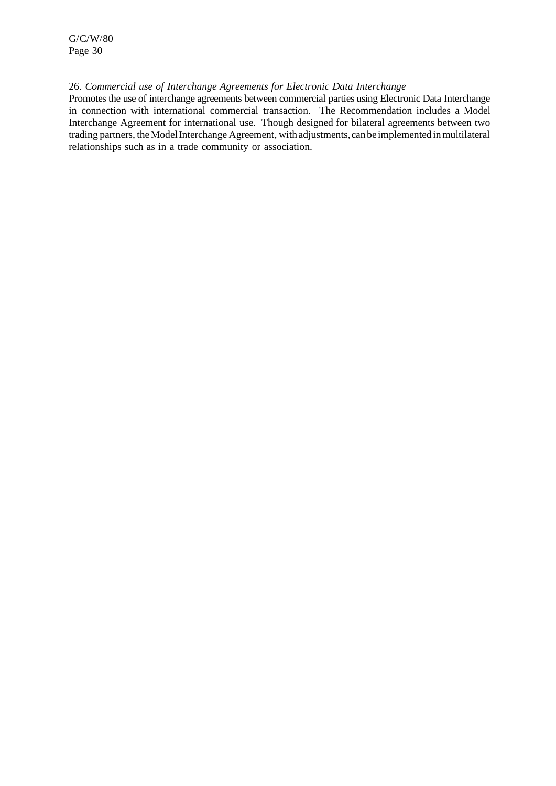#### 26. *Commercial use of Interchange Agreements for Electronic Data Interchange*

Promotes the use of interchange agreements between commercial parties using Electronic Data Interchange in connection with international commercial transaction. The Recommendation includes a Model Interchange Agreement for international use. Though designed for bilateral agreements between two trading partners, theModelInterchange Agreement, with adjustments,can be implemented inmultilateral relationships such as in a trade community or association.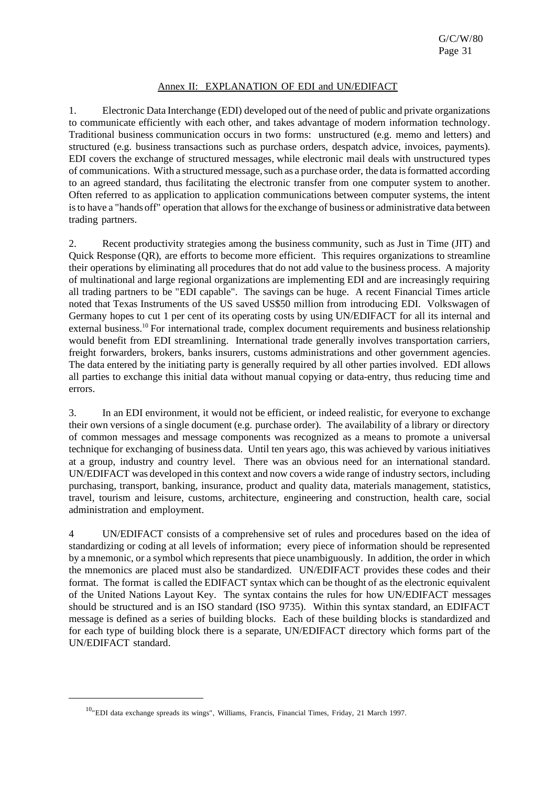# Annex II: EXPLANATION OF EDI and UN/EDIFACT

1. Electronic Data Interchange (EDI) developed out of the need of public and private organizations to communicate efficiently with each other, and takes advantage of modern information technology. Traditional business communication occurs in two forms: unstructured (e.g. memo and letters) and structured (e.g. business transactions such as purchase orders, despatch advice, invoices, payments). EDI covers the exchange of structured messages, while electronic mail deals with unstructured types of communications. With a structured message, such as a purchase order, the data is formatted according to an agreed standard, thus facilitating the electronic transfer from one computer system to another. Often referred to as application to application communications between computer systems, the intent is to have a "hands off" operation that allows for the exchange of business or administrative data between trading partners.

2. Recent productivity strategies among the business community, such as Just in Time (JIT) and Quick Response (QR), are efforts to become more efficient. This requires organizations to streamline their operations by eliminating all procedures that do not add value to the business process. A majority of multinational and large regional organizations are implementing EDI and are increasingly requiring all trading partners to be "EDI capable". The savings can be huge. A recent Financial Times article noted that Texas Instruments of the US saved US\$50 million from introducing EDI. Volkswagen of Germany hopes to cut 1 per cent of its operating costs by using UN/EDIFACT for all its internal and external business.<sup>10</sup> For international trade, complex document requirements and business relationship would benefit from EDI streamlining. International trade generally involves transportation carriers, freight forwarders, brokers, banks insurers, customs administrations and other government agencies. The data entered by the initiating party is generally required by all other parties involved. EDI allows all parties to exchange this initial data without manual copying or data-entry, thus reducing time and errors.

3. In an EDI environment, it would not be efficient, or indeed realistic, for everyone to exchange their own versions of a single document (e.g. purchase order). The availability of a library or directory of common messages and message components was recognized as a means to promote a universal technique for exchanging of business data. Until ten years ago, this was achieved by various initiatives at a group, industry and country level. There was an obvious need for an international standard. UN/EDIFACT was developed in this context and now covers a wide range of industry sectors, including purchasing, transport, banking, insurance, product and quality data, materials management, statistics, travel, tourism and leisure, customs, architecture, engineering and construction, health care, social administration and employment.

4 UN/EDIFACT consists of a comprehensive set of rules and procedures based on the idea of standardizing or coding at all levels of information; every piece of information should be represented by a mnemonic, or a symbol which represents that piece unambiguously. In addition, the order in which the mnemonics are placed must also be standardized. UN/EDIFACT provides these codes and their format. The format is called the EDIFACT syntax which can be thought of asthe electronic equivalent of the United Nations Layout Key. The syntax contains the rules for how UN/EDIFACT messages should be structured and is an ISO standard (ISO 9735). Within this syntax standard, an EDIFACT message is defined as a series of building blocks. Each of these building blocks is standardized and for each type of building block there is a separate, UN/EDIFACT directory which forms part of the UN/EDIFACT standard.

<sup>&</sup>lt;sup>10</sup>"EDI data exchange spreads its wings", Williams, Francis, Financial Times, Friday, 21 March 1997.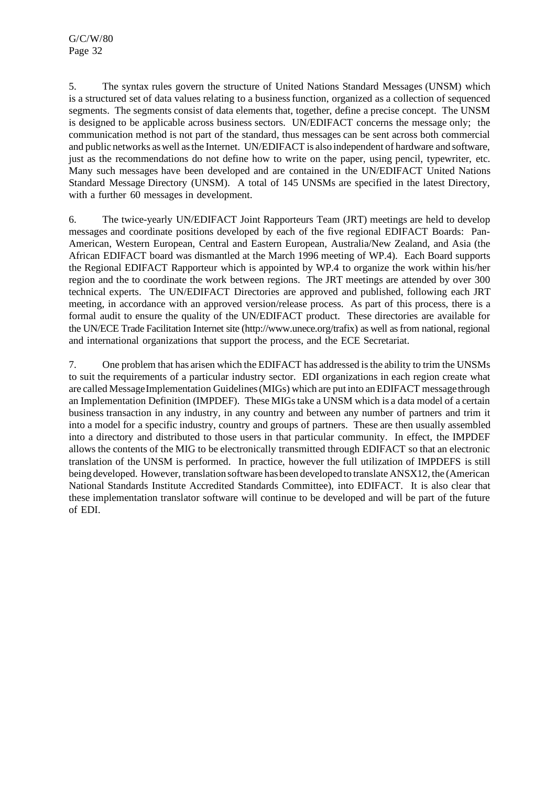5. The syntax rules govern the structure of United Nations Standard Messages (UNSM) which is a structured set of data values relating to a businessfunction, organized as a collection of sequenced segments. The segments consist of data elements that, together, define a precise concept. The UNSM is designed to be applicable across business sectors. UN/EDIFACT concerns the message only; the communication method is not part of the standard, thus messages can be sent across both commercial and public networks aswell asthe Internet. UN/EDIFACT is also independent of hardware and software, just as the recommendations do not define how to write on the paper, using pencil, typewriter, etc. Many such messages have been developed and are contained in the UN/EDIFACT United Nations Standard Message Directory (UNSM). A total of 145 UNSMs are specified in the latest Directory, with a further 60 messages in development.

6. The twice-yearly UN/EDIFACT Joint Rapporteurs Team (JRT) meetings are held to develop messages and coordinate positions developed by each of the five regional EDIFACT Boards: Pan-American, Western European, Central and Eastern European, Australia/New Zealand, and Asia (the African EDIFACT board was dismantled at the March 1996 meeting of WP.4). Each Board supports the Regional EDIFACT Rapporteur which is appointed by WP.4 to organize the work within his/her region and the to coordinate the work between regions. The JRT meetings are attended by over 300 technical experts. The UN/EDIFACT Directories are approved and published, following each JRT meeting, in accordance with an approved version/release process. As part of this process, there is a formal audit to ensure the quality of the UN/EDIFACT product. These directories are available for the UN/ECE Trade Facilitation Internet site (http://www.unece.org/trafix) as well as from national, regional and international organizations that support the process, and the ECE Secretariat.

7. One problem that has arisen which the EDIFACT has addressed isthe ability to trim the UNSMs to suit the requirements of a particular industry sector. EDI organizations in each region create what are called Message Implementation Guidelines (MIGs) which are put into an EDIFACT message through an Implementation Definition (IMPDEF). These MIGstake a UNSM which is a data model of a certain business transaction in any industry, in any country and between any number of partners and trim it into a model for a specific industry, country and groups of partners. These are then usually assembled into a directory and distributed to those users in that particular community. In effect, the IMPDEF allows the contents of the MIG to be electronically transmitted through EDIFACT so that an electronic translation of the UNSM is performed. In practice, however the full utilization of IMPDEFS is still being developed. However, translation software hasbeen developed to translate ANSX12, the (American National Standards Institute Accredited Standards Committee), into EDIFACT. It is also clear that these implementation translator software will continue to be developed and will be part of the future of EDI.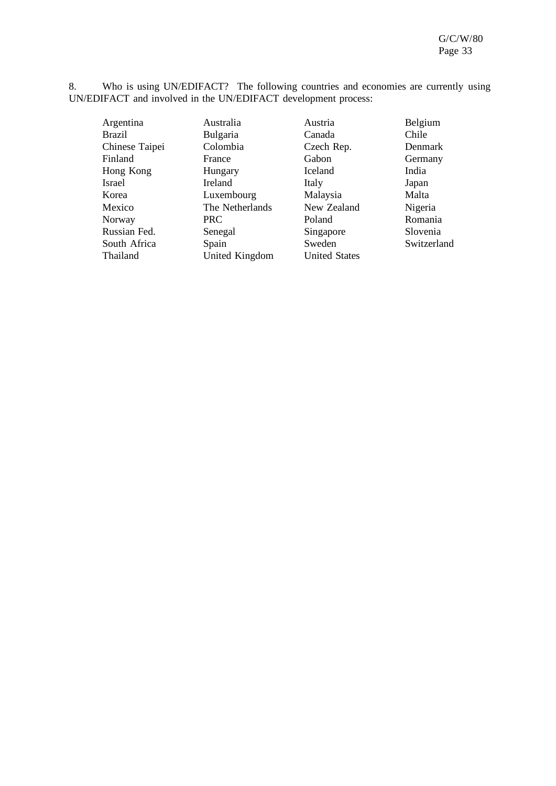8. Who is using UN/EDIFACT? The following countries and economies are currently using UN/EDIFACT and involved in the UN/EDIFACT development process:

Argentina Australia Austria Belgium Brazil Bulgaria Canada Chile Chinese Taipei Colombia Czech Rep. Denmark<br>Finland France Gabon Germany Finland France Gabon Germany Hong Kong Hungary Iceland India Israel Ireland Italy Japan Korea 1988 - Luxembourg Malaysia Malta<br>Mexico 1989 - The Netherlands New Zealand Nigeria Mexico The Netherlands New Zealand Nigeria<br>
Norway PRC Poland Romania Norway PRC Poland Romania Russian Fed. Senegal Singapore Slovenia<br>
Suuth Africa Spain Sweden Sweden Switzerland South Africa Spain Sweden<br>Thailand United Kingdom United States United Kingdom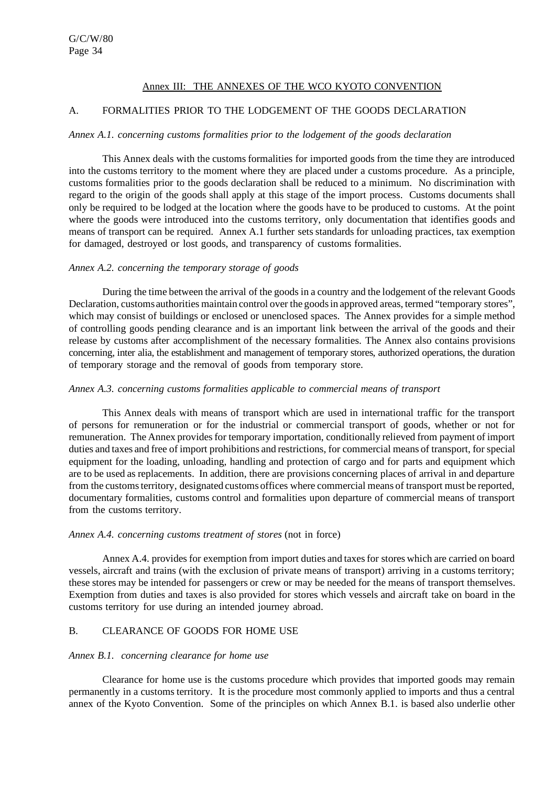## Annex III: THE ANNEXES OF THE WCO KYOTO CONVENTION

## A. FORMALITIES PRIOR TO THE LODGEMENT OF THE GOODS DECLARATION

#### *Annex A.1. concerning customs formalities prior to the lodgement of the goods declaration*

This Annex deals with the customsformalities for imported goods from the time they are introduced into the customs territory to the moment where they are placed under a customs procedure. As a principle, customs formalities prior to the goods declaration shall be reduced to a minimum. No discrimination with regard to the origin of the goods shall apply at this stage of the import process. Customs documents shall only be required to be lodged at the location where the goods have to be produced to customs. At the point where the goods were introduced into the customs territory, only documentation that identifies goods and means of transport can be required. Annex A.1 further sets standards for unloading practices, tax exemption for damaged, destroyed or lost goods, and transparency of customs formalities.

#### *Annex A.2. concerning the temporary storage of goods*

During the time between the arrival of the goodsin a country and the lodgement of the relevant Goods Declaration, customs authorities maintain control over the goods in approved areas, termed "temporary stores", which may consist of buildings or enclosed or unenclosed spaces. The Annex provides for a simple method of controlling goods pending clearance and is an important link between the arrival of the goods and their release by customs after accomplishment of the necessary formalities. The Annex also contains provisions concerning, inter alia, the establishment and management of temporary stores, authorized operations, the duration of temporary storage and the removal of goods from temporary store.

#### *Annex A.3. concerning customs formalities applicable to commercial means of transport*

This Annex deals with means of transport which are used in international traffic for the transport of persons for remuneration or for the industrial or commercial transport of goods, whether or not for remuneration. The Annex provides for temporary importation, conditionally relieved from payment of import duties and taxes and free of import prohibitions and restrictions, for commercial means of transport, for special equipment for the loading, unloading, handling and protection of cargo and for parts and equipment which are to be used as replacements. In addition, there are provisions concerning places of arrival in and departure from the customsterritory, designated customs offices where commercial means of transport must be reported, documentary formalities, customs control and formalities upon departure of commercial means of transport from the customs territory.

#### *Annex A.4. concerning customs treatment of stores* (not in force)

Annex A.4. provides for exemption from import duties and taxes for stores which are carried on board vessels, aircraft and trains (with the exclusion of private means of transport) arriving in a customs territory; these stores may be intended for passengers or crew or may be needed for the means of transport themselves. Exemption from duties and taxes is also provided for stores which vessels and aircraft take on board in the customs territory for use during an intended journey abroad.

## B. CLEARANCE OF GOODS FOR HOME USE

#### *Annex B.1. concerning clearance for home use*

Clearance for home use is the customs procedure which provides that imported goods may remain permanently in a customsterritory. It is the procedure most commonly applied to imports and thus a central annex of the Kyoto Convention. Some of the principles on which Annex B.1. is based also underlie other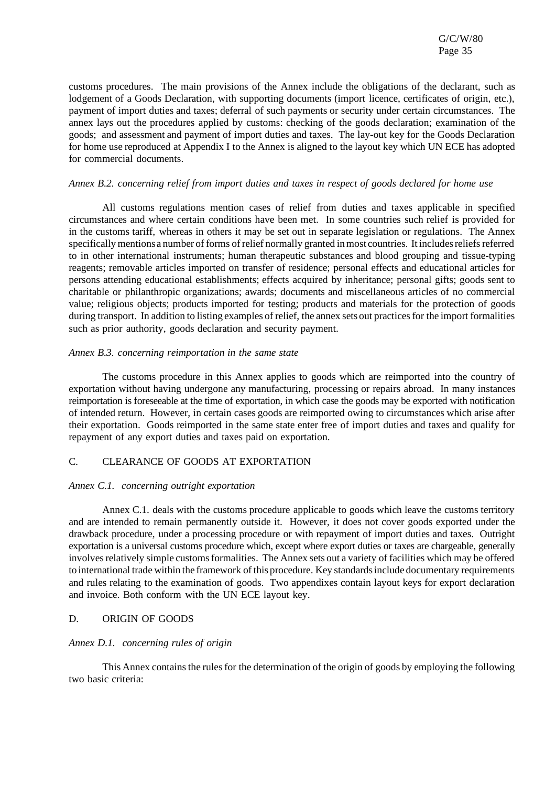customs procedures. The main provisions of the Annex include the obligations of the declarant, such as lodgement of a Goods Declaration, with supporting documents (import licence, certificates of origin, etc.), payment of import duties and taxes; deferral of such payments or security under certain circumstances. The annex lays out the procedures applied by customs: checking of the goods declaration; examination of the goods; and assessment and payment of import duties and taxes. The lay-out key for the Goods Declaration for home use reproduced at Appendix I to the Annex is aligned to the layout key which UN ECE has adopted for commercial documents.

#### *Annex B.2. concerning relief from import duties and taxes in respect of goods declared for home use*

All customs regulations mention cases of relief from duties and taxes applicable in specified circumstances and where certain conditions have been met. In some countries such relief is provided for in the customs tariff, whereas in others it may be set out in separate legislation or regulations. The Annex specificallymentionsa number of forms of relief normally granted inmost countries. It includesreliefsreferred to in other international instruments; human therapeutic substances and blood grouping and tissue-typing reagents; removable articles imported on transfer of residence; personal effects and educational articles for persons attending educational establishments; effects acquired by inheritance; personal gifts; goods sent to charitable or philanthropic organizations; awards; documents and miscellaneous articles of no commercial value; religious objects; products imported for testing; products and materials for the protection of goods during transport. In addition to listing examples of relief, the annex sets out practices for the import formalities such as prior authority, goods declaration and security payment.

#### *Annex B.3. concerning reimportation in the same state*

The customs procedure in this Annex applies to goods which are reimported into the country of exportation without having undergone any manufacturing, processing or repairs abroad. In many instances reimportation isforeseeable at the time of exportation, in which case the goods may be exported with notification of intended return. However, in certain cases goods are reimported owing to circumstances which arise after their exportation. Goods reimported in the same state enter free of import duties and taxes and qualify for repayment of any export duties and taxes paid on exportation.

#### C. CLEARANCE OF GOODS AT EXPORTATION

#### *Annex C.1. concerning outright exportation*

Annex C.1. deals with the customs procedure applicable to goods which leave the customs territory and are intended to remain permanently outside it. However, it does not cover goods exported under the drawback procedure, under a processing procedure or with repayment of import duties and taxes. Outright exportation is a universal customs procedure which, except where export duties or taxes are chargeable, generally involves relatively simple customs formalities. The Annex sets out a variety of facilities which may be offered to international trade within the framework of this procedure. Key standardsinclude documentary requirements and rules relating to the examination of goods. Two appendixes contain layout keys for export declaration and invoice. Both conform with the UN ECE layout key.

#### D. ORIGIN OF GOODS

#### *Annex D.1. concerning rules of origin*

This Annex contains the rules for the determination of the origin of goods by employing the following two basic criteria: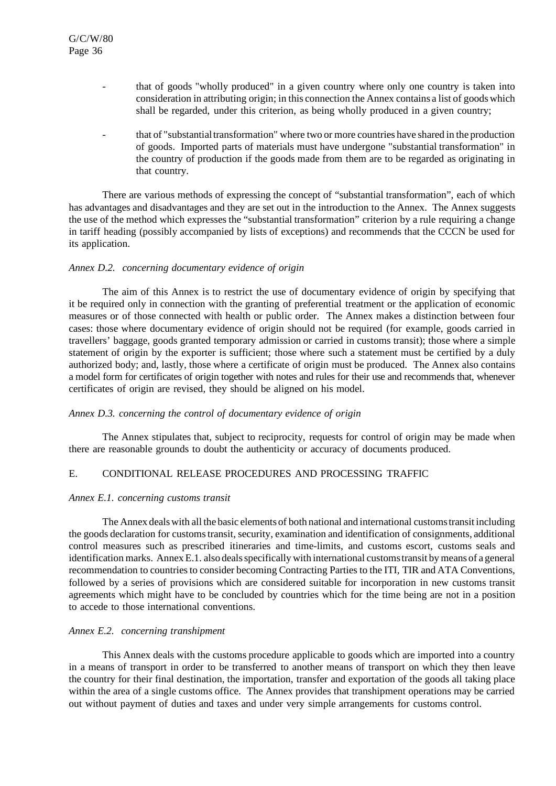- that of goods "wholly produced" in a given country where only one country is taken into consideration in attributing origin; in this connection the Annex contains a list of goods which shall be regarded, under this criterion, as being wholly produced in a given country;
- that of "substantial transformation" where two or more countries have shared in the production of goods. Imported parts of materials must have undergone "substantial transformation" in the country of production if the goods made from them are to be regarded as originating in that country.

There are various methods of expressing the concept of "substantial transformation", each of which has advantages and disadvantages and they are set out in the introduction to the Annex. The Annex suggests the use of the method which expresses the "substantial transformation" criterion by a rule requiring a change in tariff heading (possibly accompanied by lists of exceptions) and recommends that the CCCN be used for its application.

#### *Annex D.2. concerning documentary evidence of origin*

The aim of this Annex is to restrict the use of documentary evidence of origin by specifying that it be required only in connection with the granting of preferential treatment or the application of economic measures or of those connected with health or public order. The Annex makes a distinction between four cases: those where documentary evidence of origin should not be required (for example, goods carried in travellers' baggage, goods granted temporary admission or carried in customs transit); those where a simple statement of origin by the exporter is sufficient; those where such a statement must be certified by a duly authorized body; and, lastly, those where a certificate of origin must be produced. The Annex also contains a model form for certificates of origin together with notes and rules for their use and recommends that, whenever certificates of origin are revised, they should be aligned on his model.

#### *Annex D.3. concerning the control of documentary evidence of origin*

The Annex stipulates that, subject to reciprocity, requests for control of origin may be made when there are reasonable grounds to doubt the authenticity or accuracy of documents produced.

## E. CONDITIONAL RELEASE PROCEDURES AND PROCESSING TRAFFIC

#### *Annex E.1. concerning customs transit*

The Annex dealswith all the basic elements of both national and international customstransit including the goods declaration for customstransit, security, examination and identification of consignments, additional control measures such as prescribed itineraries and time-limits, and customs escort, customs seals and identification marks. Annex E.1. also deals specifically with international customs transit by means of a general recommendation to countries to consider becoming Contracting Parties to the ITI, TIR and ATA Conventions, followed by a series of provisions which are considered suitable for incorporation in new customs transit agreements which might have to be concluded by countries which for the time being are not in a position to accede to those international conventions.

#### *Annex E.2. concerning transhipment*

This Annex deals with the customs procedure applicable to goods which are imported into a country in a means of transport in order to be transferred to another means of transport on which they then leave the country for their final destination, the importation, transfer and exportation of the goods all taking place within the area of a single customs office. The Annex provides that transhipment operations may be carried out without payment of duties and taxes and under very simple arrangements for customs control.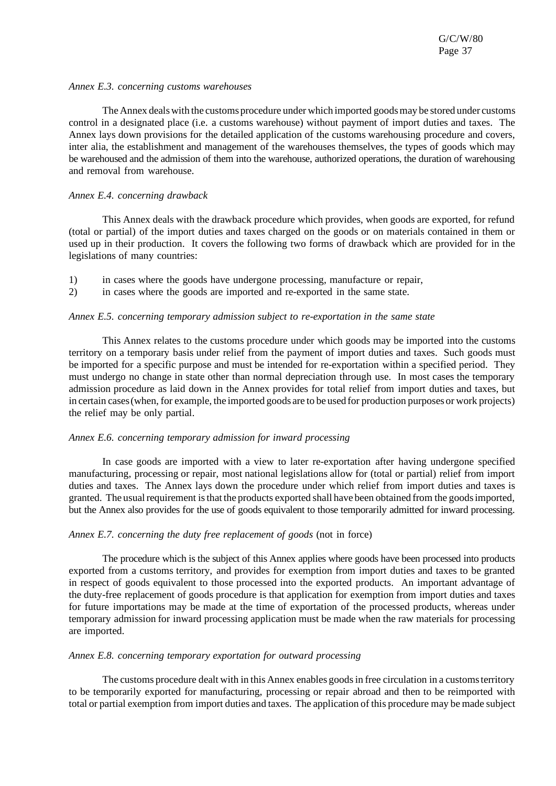#### *Annex E.3. concerning customs warehouses*

The Annex deals with the customs procedure under which imported goods may be stored under customs control in a designated place (i.e. a customs warehouse) without payment of import duties and taxes. The Annex lays down provisions for the detailed application of the customs warehousing procedure and covers, inter alia, the establishment and management of the warehouses themselves, the types of goods which may be warehoused and the admission of them into the warehouse, authorized operations, the duration of warehousing and removal from warehouse.

#### *Annex E.4. concerning drawback*

This Annex deals with the drawback procedure which provides, when goods are exported, for refund (total or partial) of the import duties and taxes charged on the goods or on materials contained in them or used up in their production. It covers the following two forms of drawback which are provided for in the legislations of many countries:

- 1) in cases where the goods have undergone processing, manufacture or repair,
- 2) in cases where the goods are imported and re-exported in the same state.

#### *Annex E.5. concerning temporary admission subject to re-exportation in the same state*

This Annex relates to the customs procedure under which goods may be imported into the customs territory on a temporary basis under relief from the payment of import duties and taxes. Such goods must be imported for a specific purpose and must be intended for re-exportation within a specified period. They must undergo no change in state other than normal depreciation through use. In most cases the temporary admission procedure as laid down in the Annex provides for total relief from import duties and taxes, but in certain cases(when, for example, the imported goods are to be used for production purposes or work projects) the relief may be only partial.

#### *Annex E.6. concerning temporary admission for inward processing*

In case goods are imported with a view to later re-exportation after having undergone specified manufacturing, processing or repair, most national legislations allow for (total or partial) relief from import duties and taxes. The Annex lays down the procedure under which relief from import duties and taxes is granted. The usual requirement is that the products exported shall have been obtained from the goods imported, but the Annex also provides for the use of goods equivalent to those temporarily admitted for inward processing.

#### *Annex E.7. concerning the duty free replacement of goods* (not in force)

The procedure which is the subject of this Annex applies where goods have been processed into products exported from a customs territory, and provides for exemption from import duties and taxes to be granted in respect of goods equivalent to those processed into the exported products. An important advantage of the duty-free replacement of goods procedure is that application for exemption from import duties and taxes for future importations may be made at the time of exportation of the processed products, whereas under temporary admission for inward processing application must be made when the raw materials for processing are imported.

#### *Annex E.8. concerning temporary exportation for outward processing*

The customs procedure dealt with in this Annex enables goods in free circulation in a customs territory to be temporarily exported for manufacturing, processing or repair abroad and then to be reimported with total or partial exemption from import duties and taxes. The application of this procedure may be made subject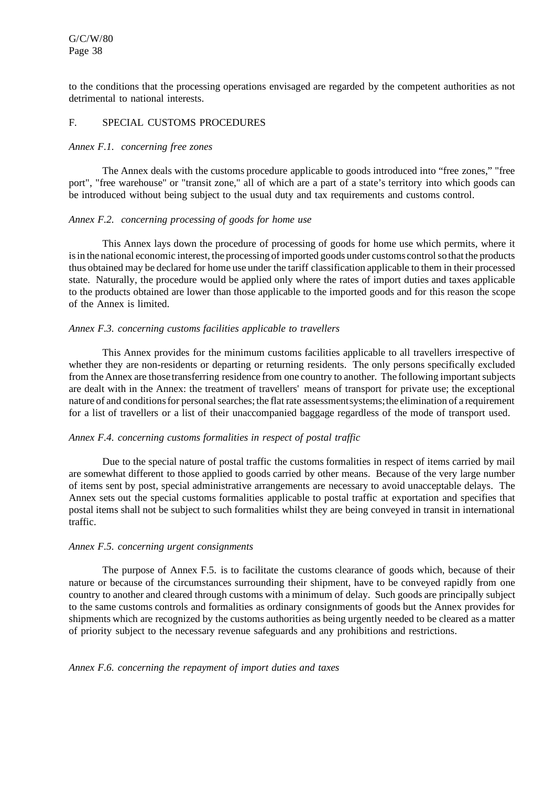to the conditions that the processing operations envisaged are regarded by the competent authorities as not detrimental to national interests.

## F. SPECIAL CUSTOMS PROCEDURES

#### *Annex F.1. concerning free zones*

The Annex deals with the customs procedure applicable to goods introduced into "free zones," "free port", "free warehouse" or "transit zone," all of which are a part of a state's territory into which goods can be introduced without being subject to the usual duty and tax requirements and customs control.

## *Annex F.2. concerning processing of goods for home use*

This Annex lays down the procedure of processing of goods for home use which permits, where it is in the national economic interest, the processing of imported goods under customs control so that the products thus obtained may be declared for home use under the tariff classification applicable to them in their processed state. Naturally, the procedure would be applied only where the rates of import duties and taxes applicable to the products obtained are lower than those applicable to the imported goods and for this reason the scope of the Annex is limited.

## *Annex F.3. concerning customs facilities applicable to travellers*

This Annex provides for the minimum customs facilities applicable to all travellers irrespective of whether they are non-residents or departing or returning residents. The only persons specifically excluded from the Annex are those transferring residence from one country to another. The following importantsubjects are dealt with in the Annex: the treatment of travellers' means of transport for private use; the exceptional nature of and conditions for personal searches; the flat rate assessmentsystems; the elimination of a requirement for a list of travellers or a list of their unaccompanied baggage regardless of the mode of transport used.

#### *Annex F.4. concerning customs formalities in respect of postal traffic*

Due to the special nature of postal traffic the customs formalities in respect of items carried by mail are somewhat different to those applied to goods carried by other means. Because of the very large number of items sent by post, special administrative arrangements are necessary to avoid unacceptable delays. The Annex sets out the special customs formalities applicable to postal traffic at exportation and specifies that postal items shall not be subject to such formalities whilst they are being conveyed in transit in international traffic.

#### *Annex F.5. concerning urgent consignments*

The purpose of Annex F.5. is to facilitate the customs clearance of goods which, because of their nature or because of the circumstances surrounding their shipment, have to be conveyed rapidly from one country to another and cleared through customs with a minimum of delay. Such goods are principally subject to the same customs controls and formalities as ordinary consignments of goods but the Annex provides for shipments which are recognized by the customs authorities as being urgently needed to be cleared as a matter of priority subject to the necessary revenue safeguards and any prohibitions and restrictions.

#### *Annex F.6. concerning the repayment of import duties and taxes*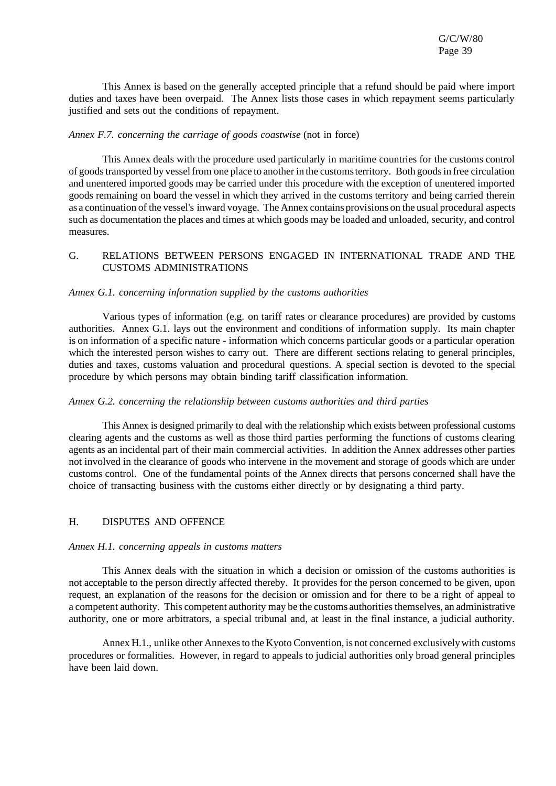This Annex is based on the generally accepted principle that a refund should be paid where import duties and taxes have been overpaid. The Annex lists those cases in which repayment seems particularly justified and sets out the conditions of repayment.

#### *Annex F.7. concerning the carriage of goods coastwise* (not in force)

This Annex deals with the procedure used particularly in maritime countries for the customs control of goodstransported by vesselfrom one place to another in the customsterritory. Both goodsin free circulation and unentered imported goods may be carried under this procedure with the exception of unentered imported goods remaining on board the vessel in which they arrived in the customs territory and being carried therein as a continuation of the vessel's inward voyage. The Annex contains provisions on the usual procedural aspects such as documentation the places and times at which goods may be loaded and unloaded, security, and control measures.

# G. RELATIONS BETWEEN PERSONS ENGAGED IN INTERNATIONAL TRADE AND THE CUSTOMS ADMINISTRATIONS

#### *Annex G.1. concerning information supplied by the customs authorities*

Various types of information (e.g. on tariff rates or clearance procedures) are provided by customs authorities. Annex G.1. lays out the environment and conditions of information supply. Its main chapter is on information of a specific nature - information which concerns particular goods or a particular operation which the interested person wishes to carry out. There are different sections relating to general principles, duties and taxes, customs valuation and procedural questions. A special section is devoted to the special procedure by which persons may obtain binding tariff classification information.

#### *Annex G.2. concerning the relationship between customs authorities and third parties*

This Annex is designed primarily to deal with the relationship which exists between professional customs clearing agents and the customs as well as those third parties performing the functions of customs clearing agents as an incidental part of their main commercial activities. In addition the Annex addresses other parties not involved in the clearance of goods who intervene in the movement and storage of goods which are under customs control. One of the fundamental points of the Annex directs that persons concerned shall have the choice of transacting business with the customs either directly or by designating a third party.

#### H. DISPUTES AND OFFENCE

#### *Annex H.1. concerning appeals in customs matters*

This Annex deals with the situation in which a decision or omission of the customs authorities is not acceptable to the person directly affected thereby. It provides for the person concerned to be given, upon request, an explanation of the reasons for the decision or omission and for there to be a right of appeal to a competent authority. This competent authority may be the customs authorities themselves, an administrative authority, one or more arbitrators, a special tribunal and, at least in the final instance, a judicial authority.

Annex H.1., unlike other Annexes to the Kyoto Convention, is not concerned exclusively with customs procedures or formalities. However, in regard to appeals to judicial authorities only broad general principles have been laid down.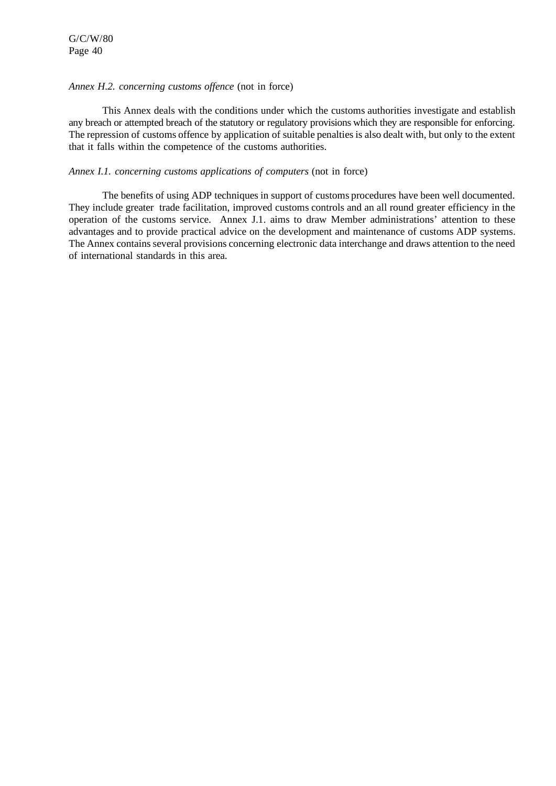#### *Annex H.2. concerning customs offence* (not in force)

This Annex deals with the conditions under which the customs authorities investigate and establish any breach or attempted breach of the statutory or regulatory provisions which they are responsible for enforcing. The repression of customs offence by application of suitable penalties is also dealt with, but only to the extent that it falls within the competence of the customs authorities.

#### *Annex I.1. concerning customs applications of computers* (not in force)

The benefits of using ADP techniques in support of customs procedures have been well documented. They include greater trade facilitation, improved customs controls and an all round greater efficiency in the operation of the customs service. Annex J.1. aims to draw Member administrations' attention to these advantages and to provide practical advice on the development and maintenance of customs ADP systems. The Annex contains several provisions concerning electronic data interchange and draws attention to the need of international standards in this area.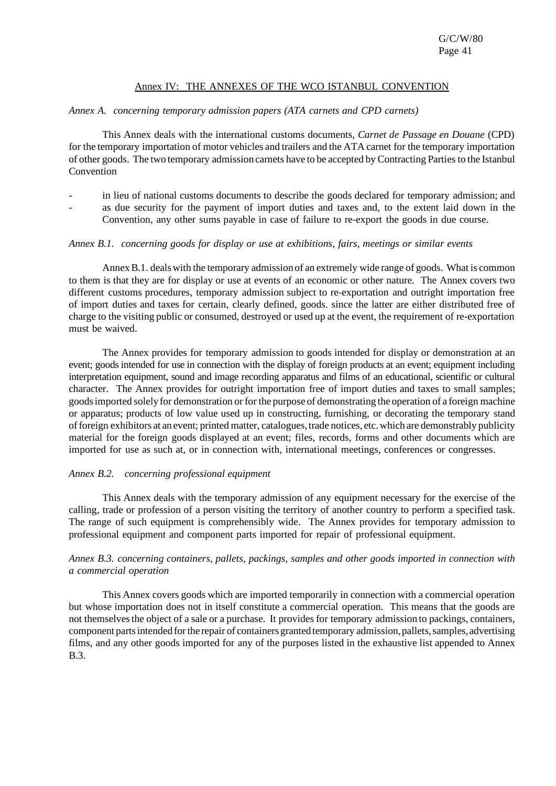## Annex IV: THE ANNEXES OF THE WCO ISTANBUL CONVENTION

### *Annex A. concerning temporary admission papers (ATA carnets and CPD carnets)*

This Annex deals with the international customs documents, *Carnet de Passage en Douane* (CPD) for the temporary importation of motor vehicles and trailers and the ATA carnet for the temporary importation of other goods. The two temporary admission carnets have to be accepted by Contracting Parties to the Istanbul Convention

- in lieu of national customs documents to describe the goods declared for temporary admission; and
- as due security for the payment of import duties and taxes and, to the extent laid down in the Convention, any other sums payable in case of failure to re-export the goods in due course.

#### *Annex B.1. concerning goods for display or use at exhibitions, fairs, meetings or similar events*

Annex B.1. deals with the temporary admission of an extremely wide range of goods. What is common to them is that they are for display or use at events of an economic or other nature. The Annex covers two different customs procedures, temporary admission subject to re-exportation and outright importation free of import duties and taxes for certain, clearly defined, goods. since the latter are either distributed free of charge to the visiting public or consumed, destroyed or used up at the event, the requirement of re-exportation must be waived.

The Annex provides for temporary admission to goods intended for display or demonstration at an event; goods intended for use in connection with the display of foreign products at an event; equipment including interpretation equipment, sound and image recording apparatus and films of an educational, scientific or cultural character. The Annex provides for outright importation free of import duties and taxes to small samples; goodsimported solely for demonstration or for the purpose of demonstrating the operation of a foreign machine or apparatus; products of low value used up in constructing, furnishing, or decorating the temporary stand offoreign exhibitors at an event; printed matter, catalogues,trade notices, etc. which are demonstrably publicity material for the foreign goods displayed at an event; files, records, forms and other documents which are imported for use as such at, or in connection with, international meetings, conferences or congresses.

#### *Annex B.2. concerning professional equipment*

This Annex deals with the temporary admission of any equipment necessary for the exercise of the calling, trade or profession of a person visiting the territory of another country to perform a specified task. The range of such equipment is comprehensibly wide. The Annex provides for temporary admission to professional equipment and component parts imported for repair of professional equipment.

#### *Annex B.3. concerning containers, pallets, packings, samples and other goods imported in connection with a commercial operation*

This Annex covers goods which are imported temporarily in connection with a commercial operation but whose importation does not in itself constitute a commercial operation. This means that the goods are not themselves the object of a sale or a purchase. It provides for temporary admission to packings, containers, component parts intended for the repair of containers granted temporary admission, pallets, samples, advertising films, and any other goods imported for any of the purposes listed in the exhaustive list appended to Annex B.3.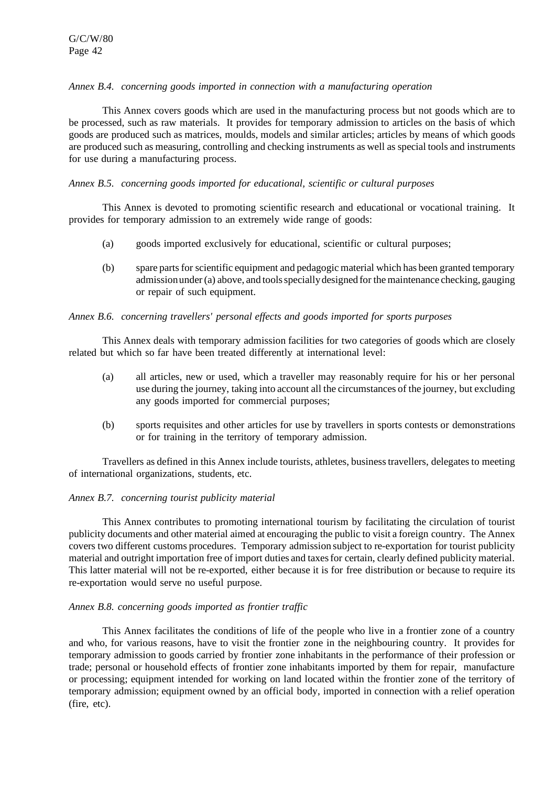### *Annex B.4. concerning goods imported in connection with a manufacturing operation*

This Annex covers goods which are used in the manufacturing process but not goods which are to be processed, such as raw materials. It provides for temporary admission to articles on the basis of which goods are produced such as matrices, moulds, models and similar articles; articles by means of which goods are produced such as measuring, controlling and checking instruments as well asspecial tools and instruments for use during a manufacturing process.

## *Annex B.5. concerning goods imported for educational, scientific or cultural purposes*

This Annex is devoted to promoting scientific research and educational or vocational training. It provides for temporary admission to an extremely wide range of goods:

- (a) goods imported exclusively for educational, scientific or cultural purposes;
- (b) spare partsfor scientific equipment and pedagogic material which has been granted temporary admissionunder (a) above, and toolsspeciallydesigned for themaintenance checking, gauging or repair of such equipment.

## *Annex B.6. concerning travellers' personal effects and goods imported for sports purposes*

This Annex deals with temporary admission facilities for two categories of goods which are closely related but which so far have been treated differently at international level:

- (a) all articles, new or used, which a traveller may reasonably require for his or her personal use during the journey, taking into account all the circumstances of the journey, but excluding any goods imported for commercial purposes;
- (b) sports requisites and other articles for use by travellers in sports contests or demonstrations or for training in the territory of temporary admission.

Travellers as defined in this Annex include tourists, athletes, businesstravellers, delegatesto meeting of international organizations, students, etc.

#### *Annex B.7. concerning tourist publicity material*

This Annex contributes to promoting international tourism by facilitating the circulation of tourist publicity documents and other material aimed at encouraging the public to visit a foreign country. The Annex covers two different customs procedures. Temporary admission subject to re-exportation for tourist publicity material and outright importation free of import duties and taxesfor certain, clearly defined publicity material. This latter material will not be re-exported, either because it is for free distribution or because to require its re-exportation would serve no useful purpose.

#### *Annex B.8. concerning goods imported as frontier traffic*

This Annex facilitates the conditions of life of the people who live in a frontier zone of a country and who, for various reasons, have to visit the frontier zone in the neighbouring country. It provides for temporary admission to goods carried by frontier zone inhabitants in the performance of their profession or trade; personal or household effects of frontier zone inhabitants imported by them for repair, manufacture or processing; equipment intended for working on land located within the frontier zone of the territory of temporary admission; equipment owned by an official body, imported in connection with a relief operation (fire, etc).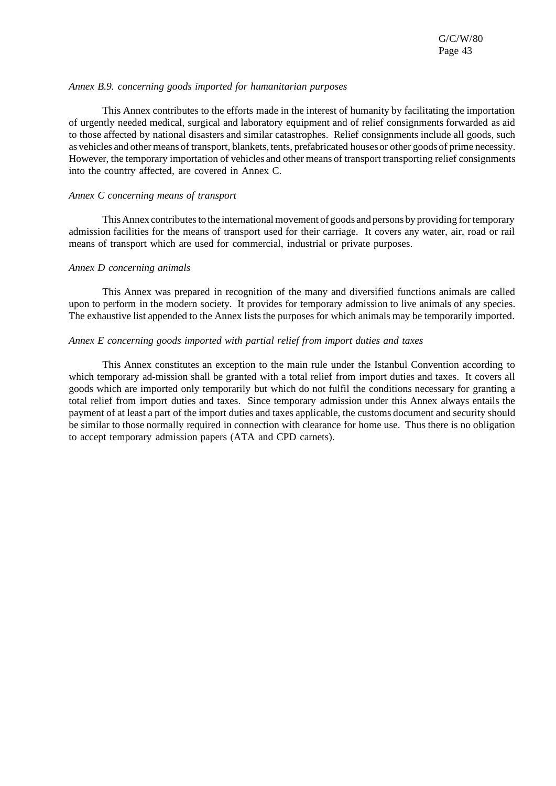#### *Annex B.9. concerning goods imported for humanitarian purposes*

This Annex contributes to the efforts made in the interest of humanity by facilitating the importation of urgently needed medical, surgical and laboratory equipment and of relief consignments forwarded as aid to those affected by national disasters and similar catastrophes. Relief consignments include all goods, such as vehicles and other means of transport, blankets, tents, prefabricated housesor other goods of prime necessity. However, the temporary importation of vehicles and other means of transport transporting relief consignments into the country affected, are covered in Annex C.

#### *Annex C concerning means of transport*

This Annex contributes to the international movement of goods and persons by providing for temporary admission facilities for the means of transport used for their carriage. It covers any water, air, road or rail means of transport which are used for commercial, industrial or private purposes.

#### *Annex D concerning animals*

This Annex was prepared in recognition of the many and diversified functions animals are called upon to perform in the modern society. It provides for temporary admission to live animals of any species. The exhaustive list appended to the Annex lists the purposes for which animals may be temporarily imported.

#### *Annex E concerning goods imported with partial relief from import duties and taxes*

This Annex constitutes an exception to the main rule under the Istanbul Convention according to which temporary ad-mission shall be granted with a total relief from import duties and taxes. It covers all goods which are imported only temporarily but which do not fulfil the conditions necessary for granting a total relief from import duties and taxes. Since temporary admission under this Annex always entails the payment of at least a part of the import duties and taxes applicable, the customs document and security should be similar to those normally required in connection with clearance for home use. Thus there is no obligation to accept temporary admission papers (ATA and CPD carnets).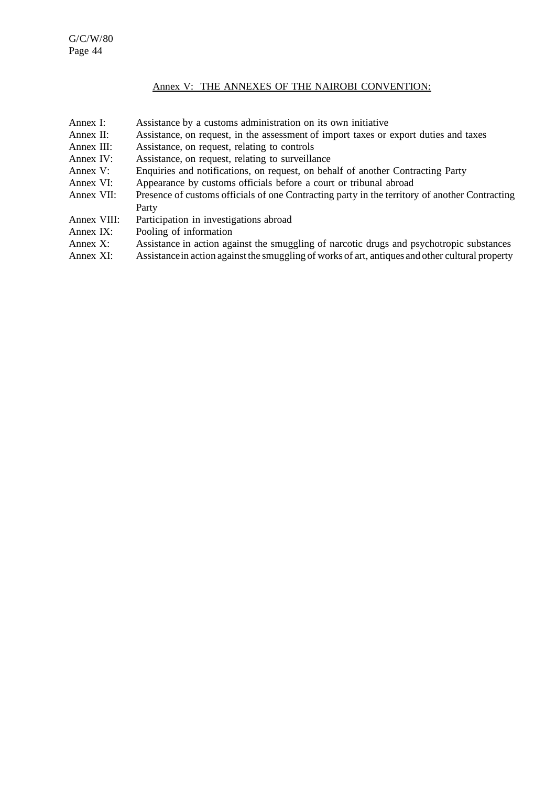## Annex V: THE ANNEXES OF THE NAIROBI CONVENTION:

- Annex I: Assistance by a customs administration on its own initiative
- Annex II: Assistance, on request, in the assessment of import taxes or export duties and taxes
- Annex III: Assistance, on request, relating to controls<br>Annex IV: Assistance, on request, relating to surveilla
- Assistance, on request, relating to surveillance
- Annex V: Enquiries and notifications, on request, on behalf of another Contracting Party
- Annex VI: Appearance by customs officials before a court or tribunal abroad Annex VII: Presence of customs officials of one Contracting party in the territory
- Presence of customs officials of one Contracting party in the territory of another Contracting Party
- Annex VIII: Participation in investigations abroad
- Annex IX: Pooling of information
- Annex X: Assistance in action against the smuggling of narcotic drugs and psychotropic substances
- Annex XI: Assistance in action against the smuggling of works of art, antiques and other cultural property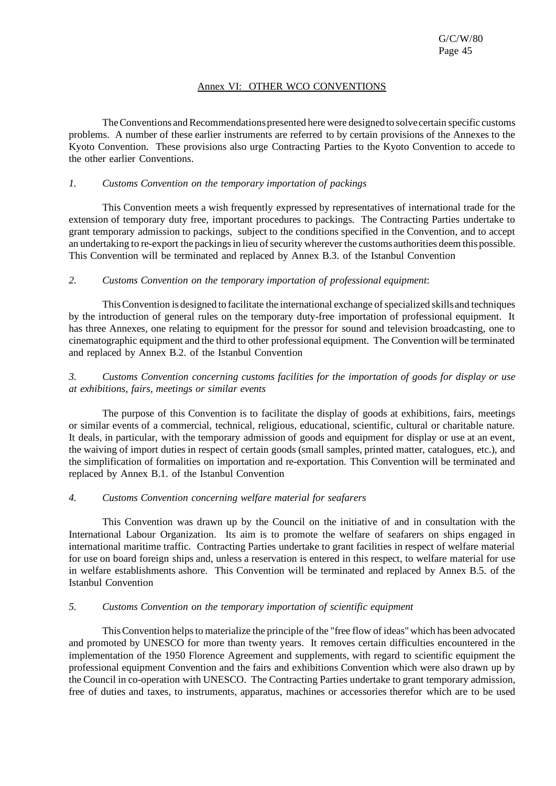# Annex VI: OTHER WCO CONVENTIONS

The Conventions and Recommendations presented here were designed to solve certain specific customs problems. A number of these earlier instruments are referred to by certain provisions of the Annexes to the Kyoto Convention. These provisions also urge Contracting Parties to the Kyoto Convention to accede to the other earlier Conventions.

## *1. Customs Convention on the temporary importation of packings*

This Convention meets a wish frequently expressed by representatives of international trade for the extension of temporary duty free, important procedures to packings. The Contracting Parties undertake to grant temporary admission to packings, subject to the conditions specified in the Convention, and to accept an undertaking to re-export the packings in lieu of security wherever the customs authorities deem this possible. This Convention will be terminated and replaced by Annex B.3. of the Istanbul Convention

## *2. Customs Convention on the temporary importation of professional equipment*:

This Convention is designed to facilitate the international exchange of specialized skills and techniques by the introduction of general rules on the temporary duty-free importation of professional equipment. It has three Annexes, one relating to equipment for the pressor for sound and television broadcasting, one to cinematographic equipment and the third to other professional equipment. The Convention will be terminated and replaced by Annex B.2. of the Istanbul Convention

*3. Customs Convention concerning customs facilities for the importation of goods for display or use at exhibitions, fairs, meetings or similar events*

The purpose of this Convention is to facilitate the display of goods at exhibitions, fairs, meetings or similar events of a commercial, technical, religious, educational, scientific, cultural or charitable nature. It deals, in particular, with the temporary admission of goods and equipment for display or use at an event, the waiving of import duties in respect of certain goods (small samples, printed matter, catalogues, etc.), and the simplification of formalities on importation and re-exportation. This Convention will be terminated and replaced by Annex B.1. of the Istanbul Convention

#### *4. Customs Convention concerning welfare material for seafarers*

This Convention was drawn up by the Council on the initiative of and in consultation with the International Labour Organization. Its aim is to promote the welfare of seafarers on ships engaged in international maritime traffic. Contracting Parties undertake to grant facilities in respect of welfare material for use on board foreign ships and, unless a reservation is entered in this respect, to welfare material for use in welfare establishments ashore. This Convention will be terminated and replaced by Annex B.5. of the Istanbul Convention

## *5. Customs Convention on the temporary importation of scientific equipment*

ThisConvention helpsto materialize the principle of the "free flow of ideas"which has been advocated and promoted by UNESCO for more than twenty years. It removes certain difficulties encountered in the implementation of the 1950 Florence Agreement and supplements, with regard to scientific equipment the professional equipment Convention and the fairs and exhibitions Convention which were also drawn up by the Council in co-operation with UNESCO. The Contracting Parties undertake to grant temporary admission, free of duties and taxes, to instruments, apparatus, machines or accessories therefor which are to be used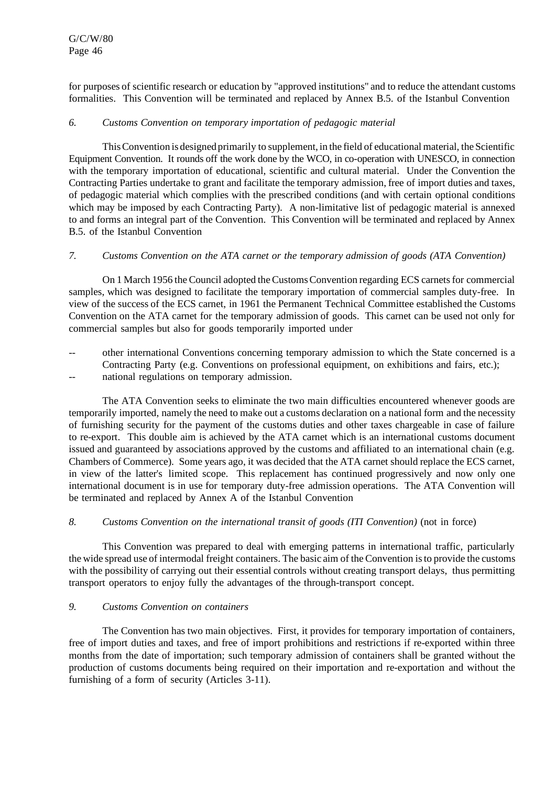for purposes of scientific research or education by "approved institutions" and to reduce the attendant customs formalities. This Convention will be terminated and replaced by Annex B.5. of the Istanbul Convention

#### *6. Customs Convention on temporary importation of pedagogic material*

ThisConvention is designed primarily to supplement, in the field of educationalmaterial, the Scientific Equipment Convention. It rounds off the work done by the WCO, in co-operation with UNESCO, in connection with the temporary importation of educational, scientific and cultural material. Under the Convention the Contracting Parties undertake to grant and facilitate the temporary admission, free of import duties and taxes, of pedagogic material which complies with the prescribed conditions (and with certain optional conditions which may be imposed by each Contracting Party). A non-limitative list of pedagogic material is annexed to and forms an integral part of the Convention. This Convention will be terminated and replaced by Annex B.5. of the Istanbul Convention

#### *7. Customs Convention on the ATA carnet or the temporary admission of goods (ATA Convention)*

On 1 March 1956 the Council adopted the Customs Convention regarding ECS carnets for commercial samples, which was designed to facilitate the temporary importation of commercial samples duty-free. In view of the success of the ECS carnet, in 1961 the Permanent Technical Committee established the Customs Convention on the ATA carnet for the temporary admission of goods. This carnet can be used not only for commercial samples but also for goods temporarily imported under

- -- other international Conventions concerning temporary admission to which the State concerned is a Contracting Party (e.g. Conventions on professional equipment, on exhibitions and fairs, etc.);
- national regulations on temporary admission.

The ATA Convention seeks to eliminate the two main difficulties encountered whenever goods are temporarily imported, namely the need to make out a customs declaration on a national form and the necessity of furnishing security for the payment of the customs duties and other taxes chargeable in case of failure to re-export. This double aim is achieved by the ATA carnet which is an international customs document issued and guaranteed by associations approved by the customs and affiliated to an international chain (e.g. Chambers of Commerce). Some years ago, it was decided that the ATA carnet should replace the ECS carnet, in view of the latter's limited scope. This replacement has continued progressively and now only one international document is in use for temporary duty-free admission operations. The ATA Convention will be terminated and replaced by Annex A of the Istanbul Convention

#### *8. Customs Convention on the international transit of goods (ITI Convention)* (not in force)

This Convention was prepared to deal with emerging patterns in international traffic, particularly the wide spread use of intermodal freight containers. The basic aim of the Convention isto provide the customs with the possibility of carrying out their essential controls without creating transport delays, thus permitting transport operators to enjoy fully the advantages of the through-transport concept.

## *9. Customs Convention on containers*

The Convention has two main objectives. First, it provides for temporary importation of containers, free of import duties and taxes, and free of import prohibitions and restrictions if re-exported within three months from the date of importation; such temporary admission of containers shall be granted without the production of customs documents being required on their importation and re-exportation and without the furnishing of a form of security (Articles 3-11).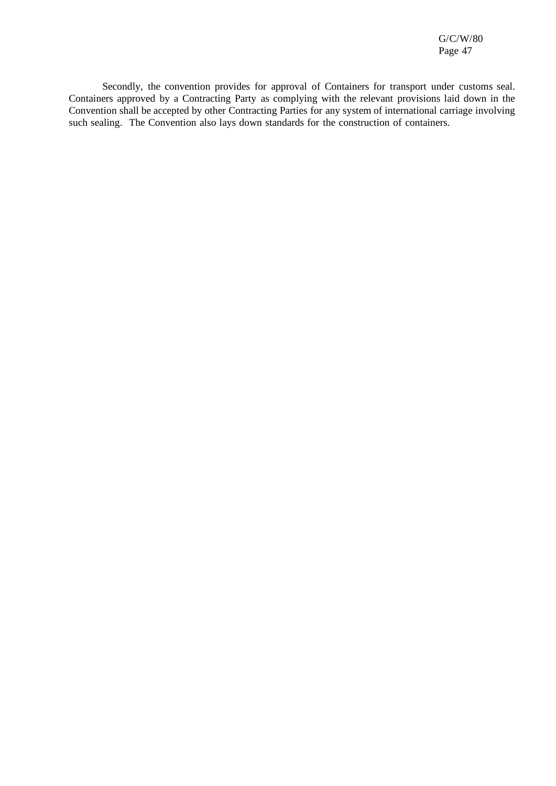Secondly, the convention provides for approval of Containers for transport under customs seal. Containers approved by a Contracting Party as complying with the relevant provisions laid down in the Convention shall be accepted by other Contracting Parties for any system of international carriage involving such sealing. The Convention also lays down standards for the construction of containers.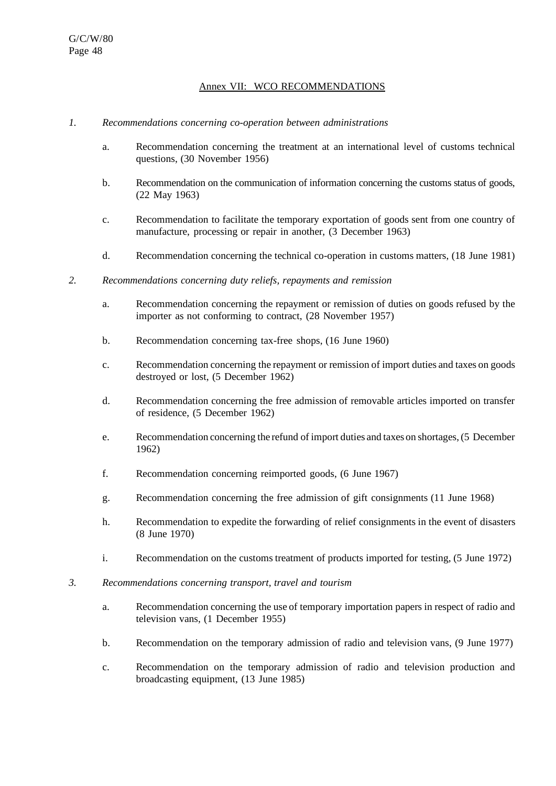## Annex VII: WCO RECOMMENDATIONS

#### *1. Recommendations concerning co-operation between administrations*

- a. Recommendation concerning the treatment at an international level of customs technical questions, (30 November 1956)
- b. Recommendation on the communication of information concerning the customs status of goods, (22 May 1963)
- c. Recommendation to facilitate the temporary exportation of goods sent from one country of manufacture, processing or repair in another, (3 December 1963)
- d. Recommendation concerning the technical co-operation in customs matters, (18 June 1981)
- *2. Recommendations concerning duty reliefs, repayments and remission*
	- a. Recommendation concerning the repayment or remission of duties on goods refused by the importer as not conforming to contract, (28 November 1957)
	- b. Recommendation concerning tax-free shops, (16 June 1960)
	- c. Recommendation concerning the repayment or remission of import duties and taxes on goods destroyed or lost, (5 December 1962)
	- d. Recommendation concerning the free admission of removable articles imported on transfer of residence, (5 December 1962)
	- e. Recommendation concerning the refund of import duties and taxes on shortages, (5 December 1962)
	- f. Recommendation concerning reimported goods, (6 June 1967)
	- g. Recommendation concerning the free admission of gift consignments (11 June 1968)
	- h. Recommendation to expedite the forwarding of relief consignments in the event of disasters (8 June 1970)
	- i. Recommendation on the customs treatment of products imported for testing, (5 June 1972)
- *3. Recommendations concerning transport, travel and tourism*
	- a. Recommendation concerning the use of temporary importation papers in respect of radio and television vans, (1 December 1955)
	- b. Recommendation on the temporary admission of radio and television vans, (9 June 1977)
	- c. Recommendation on the temporary admission of radio and television production and broadcasting equipment, (13 June 1985)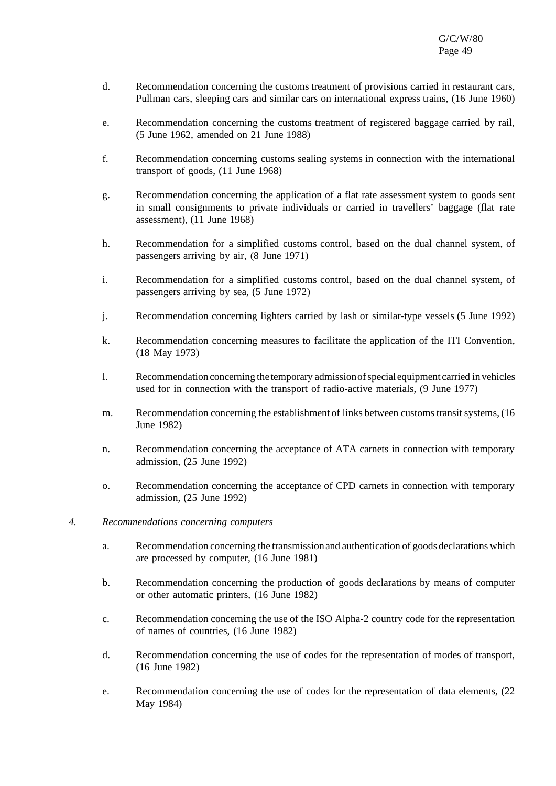- d. Recommendation concerning the customs treatment of provisions carried in restaurant cars, Pullman cars, sleeping cars and similar cars on international express trains, (16 June 1960)
- e. Recommendation concerning the customs treatment of registered baggage carried by rail, (5 June 1962, amended on 21 June 1988)
- f. Recommendation concerning customs sealing systems in connection with the international transport of goods, (11 June 1968)
- g. Recommendation concerning the application of a flat rate assessment system to goods sent in small consignments to private individuals or carried in travellers' baggage (flat rate assessment), (11 June 1968)
- h. Recommendation for a simplified customs control, based on the dual channel system, of passengers arriving by air, (8 June 1971)
- i. Recommendation for a simplified customs control, based on the dual channel system, of passengers arriving by sea, (5 June 1972)
- j. Recommendation concerning lighters carried by lash or similar-type vessels (5 June 1992)
- k. Recommendation concerning measures to facilitate the application of the ITI Convention, (18 May 1973)
- l. Recommendation concerning the temporary admissionofspecialequipment carried in vehicles used for in connection with the transport of radio-active materials, (9 June 1977)
- m. Recommendation concerning the establishment of links between customs transit systems, (16 June 1982)
- n. Recommendation concerning the acceptance of ATA carnets in connection with temporary admission, (25 June 1992)
- o. Recommendation concerning the acceptance of CPD carnets in connection with temporary admission, (25 June 1992)
- *4. Recommendations concerning computers*
	- a. Recommendation concerning the transmissionand authentication of goods declarations which are processed by computer, (16 June 1981)
	- b. Recommendation concerning the production of goods declarations by means of computer or other automatic printers, (16 June 1982)
	- c. Recommendation concerning the use of the ISO Alpha-2 country code for the representation of names of countries, (16 June 1982)
	- d. Recommendation concerning the use of codes for the representation of modes of transport, (16 June 1982)
	- e. Recommendation concerning the use of codes for the representation of data elements, (22 May 1984)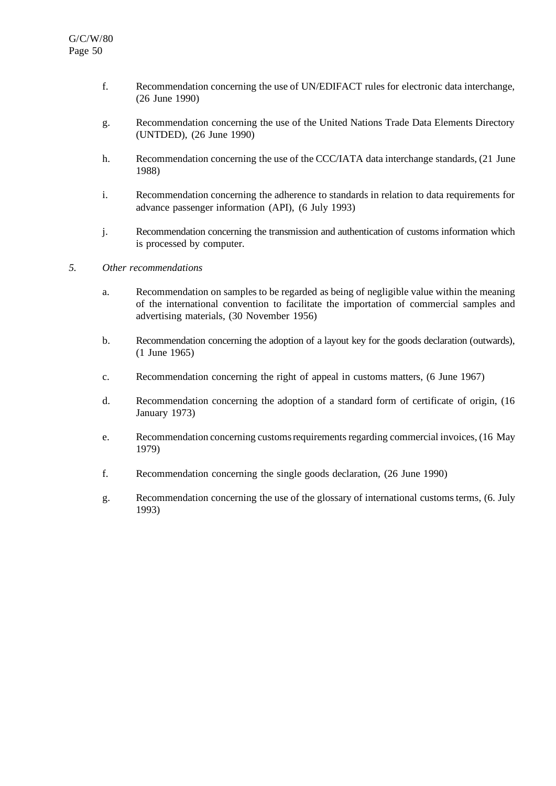- f. Recommendation concerning the use of UN/EDIFACT rules for electronic data interchange, (26 June 1990)
- g. Recommendation concerning the use of the United Nations Trade Data Elements Directory (UNTDED), (26 June 1990)
- h. Recommendation concerning the use of the CCC/IATA data interchange standards, (21 June 1988)
- i. Recommendation concerning the adherence to standards in relation to data requirements for advance passenger information (API), (6 July 1993)
- j. Recommendation concerning the transmission and authentication of customs information which is processed by computer.

#### *5. Other recommendations*

- a. Recommendation on samplesto be regarded as being of negligible value within the meaning of the international convention to facilitate the importation of commercial samples and advertising materials, (30 November 1956)
- b. Recommendation concerning the adoption of a layout key for the goods declaration (outwards), (1 June 1965)
- c. Recommendation concerning the right of appeal in customs matters, (6 June 1967)
- d. Recommendation concerning the adoption of a standard form of certificate of origin, (16 January 1973)
- e. Recommendation concerning customsrequirements regarding commercial invoices, (16 May 1979)
- f. Recommendation concerning the single goods declaration, (26 June 1990)
- g. Recommendation concerning the use of the glossary of international customsterms, (6. July 1993)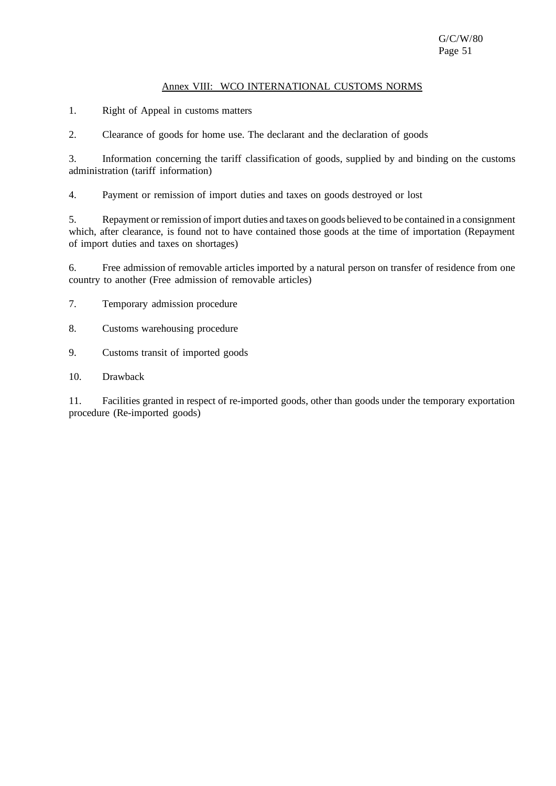## Annex VIII: WCO INTERNATIONAL CUSTOMS NORMS

1. Right of Appeal in customs matters

2. Clearance of goods for home use. The declarant and the declaration of goods

3. Information concerning the tariff classification of goods, supplied by and binding on the customs administration (tariff information)

4. Payment or remission of import duties and taxes on goods destroyed or lost

5. Repayment or remission of import duties and taxes on goods believed to be contained in a consignment which, after clearance, is found not to have contained those goods at the time of importation (Repayment of import duties and taxes on shortages)

6. Free admission of removable articles imported by a natural person on transfer of residence from one country to another (Free admission of removable articles)

7. Temporary admission procedure

8. Customs warehousing procedure

9. Customs transit of imported goods

10. Drawback

11. Facilities granted in respect of re-imported goods, other than goods under the temporary exportation procedure (Re-imported goods)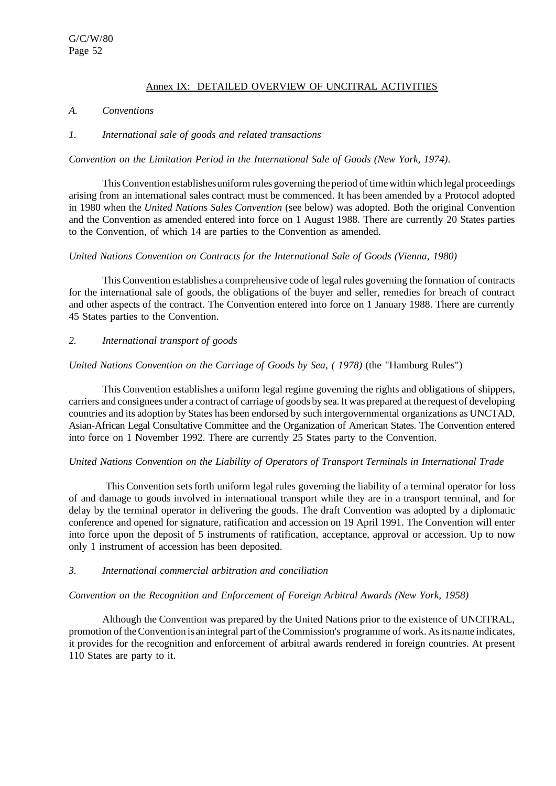# Annex IX: DETAILED OVERVIEW OF UNCITRAL ACTIVITIES

#### *A. Conventions*

#### *1. International sale of goods and related transactions*

#### *Convention on the Limitation Period in the International Sale of Goods (New York, 1974)*.

ThisConvention establishesuniform rules governing the period of time within which legal proceedings arising from an international sales contract must be commenced. It has been amended by a Protocol adopted in 1980 when the *United Nations Sales Convention* (see below) was adopted. Both the original Convention and the Convention as amended entered into force on 1 August 1988. There are currently 20 States parties to the Convention, of which 14 are parties to the Convention as amended.

#### *United Nations Convention on Contracts for the International Sale of Goods (Vienna, 1980)*

This Convention establishes a comprehensive code of legal rules governing the formation of contracts for the international sale of goods, the obligations of the buyer and seller, remedies for breach of contract and other aspects of the contract. The Convention entered into force on 1 January 1988. There are currently 45 States parties to the Convention.

#### *2. International transport of goods*

#### *United Nations Convention on the Carriage of Goods by Sea, ( 1978)* (the "Hamburg Rules")

This Convention establishes a uniform legal regime governing the rights and obligations of shippers, carriers and consignees under a contract of carriage of goods by sea. It was prepared at the request of developing countries and its adoption by States has been endorsed by such intergovernmental organizations as UNCTAD, Asian-African Legal Consultative Committee and the Organization of American States. The Convention entered into force on 1 November 1992. There are currently 25 States party to the Convention.

#### *United Nations Convention on the Liability of Operators of Transport Terminals in International Trade*

This Convention sets forth uniform legal rules governing the liability of a terminal operator for loss of and damage to goods involved in international transport while they are in a transport terminal, and for delay by the terminal operator in delivering the goods. The draft Convention was adopted by a diplomatic conference and opened for signature, ratification and accession on 19 April 1991. The Convention will enter into force upon the deposit of 5 instruments of ratification, acceptance, approval or accession. Up to now only 1 instrument of accession has been deposited.

#### *3. International commercial arbitration and conciliation*

#### *Convention on the Recognition and Enforcement of Foreign Arbitral Awards (New York, 1958)*

Although the Convention was prepared by the United Nations prior to the existence of UNCITRAL, promotion of theConvention is an integral part of theCommission's programme of work. Asits name indicates, it provides for the recognition and enforcement of arbitral awards rendered in foreign countries. At present 110 States are party to it.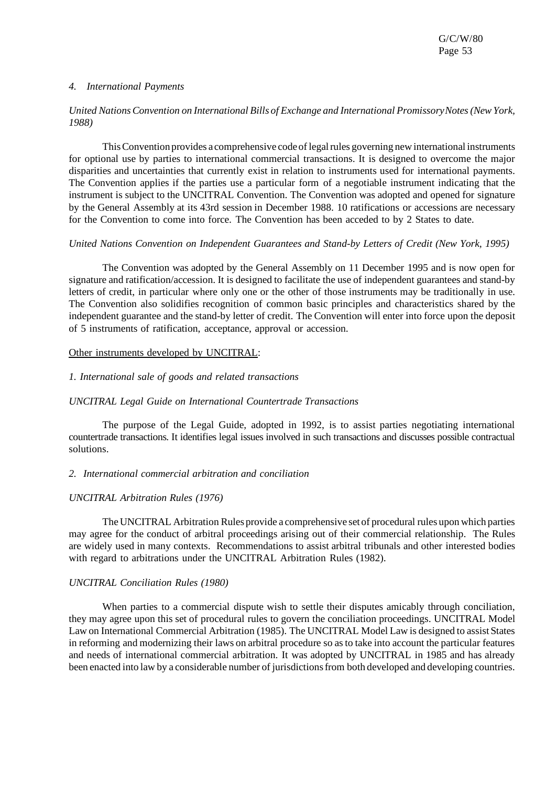#### *4. International Payments*

#### *United NationsConvention on International Bills of Exchange and International PromissoryNotes(New York, 1988)*

ThisConvention provides a comprehensive code of legalrules governing new international instruments for optional use by parties to international commercial transactions. It is designed to overcome the major disparities and uncertainties that currently exist in relation to instruments used for international payments. The Convention applies if the parties use a particular form of a negotiable instrument indicating that the instrument is subject to the UNCITRAL Convention. The Convention was adopted and opened for signature by the General Assembly at its 43rd session in December 1988. 10 ratifications or accessions are necessary for the Convention to come into force. The Convention has been acceded to by 2 States to date.

#### *United Nations Convention on Independent Guarantees and Stand-by Letters of Credit (New York, 1995)*

The Convention was adopted by the General Assembly on 11 December 1995 and is now open for signature and ratification/accession. It is designed to facilitate the use of independent guarantees and stand-by letters of credit, in particular where only one or the other of those instruments may be traditionally in use. The Convention also solidifies recognition of common basic principles and characteristics shared by the independent guarantee and the stand-by letter of credit. The Convention will enter into force upon the deposit of 5 instruments of ratification, acceptance, approval or accession.

#### Other instruments developed by UNCITRAL:

#### *1. International sale of goods and related transactions*

#### *UNCITRAL Legal Guide on International Countertrade Transactions*

The purpose of the Legal Guide, adopted in 1992, is to assist parties negotiating international countertrade transactions. It identifies legal issues involved in such transactions and discusses possible contractual solutions.

#### *2. International commercial arbitration and conciliation*

#### *UNCITRAL Arbitration Rules (1976)*

The UNCITRAL Arbitration Rules provide a comprehensive set of procedural rules upon which parties may agree for the conduct of arbitral proceedings arising out of their commercial relationship. The Rules are widely used in many contexts. Recommendations to assist arbitral tribunals and other interested bodies with regard to arbitrations under the UNCITRAL Arbitration Rules (1982).

#### *UNCITRAL Conciliation Rules (1980)*

When parties to a commercial dispute wish to settle their disputes amicably through conciliation, they may agree upon this set of procedural rules to govern the conciliation proceedings. UNCITRAL Model Law on International Commercial Arbitration (1985). The UNCITRAL Model Law is designed to assist States in reforming and modernizing their laws on arbitral procedure so asto take into account the particular features and needs of international commercial arbitration. It was adopted by UNCITRAL in 1985 and has already been enacted into law by a considerable number of jurisdictionsfrom both developed and developing countries.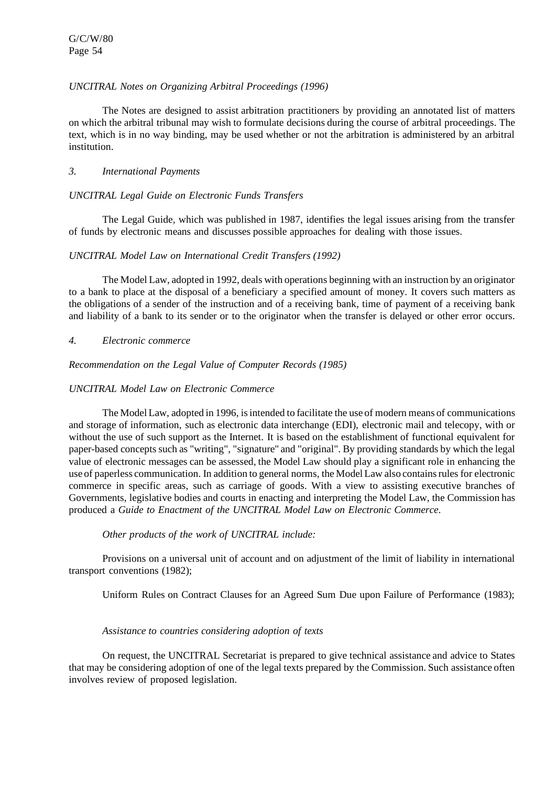## *UNCITRAL Notes on Organizing Arbitral Proceedings (1996)*

The Notes are designed to assist arbitration practitioners by providing an annotated list of matters on which the arbitral tribunal may wish to formulate decisions during the course of arbitral proceedings. The text, which is in no way binding, may be used whether or not the arbitration is administered by an arbitral institution.

## *3. International Payments*

## *UNCITRAL Legal Guide on Electronic Funds Transfers*

The Legal Guide, which was published in 1987, identifies the legal issues arising from the transfer of funds by electronic means and discusses possible approaches for dealing with those issues.

## *UNCITRAL Model Law on International Credit Transfers (1992)*

The Model Law, adopted in 1992, deals with operations beginning with an instruction by an originator to a bank to place at the disposal of a beneficiary a specified amount of money. It covers such matters as the obligations of a sender of the instruction and of a receiving bank, time of payment of a receiving bank and liability of a bank to its sender or to the originator when the transfer is delayed or other error occurs.

## *4. Electronic commerce*

*Recommendation on the Legal Value of Computer Records (1985)*

## *UNCITRAL Model Law on Electronic Commerce*

The Model Law, adopted in 1996, is intended to facilitate the use of modern means of communications and storage of information, such as electronic data interchange (EDI), electronic mail and telecopy, with or without the use of such support as the Internet. It is based on the establishment of functional equivalent for paper-based concepts such as "writing", "signature" and "original". By providing standards by which the legal value of electronic messages can be assessed, the Model Law should play a significant role in enhancing the use of paperless communication. In addition to general norms, the Model Law also contains rules for electronic commerce in specific areas, such as carriage of goods. With a view to assisting executive branches of Governments, legislative bodies and courts in enacting and interpreting the Model Law, the Commission has produced a *Guide to Enactment of the UNCITRAL Model Law on Electronic Commerce*.

#### *Other products of the work of UNCITRAL include:*

Provisions on a universal unit of account and on adjustment of the limit of liability in international transport conventions (1982);

Uniform Rules on Contract Clauses for an Agreed Sum Due upon Failure of Performance (1983);

#### *Assistance to countries considering adoption of texts*

On request, the UNCITRAL Secretariat is prepared to give technical assistance and advice to States that may be considering adoption of one of the legal texts prepared by the Commission. Such assistance often involves review of proposed legislation.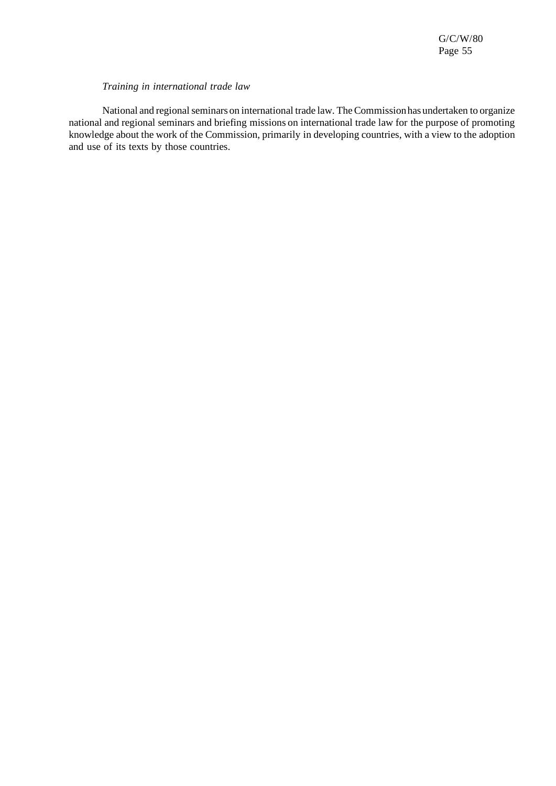#### *Training in international trade law*

National and regional seminars on international trade law. The Commission has undertaken to organize national and regional seminars and briefing missions on international trade law for the purpose of promoting knowledge about the work of the Commission, primarily in developing countries, with a view to the adoption and use of its texts by those countries.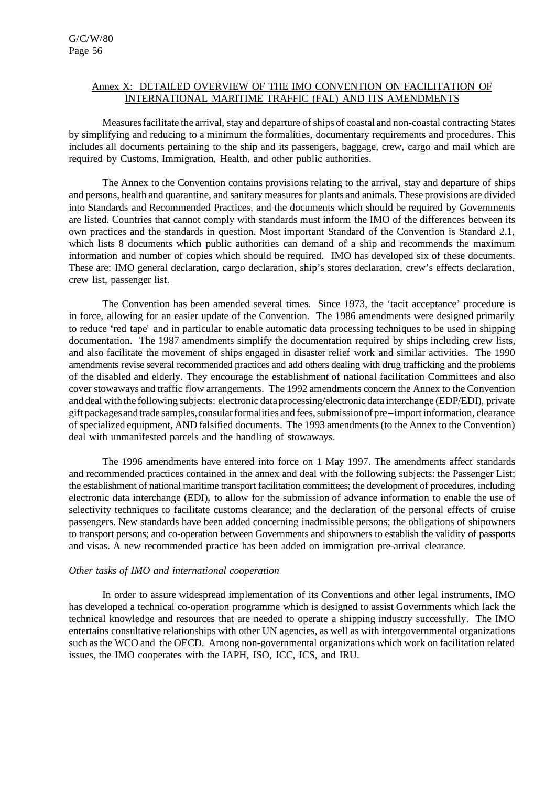## Annex X: DETAILED OVERVIEW OF THE IMO CONVENTION ON FACILITATION OF INTERNATIONAL MARITIME TRAFFIC (FAL) AND ITS AMENDMENTS

Measuresfacilitate the arrival, stay and departure ofships of coastal and non-coastal contracting States by simplifying and reducing to a minimum the formalities, documentary requirements and procedures. This includes all documents pertaining to the ship and its passengers, baggage, crew, cargo and mail which are required by Customs, Immigration, Health, and other public authorities.

The Annex to the Convention contains provisions relating to the arrival, stay and departure of ships and persons, health and quarantine, and sanitary measuresfor plants and animals. These provisions are divided into Standards and Recommended Practices, and the documents which should be required by Governments are listed. Countries that cannot comply with standards must inform the IMO of the differences between its own practices and the standards in question. Most important Standard of the Convention is Standard 2.1, which lists 8 documents which public authorities can demand of a ship and recommends the maximum information and number of copies which should be required. IMO has developed six of these documents. These are: IMO general declaration, cargo declaration, ship's stores declaration, crew's effects declaration, crew list, passenger list.

The Convention has been amended several times. Since 1973, the 'tacit acceptance' procedure is in force, allowing for an easier update of the Convention. The 1986 amendments were designed primarily to reduce 'red tape' and in particular to enable automatic data processing techniques to be used in shipping documentation. The 1987 amendments simplify the documentation required by ships including crew lists, and also facilitate the movement of ships engaged in disaster relief work and similar activities. The 1990 amendments revise several recommended practices and add others dealing with drug trafficking and the problems of the disabled and elderly. They encourage the establishment of national facilitation Committees and also cover stowaways and traffic flow arrangements. The 1992 amendments concern the Annex to the Convention and deal with the following subjects: electronic data processing/electronic data interchange (EDP/EDI), private gift packages and trade samples, consular formalities and fees, submission of pre-import information, clearance of specialized equipment, AND falsified documents. The 1993 amendments(to the Annex to the Convention) deal with unmanifested parcels and the handling of stowaways.

The 1996 amendments have entered into force on 1 May 1997. The amendments affect standards and recommended practices contained in the annex and deal with the following subjects: the Passenger List; the establishment of national maritime transport facilitation committees; the development of procedures, including electronic data interchange (EDI), to allow for the submission of advance information to enable the use of selectivity techniques to facilitate customs clearance; and the declaration of the personal effects of cruise passengers. New standards have been added concerning inadmissible persons; the obligations of shipowners to transport persons; and co-operation between Governments and shipowners to establish the validity of passports and visas. A new recommended practice has been added on immigration pre-arrival clearance.

#### *Other tasks of IMO and international cooperation*

In order to assure widespread implementation of its Conventions and other legal instruments, IMO has developed a technical co-operation programme which is designed to assist Governments which lack the technical knowledge and resources that are needed to operate a shipping industry successfully. The IMO entertains consultative relationships with other UN agencies, as well as with intergovernmental organizations such asthe WCO and the OECD. Among non-governmental organizations which work on facilitation related issues, the IMO cooperates with the IAPH, ISO, ICC, ICS, and IRU.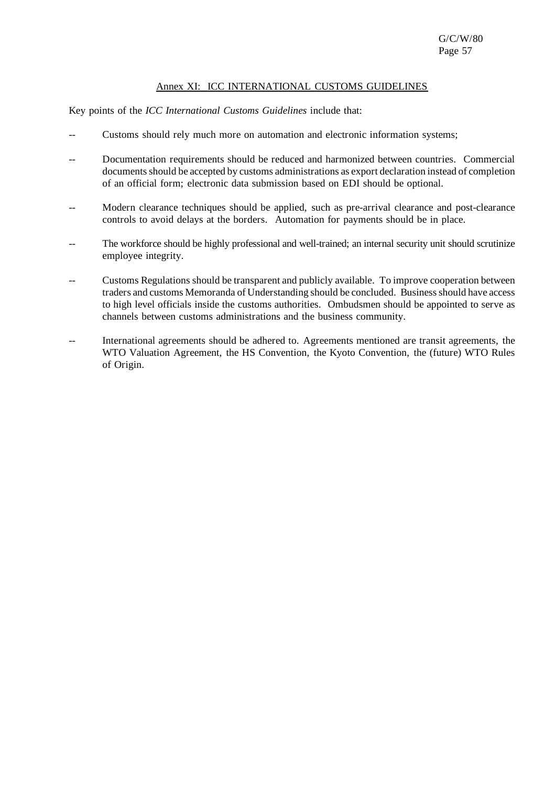# Annex XI: ICC INTERNATIONAL CUSTOMS GUIDELINES

Key points of the *ICC International Customs Guidelines* include that:

- Customs should rely much more on automation and electronic information systems;
- -- Documentation requirements should be reduced and harmonized between countries. Commercial documents should be accepted by customs administrations as export declaration instead of completion of an official form; electronic data submission based on EDI should be optional.
- Modern clearance techniques should be applied, such as pre-arrival clearance and post-clearance controls to avoid delays at the borders. Automation for payments should be in place.
- The workforce should be highly professional and well-trained; an internal security unit should scrutinize employee integrity.
- -- Customs Regulations should be transparent and publicly available. To improve cooperation between traders and customs Memoranda of Understanding should be concluded. Businessshould have access to high level officials inside the customs authorities. Ombudsmen should be appointed to serve as channels between customs administrations and the business community.
- -- International agreements should be adhered to. Agreements mentioned are transit agreements, the WTO Valuation Agreement, the HS Convention, the Kyoto Convention, the (future) WTO Rules of Origin.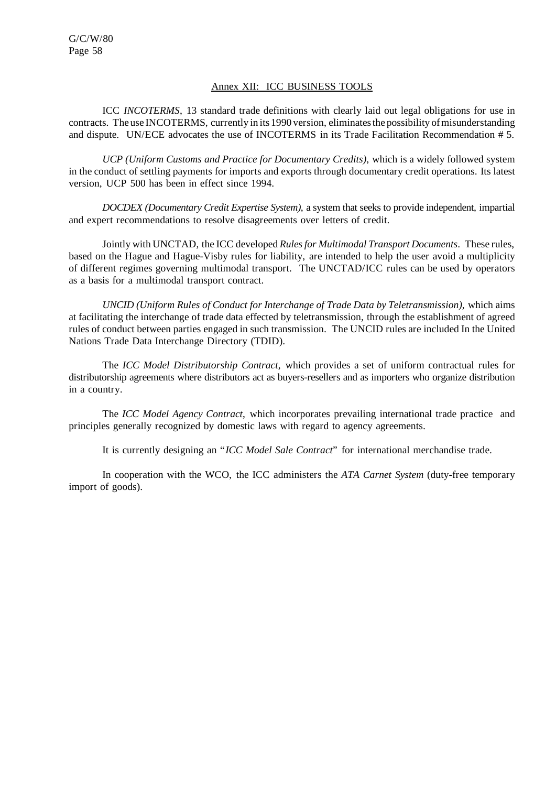## Annex XII: ICC BUSINESS TOOLS

ICC *INCOTERMS*, 13 standard trade definitions with clearly laid out legal obligations for use in contracts. The use INCOTERMS, currently in its 1990 version, eliminates the possibility of misunderstanding and dispute. UN/ECE advocates the use of INCOTERMS in its Trade Facilitation Recommendation # 5.

*UCP (Uniform Customs and Practice for Documentary Credits)*, which is a widely followed system in the conduct of settling payments for imports and exports through documentary credit operations. Its latest version, UCP 500 has been in effect since 1994.

*DOCDEX (Documentary Credit Expertise System)*, a system that seeks to provide independent, impartial and expert recommendations to resolve disagreements over letters of credit.

Jointly with UNCTAD, the ICC developed *Rulesfor Multimodal Transport Documents*. These rules, based on the Hague and Hague-Visby rules for liability, are intended to help the user avoid a multiplicity of different regimes governing multimodal transport. The UNCTAD/ICC rules can be used by operators as a basis for a multimodal transport contract.

*UNCID (Uniform Rules of Conduct for Interchange of Trade Data by Teletransmission)*, which aims at facilitating the interchange of trade data effected by teletransmission, through the establishment of agreed rules of conduct between parties engaged in such transmission. The UNCID rules are included In the United Nations Trade Data Interchange Directory (TDID).

The *ICC Model Distributorship Contract*, which provides a set of uniform contractual rules for distributorship agreements where distributors act as buyers-resellers and as importers who organize distribution in a country.

The *ICC Model Agency Contract*, which incorporates prevailing international trade practice and principles generally recognized by domestic laws with regard to agency agreements.

It is currently designing an "*ICC Model Sale Contract*" for international merchandise trade.

In cooperation with the WCO, the ICC administers the *ATA Carnet System* (duty-free temporary import of goods).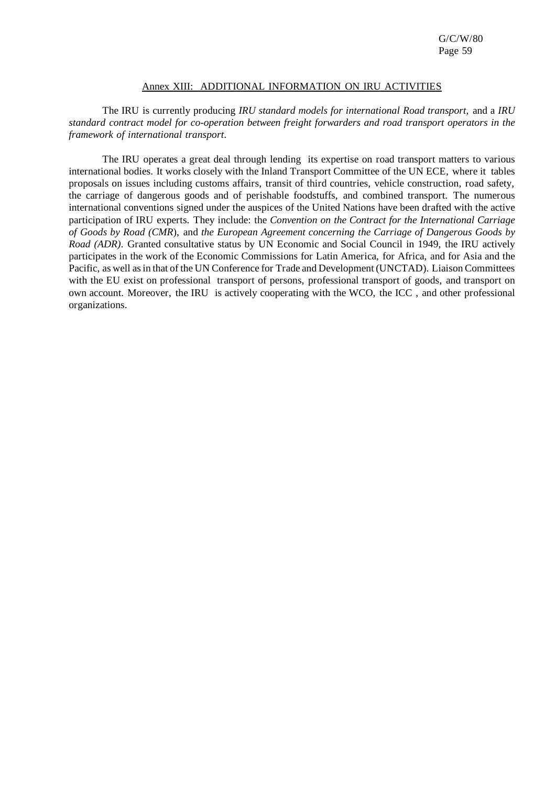#### Annex XIII: ADDITIONAL INFORMATION ON IRU ACTIVITIES

The IRU is currently producing *IRU standard models for international Road transport*, and a *IRU standard contract model for co-operation between freight forwarders and road transport operators in the framework of international transport*.

The IRU operates a great deal through lending its expertise on road transport matters to various international bodies. It works closely with the Inland Transport Committee of the UN ECE, where it tables proposals on issues including customs affairs, transit of third countries, vehicle construction, road safety, the carriage of dangerous goods and of perishable foodstuffs, and combined transport. The numerous international conventions signed under the auspices of the United Nations have been drafted with the active participation of IRU experts. They include: the *Convention on the Contract for the International Carriage of Goods by Road (CMR*), and *the European Agreement concerning the Carriage of Dangerous Goods by Road (ADR)*. Granted consultative status by UN Economic and Social Council in 1949, the IRU actively participates in the work of the Economic Commissions for Latin America, for Africa, and for Asia and the Pacific, as well as in that of the UN Conference for Trade and Development (UNCTAD). Liaison Committees with the EU exist on professional transport of persons, professional transport of goods, and transport on own account. Moreover, the IRU is actively cooperating with the WCO, the ICC , and other professional organizations.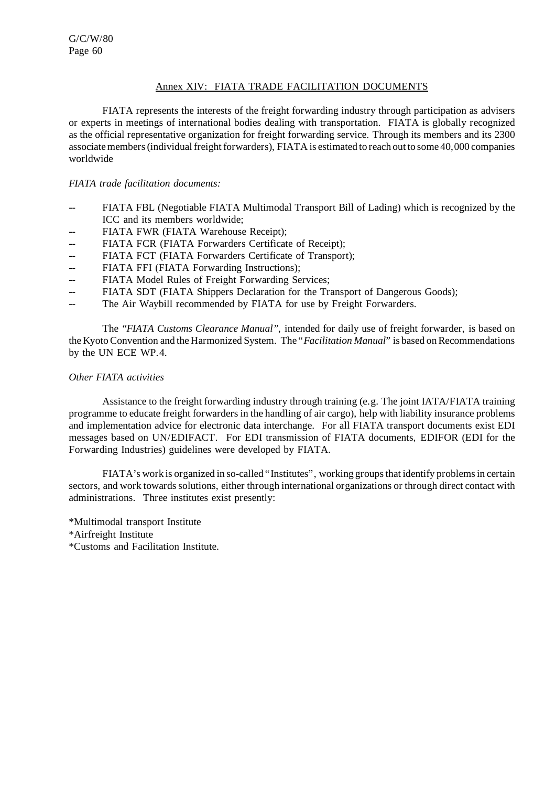# Annex XIV: FIATA TRADE FACILITATION DOCUMENTS

FIATA represents the interests of the freight forwarding industry through participation as advisers or experts in meetings of international bodies dealing with transportation. FIATA is globally recognized as the official representative organization for freight forwarding service. Through its members and its 2300 associate members (individual freight forwarders), FIATA is estimated to reach out to some 40,000 companies worldwide

## *FIATA trade facilitation documents:*

- -- FIATA FBL (Negotiable FIATA Multimodal Transport Bill of Lading) which is recognized by the ICC and its members worldwide;
- -- FIATA FWR (FIATA Warehouse Receipt);
- -- FIATA FCR (FIATA Forwarders Certificate of Receipt);
- -- FIATA FCT (FIATA Forwarders Certificate of Transport);
- -- FIATA FFI (FIATA Forwarding Instructions);
- -- FIATA Model Rules of Freight Forwarding Services;
- -- FIATA SDT (FIATA Shippers Declaration for the Transport of Dangerous Goods);
- -- The Air Waybill recommended by FIATA for use by Freight Forwarders.

The *"FIATA Customs Clearance Manual"*, intended for daily use of freight forwarder, is based on the Kyoto Convention and the Harmonized System. The "*Facilitation Manual*" is based on Recommendations by the UN ECE WP.4.

## *Other FIATA activities*

Assistance to the freight forwarding industry through training (e.g. The joint IATA/FIATA training programme to educate freight forwardersin the handling of air cargo), help with liability insurance problems and implementation advice for electronic data interchange. For all FIATA transport documents exist EDI messages based on UN/EDIFACT. For EDI transmission of FIATA documents, EDIFOR (EDI for the Forwarding Industries) guidelines were developed by FIATA.

FIATA's work is organized in so-called "Institutes", working groups that identify problems in certain sectors, and work towards solutions, either through international organizations or through direct contact with administrations. Three institutes exist presently:

- \*Multimodal transport Institute
- \*Airfreight Institute
- \*Customs and Facilitation Institute.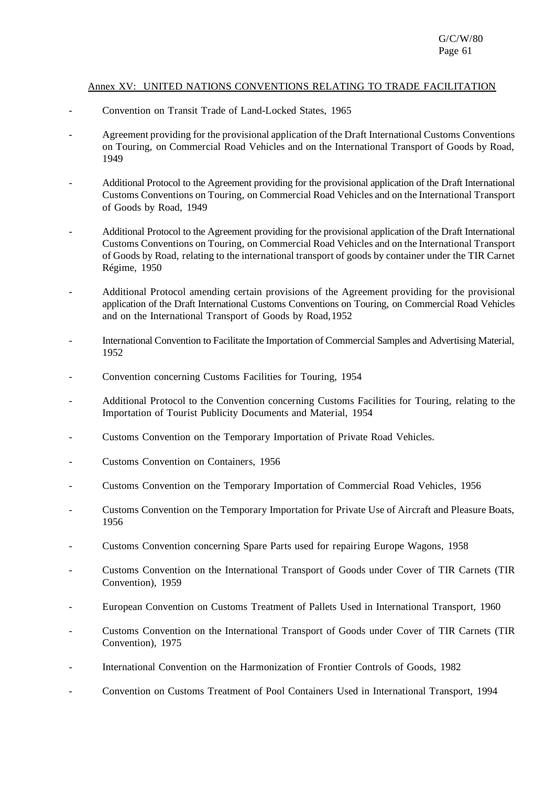## Annex XV: UNITED NATIONS CONVENTIONS RELATING TO TRADE FACILITATION

- Convention on Transit Trade of Land-Locked States, 1965
- Agreement providing for the provisional application of the Draft International Customs Conventions on Touring, on Commercial Road Vehicles and on the International Transport of Goods by Road, 1949
- Additional Protocol to the Agreement providing for the provisional application of the Draft International Customs Conventions on Touring, on Commercial Road Vehicles and on the International Transport of Goods by Road, 1949
- Additional Protocol to the Agreement providing for the provisional application of the Draft International Customs Conventions on Touring, on Commercial Road Vehicles and on the International Transport of Goods by Road, relating to the international transport of goods by container under the TIR Carnet Régime, 1950
- Additional Protocol amending certain provisions of the Agreement providing for the provisional application of the Draft International Customs Conventions on Touring, on Commercial Road Vehicles and on the International Transport of Goods by Road,1952
- International Convention to Facilitate the Importation of Commercial Samples and Advertising Material, 1952
- Convention concerning Customs Facilities for Touring, 1954
- Additional Protocol to the Convention concerning Customs Facilities for Touring, relating to the Importation of Tourist Publicity Documents and Material, 1954
- Customs Convention on the Temporary Importation of Private Road Vehicles.
- Customs Convention on Containers, 1956
- Customs Convention on the Temporary Importation of Commercial Road Vehicles, 1956
- Customs Convention on the Temporary Importation for Private Use of Aircraft and Pleasure Boats, 1956
- Customs Convention concerning Spare Parts used for repairing Europe Wagons, 1958
- Customs Convention on the International Transport of Goods under Cover of TIR Carnets (TIR Convention), 1959
- European Convention on Customs Treatment of Pallets Used in International Transport, 1960
- Customs Convention on the International Transport of Goods under Cover of TIR Carnets (TIR Convention), 1975
- International Convention on the Harmonization of Frontier Controls of Goods, 1982
- Convention on Customs Treatment of Pool Containers Used in International Transport, 1994